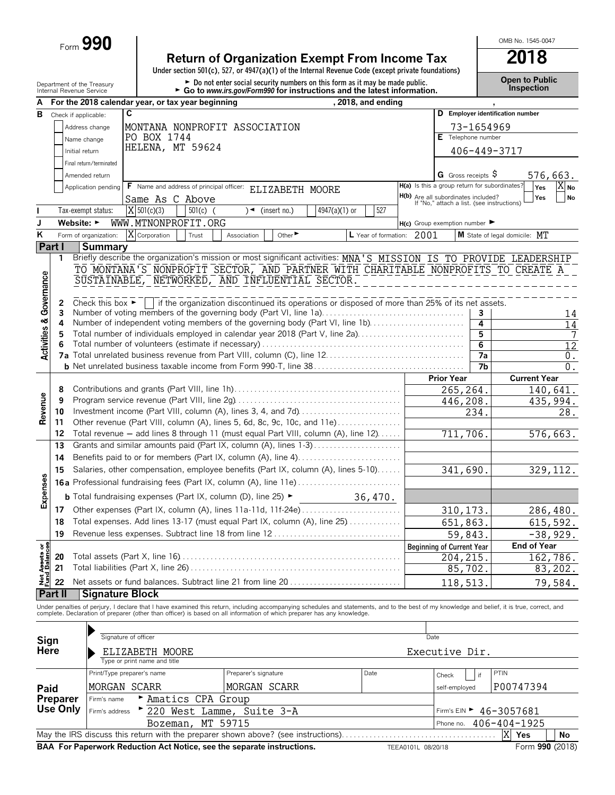Form **990**

### **Return of Organization Exempt From Income Tax 2018**

**Under section 501(c), 527, or 4947(a)(1) of the Internal Revenue Code (except private foundations)**

Department of the Treasury **Depen to Public**<br>Internal Revenue Service **Configuration Configuration Configuration Configuration Configuration.** Configuration<br>Internal Revenue Service **Configuration Configuration Configurat** 

OMB No. 1545-0047

| A                                      |                                    |                                                                                          | For the 2018 calendar year, or tax year beginning                                                                                                                                                                                 |                      |                         |               | , 2018, and ending        |                                                                                          |                   |                              |                                  |                         |
|----------------------------------------|------------------------------------|------------------------------------------------------------------------------------------|-----------------------------------------------------------------------------------------------------------------------------------------------------------------------------------------------------------------------------------|----------------------|-------------------------|---------------|---------------------------|------------------------------------------------------------------------------------------|-------------------|------------------------------|----------------------------------|-------------------------|
| в                                      |                                    | Check if applicable:                                                                     | С                                                                                                                                                                                                                                 |                      |                         |               |                           |                                                                                          |                   |                              | D Employer identification number |                         |
|                                        |                                    | Address change                                                                           | MONTANA NONPROFIT ASSOCIATION                                                                                                                                                                                                     |                      |                         |               |                           |                                                                                          |                   | 73-1654969                   |                                  |                         |
|                                        |                                    | Name change                                                                              | PO BOX 1744                                                                                                                                                                                                                       |                      |                         |               |                           |                                                                                          |                   | E Telephone number           |                                  |                         |
|                                        |                                    | Initial return                                                                           | HELENA, MT 59624                                                                                                                                                                                                                  |                      |                         |               |                           |                                                                                          |                   |                              |                                  |                         |
|                                        |                                    |                                                                                          |                                                                                                                                                                                                                                   |                      |                         |               |                           |                                                                                          |                   | 406-449-3717                 |                                  |                         |
|                                        |                                    | Final return/terminated                                                                  |                                                                                                                                                                                                                                   |                      |                         |               |                           |                                                                                          |                   |                              |                                  |                         |
|                                        |                                    | Amended return                                                                           |                                                                                                                                                                                                                                   |                      |                         |               |                           |                                                                                          |                   | G Gross receipts $\varsigma$ |                                  | 576,663.                |
|                                        |                                    | Application pending                                                                      | F Name and address of principal officer: ELIZABETH MOORE                                                                                                                                                                          |                      |                         |               |                           | H(a) Is this a group return for subordinates?                                            |                   |                              | Yes                              | $X_{\text{No}}$         |
|                                        |                                    |                                                                                          | Same As C Above                                                                                                                                                                                                                   |                      |                         |               |                           | <b>H(b)</b> Are all subordinates included?<br>If "No," attach a list. (see instructions) |                   |                              | Yes                              | <b>No</b>               |
| I.                                     |                                    | Tax-exempt status:                                                                       | $X$ 501(c)(3)<br>$501(c)$ (                                                                                                                                                                                                       |                      | $\sqrt{ }$ (insert no.) | 4947(a)(1) or | 527                       |                                                                                          |                   |                              |                                  |                         |
| J                                      |                                    | Website: ►                                                                               | WWW.MTNONPROFIT.ORG                                                                                                                                                                                                               |                      |                         |               |                           | $H(c)$ Group exemption number $\blacktriangleright$                                      |                   |                              |                                  |                         |
| K                                      |                                    | Form of organization:                                                                    | X Corporation<br>Trust                                                                                                                                                                                                            | Association          | Other <sup>&gt;</sup>   |               | L Year of formation: 2001 |                                                                                          |                   |                              | M State of legal domicile: MT    |                         |
|                                        | Part I                             | <b>Summary</b>                                                                           |                                                                                                                                                                                                                                   |                      |                         |               |                           |                                                                                          |                   |                              |                                  |                         |
|                                        | 1                                  |                                                                                          | Briefly describe the organization's mission or most significant activities: MNA'S MISSION IS TO PROVIDE LEADERSHIP                                                                                                                |                      |                         |               |                           |                                                                                          |                   |                              |                                  |                         |
|                                        |                                    |                                                                                          | TO MONTANA'S NONPROFIT SECTOR, AND PARTNER WITH CHARITABLE NONPROFITS TO CREATE A                                                                                                                                                 |                      |                         |               |                           |                                                                                          |                   |                              |                                  |                         |
| <b>Activities &amp; Governance</b>     |                                    |                                                                                          | SUSTAINABLE, NETWORKED, AND INFLUENTIAL SECTOR.                                                                                                                                                                                   |                      |                         |               |                           |                                                                                          |                   |                              |                                  |                         |
|                                        |                                    |                                                                                          |                                                                                                                                                                                                                                   |                      |                         |               |                           |                                                                                          |                   |                              |                                  |                         |
|                                        | 2<br>3                             | Check this box $\blacktriangleright$                                                     | if the organization discontinued its operations or disposed of more than 25% of its net assets.<br>Number of voting members of the governing body (Part VI, line 1a)                                                              |                      |                         |               |                           |                                                                                          |                   | 3                            |                                  |                         |
|                                        | 4                                  |                                                                                          | Number of independent voting members of the governing body (Part VI, line 1b)                                                                                                                                                     |                      |                         |               |                           |                                                                                          |                   | 4                            |                                  | 14<br>$\overline{14}$   |
|                                        | 5                                  |                                                                                          | Total number of individuals employed in calendar year 2018 (Part V, line 2a)                                                                                                                                                      |                      |                         |               |                           |                                                                                          |                   | 5                            |                                  | 7                       |
|                                        |                                    |                                                                                          |                                                                                                                                                                                                                                   |                      |                         |               |                           |                                                                                          |                   | $6\overline{6}$              |                                  | $\overline{12}$         |
|                                        |                                    |                                                                                          |                                                                                                                                                                                                                                   |                      |                         |               |                           |                                                                                          |                   | 7a                           |                                  | 0.                      |
|                                        |                                    |                                                                                          |                                                                                                                                                                                                                                   |                      |                         |               |                           |                                                                                          |                   | $\overline{7}$               |                                  | $0$ .                   |
|                                        |                                    |                                                                                          |                                                                                                                                                                                                                                   |                      |                         |               |                           |                                                                                          | <b>Prior Year</b> |                              | <b>Current Year</b>              |                         |
|                                        | 8                                  |                                                                                          |                                                                                                                                                                                                                                   |                      |                         |               |                           |                                                                                          | 265,264.          |                              |                                  | $\overline{140}$ , 641. |
|                                        | 9                                  |                                                                                          |                                                                                                                                                                                                                                   |                      |                         |               |                           |                                                                                          | 446,208.          |                              |                                  | 435,994.                |
| Revenue                                | 10                                 |                                                                                          | Investment income (Part VIII, column (A), lines 3, 4, and 7d)                                                                                                                                                                     |                      |                         |               |                           |                                                                                          |                   | 234.                         |                                  | 28.                     |
|                                        | 11                                 |                                                                                          | Other revenue (Part VIII, column (A), lines 5, 6d, 8c, 9c, 10c, and 11e)                                                                                                                                                          |                      |                         |               |                           |                                                                                          |                   |                              |                                  |                         |
|                                        | 12                                 |                                                                                          | Total revenue - add lines 8 through 11 (must equal Part VIII, column (A), line 12)                                                                                                                                                |                      |                         |               |                           |                                                                                          | 711,706.          |                              |                                  | 576,663.                |
|                                        | 13                                 |                                                                                          | Grants and similar amounts paid (Part IX, column (A), lines 1-3)                                                                                                                                                                  |                      |                         |               |                           |                                                                                          |                   |                              |                                  |                         |
|                                        | 14                                 |                                                                                          |                                                                                                                                                                                                                                   |                      |                         |               |                           |                                                                                          |                   |                              |                                  |                         |
|                                        | 15                                 | Salaries, other compensation, employee benefits (Part IX, column (A), lines 5-10)        |                                                                                                                                                                                                                                   |                      |                         |               |                           |                                                                                          | 341,690.          |                              |                                  | 329, 112.               |
| Expenses                               |                                    |                                                                                          |                                                                                                                                                                                                                                   |                      |                         |               |                           |                                                                                          |                   |                              |                                  |                         |
|                                        |                                    | <b>b</b> Total fundraising expenses (Part IX, column (D), line 25) $\blacktriangleright$ | 36,470.                                                                                                                                                                                                                           |                      |                         |               |                           |                                                                                          |                   |                              |                                  |                         |
|                                        | 17                                 |                                                                                          | Other expenses (Part IX, column (A), lines 11a-11d, 11f-24e)                                                                                                                                                                      |                      |                         |               |                           |                                                                                          | 310, 173.         |                              |                                  | 286,480.                |
|                                        | 18                                 |                                                                                          | Total expenses. Add lines 13-17 (must equal Part IX, column (A), line 25)                                                                                                                                                         |                      |                         |               |                           |                                                                                          | 651,863.          |                              |                                  | 615,592.                |
|                                        | 19                                 |                                                                                          | Revenue less expenses. Subtract line 18 from line 12                                                                                                                                                                              |                      |                         |               |                           |                                                                                          | 59,843.           |                              |                                  | $-38,929.$              |
|                                        |                                    |                                                                                          |                                                                                                                                                                                                                                   |                      |                         |               |                           | <b>Beginning of Current Year</b>                                                         |                   |                              | <b>End of Year</b>               |                         |
|                                        | 20                                 |                                                                                          |                                                                                                                                                                                                                                   |                      |                         |               |                           |                                                                                          | 204,215           |                              |                                  | 162,786.                |
|                                        | 21                                 |                                                                                          |                                                                                                                                                                                                                                   |                      |                         |               |                           |                                                                                          | 85,702.           |                              |                                  | 83,202.                 |
| <b>Net Assets or<br/>Fund Balances</b> | 22                                 |                                                                                          |                                                                                                                                                                                                                                   |                      |                         |               |                           |                                                                                          | 118,513           |                              |                                  | 79,584.                 |
|                                        | <b>Part II</b>                     | <b>Signature Block</b>                                                                   |                                                                                                                                                                                                                                   |                      |                         |               |                           |                                                                                          |                   |                              |                                  |                         |
|                                        |                                    |                                                                                          |                                                                                                                                                                                                                                   |                      |                         |               |                           |                                                                                          |                   |                              |                                  |                         |
|                                        |                                    |                                                                                          | Under penalties of perjury, I declare that I have examined this return, including accompanying schedules and statements, and to the best of my knowledge and belief, it is true, correct, and<br>complete. Declaration of prepare |                      |                         |               |                           |                                                                                          |                   |                              |                                  |                         |
|                                        |                                    |                                                                                          |                                                                                                                                                                                                                                   |                      |                         |               |                           |                                                                                          |                   |                              |                                  |                         |
| Sign                                   |                                    |                                                                                          | Signature of officer                                                                                                                                                                                                              |                      |                         |               |                           | Date                                                                                     |                   |                              |                                  |                         |
| Here                                   |                                    |                                                                                          | ELIZABETH MOORE                                                                                                                                                                                                                   |                      |                         |               |                           | Executive Dir.                                                                           |                   |                              |                                  |                         |
|                                        |                                    |                                                                                          | Type or print name and title                                                                                                                                                                                                      |                      |                         |               |                           |                                                                                          |                   |                              |                                  |                         |
|                                        |                                    |                                                                                          | Print/Type preparer's name                                                                                                                                                                                                        | Preparer's signature |                         |               | Date                      |                                                                                          | Check             | if                           | PTIN                             |                         |
|                                        |                                    |                                                                                          | MORGAN SCARR                                                                                                                                                                                                                      | MORGAN SCARR         |                         |               |                           |                                                                                          |                   |                              |                                  |                         |
| Paid                                   |                                    | Firm's name                                                                              |                                                                                                                                                                                                                                   |                      |                         |               |                           |                                                                                          | self-employed     |                              | P00747394                        |                         |
|                                        | <b>Preparer</b><br><b>Use Only</b> |                                                                                          | Amatics CPA Group                                                                                                                                                                                                                 |                      |                         |               |                           |                                                                                          |                   |                              |                                  |                         |
|                                        |                                    | Firm's address                                                                           | 220 West Lamme, Suite 3-A                                                                                                                                                                                                         |                      |                         |               |                           |                                                                                          |                   |                              | Firm's EIN > 46-3057681          |                         |
|                                        |                                    |                                                                                          | Bozeman,                                                                                                                                                                                                                          | MT 59715             |                         |               |                           |                                                                                          | Phone no.         |                              | 406-404-1925<br>X                |                         |
|                                        |                                    |                                                                                          | May the IRS discuss this return with the preparer shown above? (see instructions)                                                                                                                                                 |                      |                         |               |                           |                                                                                          |                   |                              | Yes                              | No                      |

**BAA For Paperwork Reduction Act Notice, see the separate instructions.** TEEA0101L 08/20/18 Form 990 (2018)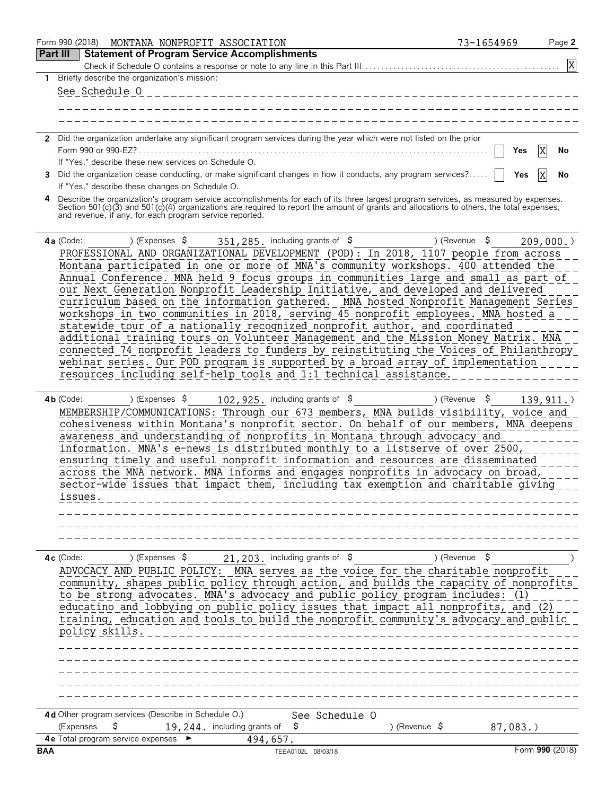|          | Form 990 (2018)<br>MONTANA NONPROFIT ASSOCIATION                                                                                                                                                                                                                                             | 73-1654969               | Page 2    |
|----------|----------------------------------------------------------------------------------------------------------------------------------------------------------------------------------------------------------------------------------------------------------------------------------------------|--------------------------|-----------|
| Part III | <b>Statement of Program Service Accomplishments</b>                                                                                                                                                                                                                                          |                          | X         |
| 1.       | Briefly describe the organization's mission:                                                                                                                                                                                                                                                 |                          |           |
|          | See Schedule O                                                                                                                                                                                                                                                                               |                          |           |
|          |                                                                                                                                                                                                                                                                                              |                          |           |
|          |                                                                                                                                                                                                                                                                                              |                          |           |
|          | 2 Did the organization undertake any significant program services during the year which were not listed on the prior                                                                                                                                                                         |                          |           |
|          | Form 990 or 990-EZ?                                                                                                                                                                                                                                                                          | Yes                      | X<br>No   |
| 3        | If "Yes," describe these new services on Schedule O.<br>Did the organization cease conducting, or make significant changes in how it conducts, any program services?                                                                                                                         | Yes                      | X<br>No   |
|          | If "Yes," describe these changes on Schedule O.                                                                                                                                                                                                                                              |                          |           |
|          | Describe the organization's program service accomplishments for each of its three largest program services, as measured by expenses.<br>Section 501(c)(3) and 501(c)(4) organizations are required to report the amount of grants<br>and revenue, if any, for each program service reported. |                          |           |
|          | 4a (Code:<br>351, 285. including grants of $$$<br>) (Expenses \$                                                                                                                                                                                                                             | ) (Revenue $\frac{1}{2}$ | 209,000.  |
|          | PROFESSIONAL AND ORGANIZATIONAL DEVELOPMENT (POD): In 2018, 1107 people from across                                                                                                                                                                                                          |                          |           |
|          | Montana participated in one or more of MNA's community workshops. 400 attended the                                                                                                                                                                                                           |                          |           |
|          | Annual Conference. MNA held 9 focus groups in communities large and small as part of<br>our Next Generation Nonprofit Leadership Initiative, and developed and delivered                                                                                                                     |                          |           |
|          | curriculum based on the information gathered. MNA hosted Nonprofit Management Series                                                                                                                                                                                                         |                          |           |
|          | workshops in two communities in 2018, serving 45 nonprofit employees. MNA hosted a                                                                                                                                                                                                           |                          |           |
|          | statewide tour of a nationally recognized nonprofit author, and coordinated                                                                                                                                                                                                                  |                          |           |
|          | additional training tours on Volunteer Management and the Mission Money Matrix. MNA<br>connected 74 nonprofit leaders to funders by reinstituting the Voices of Philanthropy                                                                                                                 |                          |           |
|          | webinar series. Our POD program is supported by a broad array of implementation                                                                                                                                                                                                              |                          |           |
|          | resources including self-help tools and 1:1 technical assistance.                                                                                                                                                                                                                            |                          |           |
|          |                                                                                                                                                                                                                                                                                              |                          |           |
|          | $4b$ (Code:<br>) (Expenses \$<br>102, 925. including grants of \$<br>MEMBERSHIP/COMMUNICATIONS: Through our 673 members, MNA builds visibility, voice and                                                                                                                                    | \$<br>) (Revenue         | 139, 911. |
|          | cohesiveness within Montana's nonprofit sector. On behalf of our members, MNA deepens                                                                                                                                                                                                        |                          |           |
|          | awareness and understanding of nonprofits in Montana through advocacy and                                                                                                                                                                                                                    |                          |           |
|          | information. MNA's e-news is distributed monthly to a listserve of over 2500,                                                                                                                                                                                                                |                          |           |
|          | ensuring timely and useful nonprofit information and resources are disseminated<br>across the MNA network. MNA informs and engages nonprofits in advocacy on broad,                                                                                                                          |                          |           |
|          | sector-wide issues that impact them, including tax exemption and charitable giving                                                                                                                                                                                                           |                          |           |
|          | issues.                                                                                                                                                                                                                                                                                      |                          |           |
|          |                                                                                                                                                                                                                                                                                              |                          |           |
|          |                                                                                                                                                                                                                                                                                              |                          |           |
|          |                                                                                                                                                                                                                                                                                              |                          |           |
|          | 21, 203. including grants of $$$<br>) (Expenses \$<br>$4c$ (Code:                                                                                                                                                                                                                            | ) (Revenue $\frac{1}{2}$ |           |
|          | ADVOCACY AND PUBLIC POLICY: MNA serves as the voice for the charitable nonprofit                                                                                                                                                                                                             |                          |           |
|          | community, shapes public policy through action, and builds the capacity of nonprofits<br>to be strong advocates. MNA's advocacy and public policy program includes: (1)                                                                                                                      |                          |           |
|          | educatino and lobbying on public policy issues that impact all nonprofits, and (2)                                                                                                                                                                                                           |                          |           |
|          | training, education and tools to build the nonprofit community's advocacy and public                                                                                                                                                                                                         |                          |           |
|          | policy skills.                                                                                                                                                                                                                                                                               |                          |           |
|          |                                                                                                                                                                                                                                                                                              |                          |           |
|          |                                                                                                                                                                                                                                                                                              |                          |           |
|          |                                                                                                                                                                                                                                                                                              |                          |           |
|          |                                                                                                                                                                                                                                                                                              |                          |           |
|          | 4d Other program services (Describe in Schedule O.)<br>See Schedule O                                                                                                                                                                                                                        |                          |           |
|          | S<br>19, 244. including grants of<br>S<br>) (Revenue $\sqrt{5}$<br>(Expenses                                                                                                                                                                                                                 | $87,083.$ )              |           |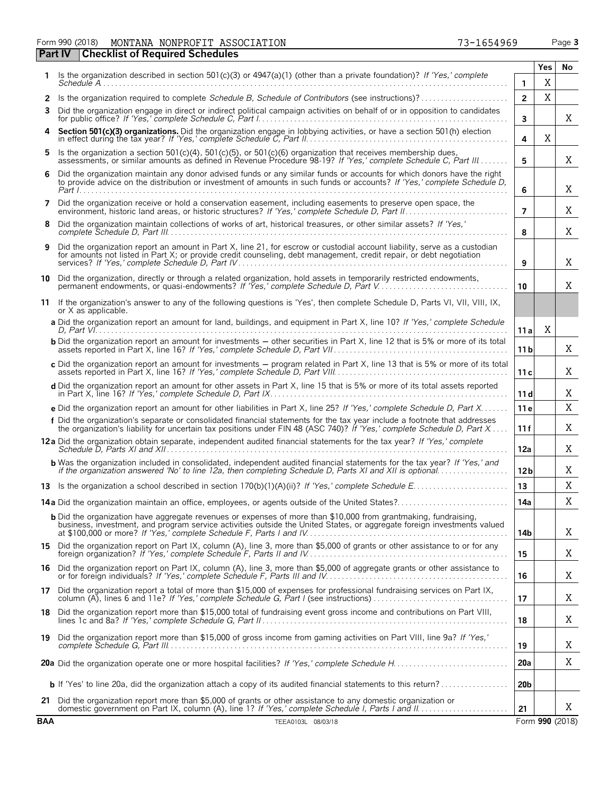Form 990 (2018) Page **3** MONTANA NONPROFIT ASSOCIATION 73-1654969

|            |                                                                                                                                                                                                                                                     |                 | Yes | No              |
|------------|-----------------------------------------------------------------------------------------------------------------------------------------------------------------------------------------------------------------------------------------------------|-----------------|-----|-----------------|
|            | Is the organization described in section $501(c)(3)$ or $4947(a)(1)$ (other than a private foundation)? If 'Yes,' complete                                                                                                                          | 1               | Χ   |                 |
| 2          | Is the organization required to complete Schedule B, Schedule of Contributors (see instructions)?                                                                                                                                                   | $\overline{2}$  | X   |                 |
| 3          | Did the organization engage in direct or indirect political campaign activities on behalf of or in opposition to candidates                                                                                                                         | 3               |     | Χ               |
| 4          | Section 501(c)(3) organizations. Did the organization engage in lobbying activities, or have a section 501(h) election                                                                                                                              | 4               | X   |                 |
|            | Is the organization a section 501(c)(4), 501(c)(5), or 501(c)(6) organization that receives membership dues,<br>assessments, or similar amounts as defined in Revenue Procedure 98-19? If 'Yes,' complete Schedule C, Part III                      | 5               |     | X               |
|            | Did the organization maintain any donor advised funds or any similar funds or accounts for which donors have the right to provide advice on the distribution or investment of amounts in such funds or accounts? If 'Yes,' com                      | 6               |     | X               |
| 7          | Did the organization receive or hold a conservation easement, including easements to preserve open space, the                                                                                                                                       | $\overline{7}$  |     | Χ               |
|            | Did the organization maintain collections of works of art, historical treasures, or other similar assets? If 'Yes,'                                                                                                                                 | 8               |     | X               |
| 9          | Did the organization report an amount in Part X, line 21, for escrow or custodial account liability, serve as a custodian<br>for amounts not listed in Part X; or provide credit counseling, debt management, credit repair, or debt negotiation    | 9               |     | X               |
|            | 10 Did the organization, directly or through a related organization, hold assets in temporarily restricted endowments,                                                                                                                              | 10              |     | X               |
|            | 11 If the organization's answer to any of the following questions is 'Yes', then complete Schedule D, Parts VI, VII, VIII, IX,<br>or X as applicable.                                                                                               |                 |     |                 |
|            | a Did the organization report an amount for land, buildings, and equipment in Part X, line 10? If 'Yes,' complete Schedule                                                                                                                          | 11a             | X   |                 |
|            | <b>b</b> Did the organization report an amount for investments – other securities in Part X, line 12 that is 5% or more of its total                                                                                                                | 11 b            |     | Χ               |
|            | c Did the organization report an amount for investments - program related in Part X, line 13 that is 5% or more of its total                                                                                                                        | 11c             |     | Χ               |
|            | d Did the organization report an amount for other assets in Part X, line 15 that is 5% or more of its total assets reported                                                                                                                         | 11d             |     | Χ               |
|            | e Did the organization report an amount for other liabilities in Part X, line 25? If 'Yes,' complete Schedule D, Part X                                                                                                                             | 11e             |     | X               |
|            | f Did the organization's separate or consolidated financial statements for the tax year include a footnote that addresses<br>the organization's liability for uncertain tax positions under FIN 48 (ASC 740)? If 'Yes,' complete Schedule D, Part X | 11 f            |     | X               |
|            | 12a Did the organization obtain separate, independent audited financial statements for the tax year? If 'Yes,' complete                                                                                                                             | 12a             |     | Χ               |
|            | <b>b</b> Was the organization included in consolidated, independent audited financial statements for the tax year? If 'Yes,' and                                                                                                                    | 12 <sub>b</sub> |     | X               |
|            |                                                                                                                                                                                                                                                     | 13              |     | Χ               |
|            | 14a Did the organization maintain an office, employees, or agents outside of the United States?                                                                                                                                                     | 14a             |     | Χ               |
|            | <b>b</b> Did the organization have aggregate revenues or expenses of more than \$10,000 from grantmaking, fundraising,<br>business, investment, and program service activities outside the United States, or aggregate foreign investments valued   | 14b             |     | X               |
| 15.        | Did the organization report on Part IX, column (A), line 3, more than \$5,000 of grants or other assistance to or for any                                                                                                                           | 15              |     | X               |
| 16         | Did the organization report on Part IX, column (A), line 3, more than \$5,000 of aggregate grants or other assistance to                                                                                                                            | 16              |     | Χ               |
| 17         | Did the organization report a total of more than \$15,000 of expenses for professional fundraising services on Part IX,                                                                                                                             | 17              |     | Χ               |
| 18.        | Did the organization report more than \$15,000 total of fundraising event gross income and contributions on Part VIII,                                                                                                                              | 18              |     | X               |
|            | 19 Did the organization report more than \$15,000 of gross income from gaming activities on Part VIII, line 9a? If 'Yes,'                                                                                                                           | 19              |     | Χ               |
|            |                                                                                                                                                                                                                                                     | 20a             |     | X               |
|            |                                                                                                                                                                                                                                                     | 20 <sub>b</sub> |     |                 |
| 21         | Did the organization report more than \$5,000 of grants or other assistance to any domestic organization or                                                                                                                                         | 21              |     | X               |
| <b>BAA</b> | TEEA0103L 08/03/18                                                                                                                                                                                                                                  |                 |     | Form 990 (2018) |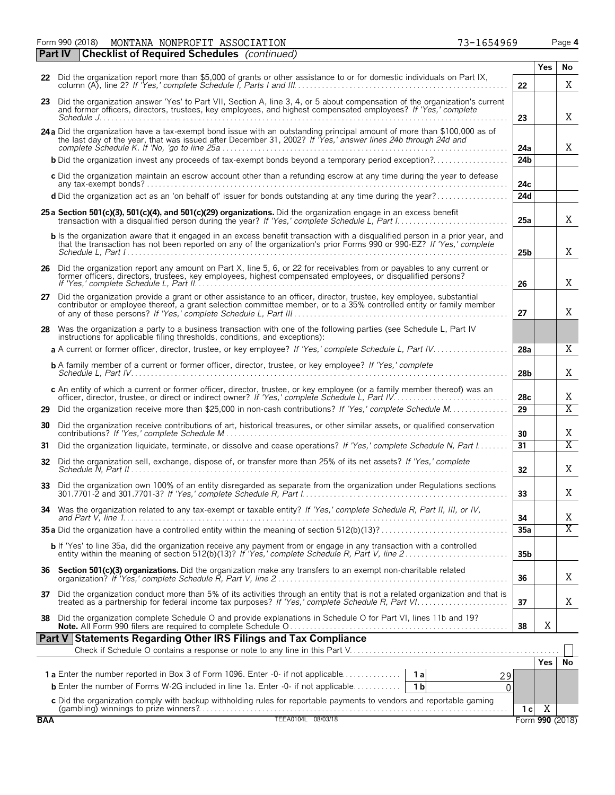|    | Form 990 (2018)<br>MONTANA NONPROFIT ASSOCIATION<br>73-1654969                                                                                                                                                                                |  |    |     | Page 4 |
|----|-----------------------------------------------------------------------------------------------------------------------------------------------------------------------------------------------------------------------------------------------|--|----|-----|--------|
|    | <b>Part IV</b><br><b>Checklist of Required Schedules</b> (continued)                                                                                                                                                                          |  |    |     |        |
|    |                                                                                                                                                                                                                                               |  |    | Yes | No     |
|    | 22 Did the organization report more than \$5,000 of grants or other assistance to or for domestic individuals on Part IX,                                                                                                                     |  | 22 |     |        |
| 23 | Did the organization answer 'Yes' to Part VII, Section A, line 3, 4, or 5 about compensation of the organization's current<br>and formar officers, directors, trustees, less amplesses, and bigheat comparacted employees? If IVan't complete |  |    |     |        |

|    | 23 Did the organization answer 'Yes' to Part VII, Section A, line 3, 4, or 5 about compensation of the organization's current<br>and former officers, directors, trustees, key employees, and highest compensated employees? If 'Yes,' complete       | 23              |   | Χ              |
|----|-------------------------------------------------------------------------------------------------------------------------------------------------------------------------------------------------------------------------------------------------------|-----------------|---|----------------|
|    | 24 a Did the organization have a tax-exempt bond issue with an outstanding principal amount of more than \$100,000 as of<br>the last day of the year, that was issued after December 31, 2002? If Yes,' answer lines 24b through 24d and              | 24a             |   | Χ              |
|    | <b>b</b> Did the organization invest any proceeds of tax-exempt bonds beyond a temporary period exception?                                                                                                                                            | 24 <sub>b</sub> |   |                |
|    | c Did the organization maintain an escrow account other than a refunding escrow at any time during the year to defease                                                                                                                                | 24c             |   |                |
|    | d Did the organization act as an 'on behalf of' issuer for bonds outstanding at any time during the year?                                                                                                                                             | 24d             |   |                |
|    | 25 a Section 501(c)(3), 501(c)(4), and 501(c)(29) organizations. Did the organization engage in an excess benefit<br>transaction with a disqualified person during the year? If 'Yes,' complete Schedule L, Part 1                                    | 25a             |   | Χ              |
|    | b Is the organization aware that it engaged in an excess benefit transaction with a disqualified person in a prior year, and<br>that the transaction has not been reported on any of the organization's prior Forms 990 or 990-EZ? If 'Yes,' complete | 25 <sub>b</sub> |   | X              |
|    | 26 Did the organization report any amount on Part X, line 5, 6, or 22 for receivables from or payables to any current or<br>former officers, directors, trustees, key employees, highest compensated employees, or disqualified persons?              | 26              |   | X              |
| 27 | Did the organization provide a grant or other assistance to an officer, director, trustee, key employee, substantial<br>contributor or employee thereof, a grant selection committee member, or to a 35% controlled entity or family member           | 27              |   | X              |
|    | 28 Was the organization a party to a business transaction with one of the following parties (see Schedule L, Part IV<br>instructions for applicable filing thresholds, conditions, and exceptions):                                                   |                 |   |                |
|    | a A current or former officer, director, trustee, or key employee? If 'Yes,' complete Schedule L, Part IV                                                                                                                                             | 28a             |   | X              |
|    | <b>b</b> A family member of a current or former officer, director, trustee, or key employee? If 'Yes,' complete                                                                                                                                       | 28 <sub>b</sub> |   | X              |
|    | c An entity of which a current or former officer, director, trustee, or key employee (or a family member thereof) was an<br>officer, director, trustee, or direct or indirect owner? If 'Yes,' complete Schedule L, Part IV.                          | 28c             |   | Χ              |
| 29 | Did the organization receive more than \$25,000 in non-cash contributions? If 'Yes,' complete Schedule M                                                                                                                                              | 29              |   | $\overline{X}$ |
|    | 30 Did the organization receive contributions of art, historical treasures, or other similar assets, or qualified conservation                                                                                                                        | 30              |   | Χ              |
| 31 | Did the organization liquidate, terminate, or dissolve and cease operations? If 'Yes,' complete Schedule N, Part I                                                                                                                                    | 31              |   | $\overline{X}$ |
|    | 32 Did the organization sell, exchange, dispose of, or transfer more than 25% of its net assets? If 'Yes,' complete                                                                                                                                   | 32              |   | X              |
|    |                                                                                                                                                                                                                                                       | 33              |   | X              |
|    | 34 Was the organization related to any tax-exempt or taxable entity? If 'Yes,' complete Schedule R, Part II, III, or IV,                                                                                                                              | 34              |   | X              |
|    |                                                                                                                                                                                                                                                       | 35a             |   | $\overline{X}$ |
|    | b If 'Yes' to line 35a, did the organization receive any payment from or engage in any transaction with a controlled                                                                                                                                  | 35 <sub>b</sub> |   |                |
|    | 36 Section 501(c)(3) organizations. Did the organization make any transfers to an exempt non-charitable related                                                                                                                                       | 36              |   | X              |
| 37 | Did the organization conduct more than 5% of its activities through an entity that is not a related organization and that is                                                                                                                          | 37              |   | X              |
| 38 | Did the organization complete Schedule O and provide explanations in Schedule O for Part VI, lines 11b and 19?                                                                                                                                        | 38              | Χ |                |

| <b>Part V Statements Regarding Other IRS Filings and Tax Compliance</b>                   |  |  |              |      |                 |
|-------------------------------------------------------------------------------------------|--|--|--------------|------|-----------------|
|                                                                                           |  |  |              |      |                 |
|                                                                                           |  |  |              | res. |                 |
| <b>1a</b> Enter the number reported in Box 3 of Form 1096. Enter -0- if not applicable 1a |  |  |              |      |                 |
|                                                                                           |  |  |              |      |                 |
|                                                                                           |  |  |              |      |                 |
|                                                                                           |  |  | $\mathbf{C}$ |      |                 |
| <b>BAA</b><br>08/03/18                                                                    |  |  |              |      | Form 990 (2018) |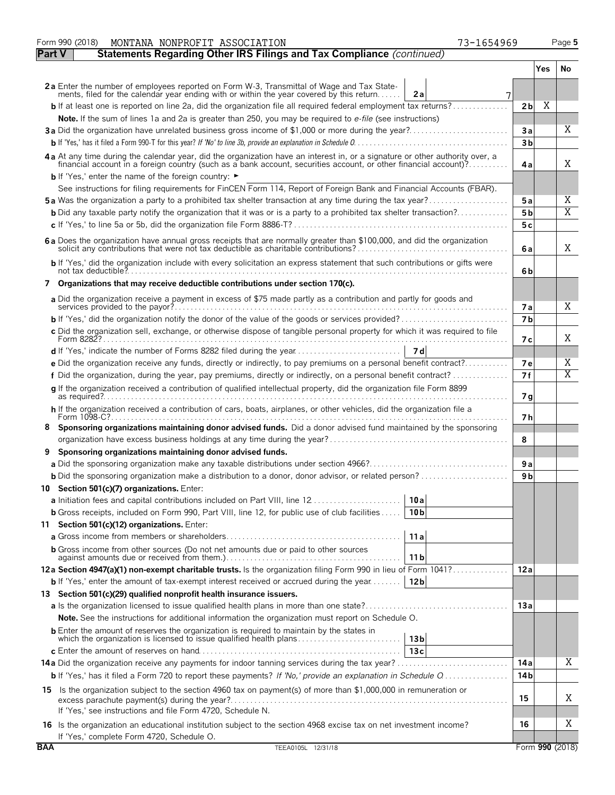|               | MONTANA NONPROFIT ASSOCIATION<br>73-1654969<br>Form 990 (2018)                                                                                                                                                                 |                |     | Page 5                  |
|---------------|--------------------------------------------------------------------------------------------------------------------------------------------------------------------------------------------------------------------------------|----------------|-----|-------------------------|
| <b>Part V</b> | Statements Regarding Other IRS Filings and Tax Compliance (continued)                                                                                                                                                          |                |     |                         |
|               |                                                                                                                                                                                                                                |                | Yes | No                      |
|               | 2a Enter the number of employees reported on Form W-3, Transmittal of Wage and Tax State-<br>ments, filed for the calendar year ending with or within the year covered by this return<br>2a<br>7                               |                |     |                         |
|               | <b>b</b> If at least one is reported on line 2a, did the organization file all required federal employment tax returns?                                                                                                        | 2 <sub>b</sub> | Χ   |                         |
|               | Note. If the sum of lines 1a and 2a is greater than 250, you may be required to e-file (see instructions)                                                                                                                      |                |     |                         |
|               | 3a Did the organization have unrelated business gross income of \$1,000 or more during the year?                                                                                                                               | За             |     | X                       |
|               |                                                                                                                                                                                                                                | 3 <sub>b</sub> |     |                         |
|               | 4a At any time during the calendar year, did the organization have an interest in, or a signature or other authority over, a financial account in a foreign country (such as a bank account, securities account, or other fina | 4a             |     | X                       |
|               | <b>b</b> If 'Yes,' enter the name of the foreign country: ►                                                                                                                                                                    |                |     |                         |
|               | See instructions for filing requirements for FinCEN Form 114, Report of Foreign Bank and Financial Accounts (FBAR).                                                                                                            |                |     |                         |
|               | 5a Was the organization a party to a prohibited tax shelter transaction at any time during the tax year?                                                                                                                       | 5 a            |     | Χ                       |
|               | <b>b</b> Did any taxable party notify the organization that it was or is a party to a prohibited tax shelter transaction?                                                                                                      | 5 b            |     | $\overline{\mathrm{X}}$ |
|               |                                                                                                                                                                                                                                | 5 c            |     |                         |
|               | 6a Does the organization have annual gross receipts that are normally greater than \$100,000, and did the organization                                                                                                         | 6a             |     | X                       |
|               | b If 'Yes,' did the organization include with every solicitation an express statement that such contributions or gifts were                                                                                                    | 6b             |     |                         |
|               | 7 Organizations that may receive deductible contributions under section 170(c).                                                                                                                                                |                |     |                         |
|               | a Did the organization receive a payment in excess of \$75 made partly as a contribution and partly for goods and                                                                                                              |                |     |                         |
|               | services provided to the payor?                                                                                                                                                                                                | 7а             |     | Χ                       |
|               |                                                                                                                                                                                                                                | 7 <sub>b</sub> |     |                         |
|               | c Did the organization sell, exchange, or otherwise dispose of tangible personal property for which it was required to file                                                                                                    | 7 с            |     | X                       |
|               |                                                                                                                                                                                                                                |                |     |                         |
|               | e Did the organization receive any funds, directly or indirectly, to pay premiums on a personal benefit contract?                                                                                                              | 7е             |     | Χ                       |
|               | f Did the organization, during the year, pay premiums, directly or indirectly, on a personal benefit contract?                                                                                                                 | 7f             |     | $\overline{\mathrm{X}}$ |
|               | g If the organization received a contribution of qualified intellectual property, did the organization file Form 8899                                                                                                          | 7 g            |     |                         |
|               | h If the organization received a contribution of cars, boats, airplanes, or other vehicles, did the organization file a                                                                                                        | 7 h            |     |                         |
| 8             | Sponsoring organizations maintaining donor advised funds. Did a donor advised fund maintained by the sponsoring                                                                                                                | 8              |     |                         |
| 9             | Sponsoring organizations maintaining donor advised funds.                                                                                                                                                                      |                |     |                         |
|               |                                                                                                                                                                                                                                | 9a             |     |                         |
|               | <b>b</b> Did the sponsoring organization make a distribution to a donor, donor advisor, or related person?                                                                                                                     | 9 b            |     |                         |
|               | 10 Section 501(c)(7) organizations. Enter:                                                                                                                                                                                     |                |     |                         |
|               | a Initiation fees and capital contributions included on Part VIII, line 12<br>10a                                                                                                                                              |                |     |                         |
|               | <b>b</b> Gross receipts, included on Form 990, Part VIII, line 12, for public use of club facilities<br>10 <sub>b</sub>                                                                                                        |                |     |                         |
|               | 11 Section 501(c)(12) organizations. Enter:                                                                                                                                                                                    |                |     |                         |
|               | 11a                                                                                                                                                                                                                            |                |     |                         |
|               | <b>b</b> Gross income from other sources (Do not net amounts due or paid to other sources<br>11 b                                                                                                                              |                |     |                         |
|               | 12a Section 4947(a)(1) non-exempt charitable trusts. Is the organization filing Form 990 in lieu of Form 1041?                                                                                                                 | 12a            |     |                         |
|               | <b>b</b> If 'Yes,' enter the amount of tax-exempt interest received or accrued during the year<br>12b                                                                                                                          |                |     |                         |
|               | 13 Section 501(c)(29) qualified nonprofit health insurance issuers.                                                                                                                                                            |                |     |                         |
|               |                                                                                                                                                                                                                                | 13a            |     |                         |
|               | <b>Note.</b> See the instructions for additional information the organization must report on Schedule O.                                                                                                                       |                |     |                         |
|               | <b>b</b> Enter the amount of reserves the organization is required to maintain by the states in<br>which the organization is licensed to issue qualified health plans<br>13 <sub>b</sub>                                       |                |     |                         |
|               | 13c                                                                                                                                                                                                                            |                |     |                         |
|               |                                                                                                                                                                                                                                | 14 a           |     | Χ                       |
|               | <b>b</b> If 'Yes,' has it filed a Form 720 to report these payments? If 'No,' provide an explanation in Schedule Q                                                                                                             | 14 b           |     |                         |
|               | 15 Is the organization subject to the section 4960 tax on payment(s) of more than \$1,000,000 in remuneration or                                                                                                               | 15             |     | Χ                       |
|               | If 'Yes,' see instructions and file Form 4720, Schedule N.                                                                                                                                                                     |                |     |                         |
|               | 16 Is the organization an educational institution subject to the section 4968 excise tax on net investment income?<br>If 'Yes,' complete Form 4720, Schedule O.                                                                | 16             |     | Χ                       |
| <b>BAA</b>    | TEEA0105L 12/31/18                                                                                                                                                                                                             |                |     | Form 990 (2018)         |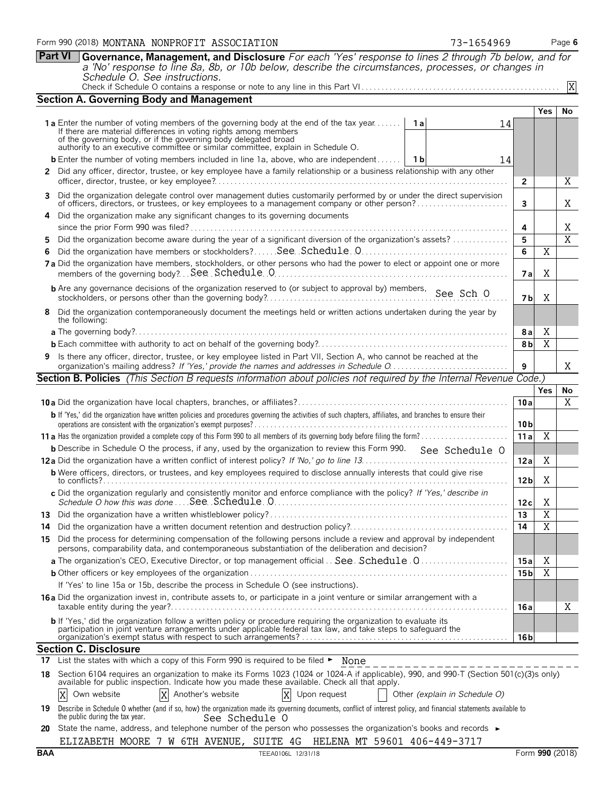**Part VI Governance, Management, and Disclosure** *For each 'Yes' response to lines 2 through 7b below, and for*

*a 'No' response to line 8a, 8b, or 10b below, describe the circumstances, processes, or changes in Schedule O. See instructions.* Check if Schedule O contains a response or note to any line in this Part VI . . . . . . . . . . . . . . . . . . . . . . . . . . . . . . . . . . . . . . . . . . . . . . . . . .

| <b>Section A. Governing Body and Management</b>                                                                                                                                                                                                                                                                             |                 |                |                |
|-----------------------------------------------------------------------------------------------------------------------------------------------------------------------------------------------------------------------------------------------------------------------------------------------------------------------------|-----------------|----------------|----------------|
|                                                                                                                                                                                                                                                                                                                             |                 | Yes            | No             |
| 1a Enter the number of voting members of the governing body at the end of the tax year<br>1 a<br>14<br>If there are material differences in voting rights among members<br>of the governing body, or if the governing body delegated broad authority to an executive committee or similar committee, explain in Schedule O. |                 |                |                |
| <b>b</b> Enter the number of voting members included in line 1a, above, who are independent<br>1 b<br>14                                                                                                                                                                                                                    |                 |                |                |
| 2 Did any officer, director, trustee, or key employee have a family relationship or a business relationship with any other                                                                                                                                                                                                  |                 |                |                |
|                                                                                                                                                                                                                                                                                                                             | 2               |                | X              |
| 3 Did the organization delegate control over management duties customarily performed by or under the direct supervision                                                                                                                                                                                                     | 3               |                | Χ              |
| 4 Did the organization make any significant changes to its governing documents                                                                                                                                                                                                                                              | 4               |                | Χ              |
| Did the organization become aware during the year of a significant diversion of the organization's assets?<br>5.                                                                                                                                                                                                            | 5               |                | $\overline{X}$ |
| 6                                                                                                                                                                                                                                                                                                                           | 6               | $\overline{X}$ |                |
| 7a Did the organization have members, stockholders, or other persons who had the power to elect or appoint one or more                                                                                                                                                                                                      | 7 a             | X              |                |
| <b>b</b> Are any governance decisions of the organization reserved to (or subject to approval by) members, See Sch O                                                                                                                                                                                                        | 7 b             | X              |                |
| 8 Did the organization contemporaneously document the meetings held or written actions undertaken during the year by<br>the following:                                                                                                                                                                                      |                 |                |                |
|                                                                                                                                                                                                                                                                                                                             | 8 a             | X              |                |
|                                                                                                                                                                                                                                                                                                                             | 8b              | X              |                |
| 9 Is there any officer, director, trustee, or key employee listed in Part VII, Section A, who cannot be reached at the                                                                                                                                                                                                      | 9               |                | Χ              |
| <b>Section B. Policies</b> (This Section B requests information about policies not required by the Internal Revenue Code.)                                                                                                                                                                                                  |                 |                |                |
|                                                                                                                                                                                                                                                                                                                             |                 | <b>Yes</b>     | No             |
|                                                                                                                                                                                                                                                                                                                             | 10a             |                | X              |
| b If 'Yes,' did the organization have written policies and procedures governing the activities of such chapters, affiliates, and branches to ensure their                                                                                                                                                                   | 10 <sub>b</sub> |                |                |
|                                                                                                                                                                                                                                                                                                                             | 11a             | Χ              |                |
| <b>b</b> Describe in Schedule O the process, if any, used by the organization to review this Form 990. See Schedule O                                                                                                                                                                                                       |                 |                |                |
|                                                                                                                                                                                                                                                                                                                             | 12a             | X              |                |
| <b>b</b> Were officers, directors, or trustees, and key employees required to disclose annually interests that could give rise                                                                                                                                                                                              | 12 <sub>b</sub> | Χ              |                |
| c Did the organization regularly and consistently monitor and enforce compliance with the policy? If 'Yes,' describe in                                                                                                                                                                                                     | 12c             | X              |                |
|                                                                                                                                                                                                                                                                                                                             | 13              | $\overline{X}$ |                |
| 14                                                                                                                                                                                                                                                                                                                          | 14              | $\overline{X}$ |                |
| Did the process for determining compensation of the following persons include a review and approval by independent<br>15<br>persons, comparability data, and contemporaneous substantiation of the deliberation and decision?                                                                                               |                 |                |                |
| a The organization's CEO, Executive Director, or top management official . See Schedule 0                                                                                                                                                                                                                                   | 15 a            | Χ              |                |
|                                                                                                                                                                                                                                                                                                                             | 15 <sub>b</sub> | X              |                |
| If 'Yes' to line 15a or 15b, describe the process in Schedule O (see instructions).                                                                                                                                                                                                                                         |                 |                |                |
| 16a Did the organization invest in, contribute assets to, or participate in a joint venture or similar arrangement with a                                                                                                                                                                                                   | 16 a            |                | Χ              |
| <b>b</b> If 'Yes,' did the organization follow a written policy or procedure requiring the organization to evaluate its<br>participation in joint venture arrangements under applicable federal tax law, and take steps to safeguard the                                                                                    | 16 <sub>b</sub> |                |                |
| <b>Section C. Disclosure</b>                                                                                                                                                                                                                                                                                                |                 |                |                |
| 17 List the states with which a copy of this Form 990 is required to be filed ► None                                                                                                                                                                                                                                        |                 |                |                |
| 18 Section 6104 requires an organization to make its Forms 1023 (1024 or 1024-A if applicable), 990, and 990-T (Section 501(c)(3)s only) available for public inspection. Indicate how you made these available. Check all tha                                                                                              |                 |                |                |
| X<br>Another's website<br>X<br>Own website<br>X<br>Upon request<br>Other (explain in Schedule O)                                                                                                                                                                                                                            |                 |                |                |
| Describe in Schedule O whether (and if so, how) the organization made its governing documents, conflict of interest policy, and financial statements available to<br>19.<br>the public during the tax year.<br>See Schedule O                                                                                               |                 |                |                |
|                                                                                                                                                                                                                                                                                                                             |                 |                |                |

**20** State the name, address, and telephone number of the person who possesses the organization's books and records ► ELIZABETH MOORE 7 W 6TH AVENUE, SUITE 4G HELENA MT 59601 406-449-3717

|--|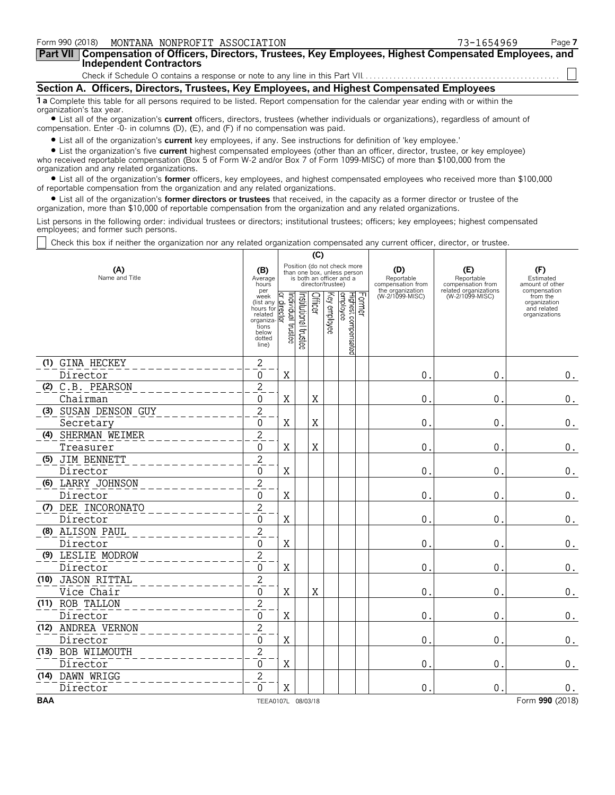| Form 990 (2018) MONTANA NONPROFIT ASSOCIATION                                                                                                                                                                                                           | 73-1654969 | Page 7 |
|---------------------------------------------------------------------------------------------------------------------------------------------------------------------------------------------------------------------------------------------------------|------------|--------|
| Part VII   Compensation of Officers, Directors, Trustees, Key Employees, Highest Compensated Employees, and<br><b>Independent Contractors</b>                                                                                                           |            |        |
|                                                                                                                                                                                                                                                         |            |        |
| Section A. Officers, Directors, Trustees, Key Employees, and Highest Compensated Employees                                                                                                                                                              |            |        |
| 1 a Complete this table for all persons required to be listed. Report compensation for the calendar year ending with or within the<br>organization's tax year.                                                                                          |            |        |
| • List all of the organization's current officers, directors, trustees (whether individuals or organizations), regardless of amount of<br>compensation. Enter -0- in columns (D), $(E)$ , and $(F)$ if no compensation was paid.                        |            |        |
| • List all of the organization's current key employees, if any. See instructions for definition of 'key employee.'<br>A List the exacujuation's five anyward bighest componented employees (ether than an efficer, director, tructes, ex-lisu employee) |            |        |

? List the organization's five **current** highest compensated employees (other than an officer, director, trustee, or key employee) who received reportable compensation (Box 5 of Form W-2 and/or Box 7 of Form 1099-MISC) of more than \$100,000 from the organization and any related organizations.

? List all of the organization's **former** officers, key employees, and highest compensated employees who received more than \$100,000 of reportable compensation from the organization and any related organizations.

? List all of the organization's **former directors or trustees** that received, in the capacity as a former director or trustee of the organization, more than \$10,000 of reportable compensation from the organization and any related organizations.

List persons in the following order: individual trustees or directors; institutional trustees; officers; key employees; highest compensated employees; and former such persons.

Check this box if neither the organization nor any related organization compensated any current officer, director, or trustee.

|                       |                                                                                                                                      |                              |                      | (C)     |                   |                                                                                        |                                                            |                                                                 |                                                          |
|-----------------------|--------------------------------------------------------------------------------------------------------------------------------------|------------------------------|----------------------|---------|-------------------|----------------------------------------------------------------------------------------|------------------------------------------------------------|-----------------------------------------------------------------|----------------------------------------------------------|
| (A)<br>Name and Title | (B)<br>Average<br>hours<br>per                                                                                                       |                              |                      |         | director/trustee) | Position (do not check more<br>than one box, unless person<br>is both an officer and a | (D)<br>Reportable<br>compensation from<br>the organization | (E)<br>Reportable<br>compensation from<br>related organizations | (F)<br>Estimated<br>amount of other<br>compensation      |
|                       | week<br>(list any<br>hours for $\frac{1}{10}$<br>related $\frac{1}{10}$<br>related<br>organiza-<br>tions<br>below<br>dotted<br>line) | ndividual trustee<br>o,<br>Σ | nstitutional trustee | Officer | Key employee      | Former<br>Highest compensated<br>employee                                              | (W-2/1099-MISC)                                            | (W-2/1099-MISC)                                                 | from the<br>organization<br>and related<br>organizations |
| (1) GINA HECKEY       | $\sqrt{2}$                                                                                                                           |                              |                      |         |                   |                                                                                        |                                                            |                                                                 |                                                          |
| Director              | $\mathbf 0$                                                                                                                          | X                            |                      |         |                   |                                                                                        | 0                                                          | $\mathbf 0$                                                     | $0_{.}$                                                  |
| (2) C.B. PEARSON      | $\overline{c}$                                                                                                                       |                              |                      |         |                   |                                                                                        |                                                            |                                                                 |                                                          |
| Chairman              | 0                                                                                                                                    | X                            |                      | Χ       |                   |                                                                                        | 0.                                                         | $\mathbf{0}$                                                    | 0.                                                       |
| (3) SUSAN DENSON GUY  | $\overline{c}$                                                                                                                       |                              |                      |         |                   |                                                                                        |                                                            |                                                                 |                                                          |
| Secretary             | 0                                                                                                                                    | X                            |                      | X       |                   |                                                                                        | $\overline{0}$                                             | $\mathbf{0}$                                                    | $0_{.}$                                                  |
| (4) SHERMAN WEIMER    | $\overline{c}$                                                                                                                       |                              |                      |         |                   |                                                                                        |                                                            |                                                                 |                                                          |
| Treasurer             | 0                                                                                                                                    | $\mathbf X$                  |                      | X       |                   |                                                                                        | $\pmb{0}$                                                  | $\mathbf 0$                                                     | $\boldsymbol{0}$ .                                       |
| (5) JIM BENNETT       | $\overline{c}$                                                                                                                       |                              |                      |         |                   |                                                                                        |                                                            |                                                                 |                                                          |
| Director              | 0                                                                                                                                    | X                            |                      |         |                   |                                                                                        | 0                                                          | $\mathbf 0$                                                     | $\boldsymbol{0}$ .                                       |
| (6) LARRY JOHNSON     | $\overline{c}$                                                                                                                       |                              |                      |         |                   |                                                                                        |                                                            |                                                                 |                                                          |
| Director              | $\mathbf 0$                                                                                                                          | X                            |                      |         |                   |                                                                                        | 0                                                          | $\mathbf 0$                                                     | $\boldsymbol{0}$ .                                       |
| (7) DEE INCORONATO    | $\overline{2}$                                                                                                                       |                              |                      |         |                   |                                                                                        |                                                            |                                                                 |                                                          |
| Director              | 0                                                                                                                                    | X                            |                      |         |                   |                                                                                        | 0                                                          | $\mathbf{0}$                                                    | 0.                                                       |
| (8) ALISON PAUL       | $\overline{c}$                                                                                                                       |                              |                      |         |                   |                                                                                        |                                                            |                                                                 |                                                          |
| Director              | 0                                                                                                                                    | X                            |                      |         |                   |                                                                                        | $\mathbf{0}$                                               | $\mathbf 0$ .                                                   | $\boldsymbol{0}$ .                                       |
| (9) LESLIE MODROW     | $\overline{2}$                                                                                                                       |                              |                      |         |                   |                                                                                        |                                                            |                                                                 |                                                          |
| Director              | 0                                                                                                                                    | X                            |                      |         |                   |                                                                                        | $\mathbf{0}$                                               | $\mathbf 0$                                                     | $0$ .                                                    |
| (10) JASON RITTAL     | $\overline{2}$                                                                                                                       |                              |                      |         |                   |                                                                                        |                                                            |                                                                 |                                                          |
| Vice Chair            | $\overline{0}$                                                                                                                       | X                            |                      | Χ       |                   |                                                                                        | $\Omega$                                                   | 0.                                                              | $\boldsymbol{0}$ .                                       |
| (11) ROB TALLON       | $\mathbf{2}$                                                                                                                         |                              |                      |         |                   |                                                                                        |                                                            |                                                                 |                                                          |
| Director              | 0                                                                                                                                    | Χ                            |                      |         |                   |                                                                                        | $\mathbf{0}$                                               | $\mathbf{0}$                                                    | $0$ .                                                    |
| (12) ANDREA VERNON    | $\overline{2}$                                                                                                                       |                              |                      |         |                   |                                                                                        |                                                            |                                                                 |                                                          |
| Director              | $\mathbf 0$                                                                                                                          | X                            |                      |         |                   |                                                                                        | $\mathbf{0}$                                               | $\mathbf{0}$                                                    | $\boldsymbol{0}$ .                                       |
| (13) BOB WILMOUTH     | $\overline{2}$                                                                                                                       |                              |                      |         |                   |                                                                                        |                                                            |                                                                 |                                                          |
| Director              | $\mathbf 0$                                                                                                                          | Χ                            |                      |         |                   |                                                                                        | $\mathbf{0}$                                               | $\mathbf{0}$                                                    | $0$ .                                                    |
| (14) DAWN WRIGG       | $\overline{2}$                                                                                                                       |                              |                      |         |                   |                                                                                        |                                                            |                                                                 |                                                          |
| Director              | $\Omega$                                                                                                                             | Χ                            |                      |         |                   |                                                                                        | $\overline{0}$                                             | $\mathbf 0$                                                     | 0.                                                       |
| <b>BAA</b>            | TEEA0107L 08/03/18                                                                                                                   |                              |                      |         |                   |                                                                                        |                                                            |                                                                 | Form 990 (2018)                                          |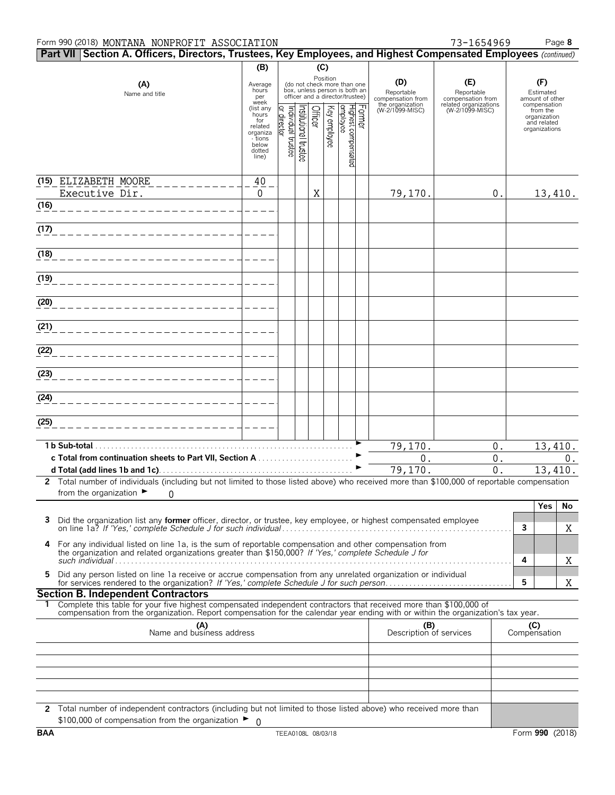| Part VII   Section A. Officers, Directors, Trustees, Key Employees, and Highest Compensated Employees (continued)                                                                                                                                      |                              |                                  |                                                                  |         |              |                                 |        |                                        |                                          |                     |                                          |         |
|--------------------------------------------------------------------------------------------------------------------------------------------------------------------------------------------------------------------------------------------------------|------------------------------|----------------------------------|------------------------------------------------------------------|---------|--------------|---------------------------------|--------|----------------------------------------|------------------------------------------|---------------------|------------------------------------------|---------|
| (B)<br>(C)<br>Position<br>(do not check more than one                                                                                                                                                                                                  |                              |                                  |                                                                  |         |              |                                 |        |                                        |                                          |                     |                                          |         |
| (A)<br>Name and title                                                                                                                                                                                                                                  | Average<br>hours<br>per      |                                  | box, unless person is both an<br>officer and a director/trustee) |         |              |                                 |        | (D)<br>Reportable<br>compensation from | (E)<br>Reportable<br>compensation from   |                     | (F)<br>Estimated<br>amount of other      |         |
|                                                                                                                                                                                                                                                        | week<br>(list any<br>hours   |                                  |                                                                  | Officer |              |                                 | Former | the organization<br>(W-2/1099-MISC)    | related organizations<br>(W-2/1099-MISC) |                     | compensation<br>from the<br>organization |         |
|                                                                                                                                                                                                                                                        | for<br>related               | or director<br>ndividual trustee | nstitutional trustee                                             |         | Key employee |                                 |        |                                        |                                          |                     | and related<br>organizations             |         |
|                                                                                                                                                                                                                                                        | organiza<br>- tions<br>below |                                  |                                                                  |         |              |                                 |        |                                        |                                          |                     |                                          |         |
|                                                                                                                                                                                                                                                        | dotted<br>line)              |                                  |                                                                  |         |              | Highest compensated<br>employee |        |                                        |                                          |                     |                                          |         |
|                                                                                                                                                                                                                                                        |                              |                                  |                                                                  |         |              |                                 |        |                                        |                                          |                     |                                          |         |
| (15) ELIZABETH MOORE                                                                                                                                                                                                                                   | 40                           |                                  |                                                                  |         |              |                                 |        |                                        |                                          |                     |                                          |         |
| Executive Dir.<br>$\overline{(16)}$                                                                                                                                                                                                                    | 0                            |                                  |                                                                  | Χ       |              |                                 |        | 79,170.                                | 0.                                       |                     |                                          | 13,410. |
|                                                                                                                                                                                                                                                        |                              |                                  |                                                                  |         |              |                                 |        |                                        |                                          |                     |                                          |         |
| (17)                                                                                                                                                                                                                                                   |                              |                                  |                                                                  |         |              |                                 |        |                                        |                                          |                     |                                          |         |
| (18)                                                                                                                                                                                                                                                   |                              |                                  |                                                                  |         |              |                                 |        |                                        |                                          |                     |                                          |         |
| (19)                                                                                                                                                                                                                                                   |                              |                                  |                                                                  |         |              |                                 |        |                                        |                                          |                     |                                          |         |
| (20)                                                                                                                                                                                                                                                   |                              |                                  |                                                                  |         |              |                                 |        |                                        |                                          |                     |                                          |         |
| (21)                                                                                                                                                                                                                                                   |                              |                                  |                                                                  |         |              |                                 |        |                                        |                                          |                     |                                          |         |
| (22)                                                                                                                                                                                                                                                   |                              |                                  |                                                                  |         |              |                                 |        |                                        |                                          |                     |                                          |         |
| (23)                                                                                                                                                                                                                                                   |                              |                                  |                                                                  |         |              |                                 |        |                                        |                                          |                     |                                          |         |
|                                                                                                                                                                                                                                                        |                              |                                  |                                                                  |         |              |                                 |        |                                        |                                          |                     |                                          |         |
| (24)                                                                                                                                                                                                                                                   |                              |                                  |                                                                  |         |              |                                 |        |                                        |                                          |                     |                                          |         |
| (25)                                                                                                                                                                                                                                                   |                              |                                  |                                                                  |         |              |                                 |        |                                        |                                          |                     |                                          |         |
| 1 b Sub-total.                                                                                                                                                                                                                                         |                              |                                  |                                                                  |         |              |                                 |        | 79,170.                                | $0$ .                                    |                     |                                          | 13,410. |
| c Total from continuation sheets to Part VII, Section A                                                                                                                                                                                                |                              |                                  |                                                                  |         |              |                                 |        | $0$ .                                  | $0$ .                                    |                     |                                          | 0.      |
| 2 Total number of individuals (including but not limited to those listed above) who received more than \$100,000 of reportable compensation                                                                                                            |                              |                                  |                                                                  |         |              |                                 |        | 79,170.                                | 0.                                       |                     |                                          | 13,410. |
| from the organization $\blacktriangleright$<br>0                                                                                                                                                                                                       |                              |                                  |                                                                  |         |              |                                 |        |                                        |                                          |                     |                                          |         |
|                                                                                                                                                                                                                                                        |                              |                                  |                                                                  |         |              |                                 |        |                                        |                                          |                     | <b>Yes</b>                               | No      |
| Did the organization list any <b>former</b> officer, director, or trustee, key employee, or highest compensated employee                                                                                                                               |                              |                                  |                                                                  |         |              |                                 |        |                                        |                                          | 3                   |                                          | Χ       |
| For any individual listed on line 1a, is the sum of reportable compensation and other compensation from<br>4                                                                                                                                           |                              |                                  |                                                                  |         |              |                                 |        |                                        |                                          |                     |                                          |         |
| the organization and related organizations greater than \$150,000? If 'Yes,' complete Schedule J for                                                                                                                                                   |                              |                                  |                                                                  |         |              |                                 |        |                                        |                                          | 4                   |                                          | Χ       |
| Did any person listed on line 1a receive or accrue compensation from any unrelated organization or individual<br>5.                                                                                                                                    |                              |                                  |                                                                  |         |              |                                 |        |                                        |                                          | 5                   |                                          | Χ       |
| <b>Section B. Independent Contractors</b>                                                                                                                                                                                                              |                              |                                  |                                                                  |         |              |                                 |        |                                        |                                          |                     |                                          |         |
| Complete this table for your five highest compensated independent contractors that received more than \$100,000 of<br>compensation from the organization. Report compensation for the calendar year ending with or within the organization's tax year. |                              |                                  |                                                                  |         |              |                                 |        |                                        |                                          |                     |                                          |         |
| (A)<br>Name and business address                                                                                                                                                                                                                       |                              |                                  |                                                                  |         |              |                                 |        |                                        | (B)<br>Description of services           | (C)<br>Compensation |                                          |         |
|                                                                                                                                                                                                                                                        |                              |                                  |                                                                  |         |              |                                 |        |                                        |                                          |                     |                                          |         |
|                                                                                                                                                                                                                                                        |                              |                                  |                                                                  |         |              |                                 |        |                                        |                                          |                     |                                          |         |
|                                                                                                                                                                                                                                                        |                              |                                  |                                                                  |         |              |                                 |        |                                        |                                          |                     |                                          |         |
|                                                                                                                                                                                                                                                        |                              |                                  |                                                                  |         |              |                                 |        |                                        |                                          |                     |                                          |         |
| 2 Total number of independent contractors (including but not limited to those listed above) who received more than<br>\$100,000 of compensation from the organization ►                                                                                | - 0                          |                                  |                                                                  |         |              |                                 |        |                                        |                                          |                     |                                          |         |
|                                                                                                                                                                                                                                                        |                              |                                  |                                                                  |         |              |                                 |        |                                        |                                          |                     |                                          |         |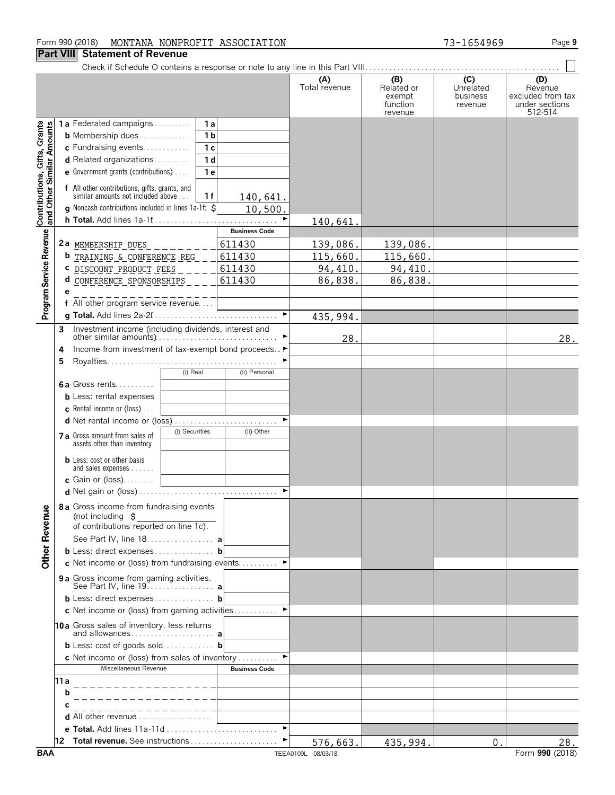### Form 990 (2018) Page **9** MONTANA NONPROFIT ASSOCIATION 73-1654969

## **Part VIII Statement of Revenue**<br>Check if Schedule O contains a res

| II GIL VIII                                               |           | <b>Statement of Revenue</b>                                                                                                                                                                                                                                |                                               |                      |                                                    |                                         |                                                                  |
|-----------------------------------------------------------|-----------|------------------------------------------------------------------------------------------------------------------------------------------------------------------------------------------------------------------------------------------------------------|-----------------------------------------------|----------------------|----------------------------------------------------|-----------------------------------------|------------------------------------------------------------------|
|                                                           |           |                                                                                                                                                                                                                                                            |                                               | (A)<br>Total revenue | (B)<br>Related or<br>exempt<br>function<br>revenue | (C)<br>Unrelated<br>business<br>revenue | (D)<br>Revenue<br>excluded from tax<br>under sections<br>512-514 |
| Contributions, Gifts, Grants<br>and Other Similar Amounts |           | <b>1a</b> Federated campaigns $\ldots$<br>1a<br><b>b</b> Membership dues<br>1 <sub>b</sub><br>c Fundraising events<br>1 <sub>c</sub><br>d Related organizations<br>1 <sub>d</sub><br><b>e</b> Government grants (contributions) $\ldots$<br>1 <sub>e</sub> |                                               |                      |                                                    |                                         |                                                                  |
|                                                           |           | f All other contributions, gifts, grants, and<br>similar amounts not included above<br>1 f<br>g Noncash contributions included in lines 1a-1f: \$                                                                                                          | 140,641.<br>10,500.                           |                      |                                                    |                                         |                                                                  |
|                                                           |           | h Total. Add lines 1a-1f                                                                                                                                                                                                                                   | $\blacktriangleright$<br><b>Business Code</b> | 140,641              |                                                    |                                         |                                                                  |
| Program Service Revenue                                   |           | 2a MEMBERSHIP DUES<br><b>b</b> TRAINING & CONFERENCE REG                                                                                                                                                                                                   | 611430<br>611430                              | 139,086.<br>115,660. | 139,086.<br>115,660.                               |                                         |                                                                  |
|                                                           |           | C DISCOUNT PRODUCT FEES                                                                                                                                                                                                                                    | 611430                                        | 94,410.              | 94,410.                                            |                                         |                                                                  |
|                                                           | d         | CONFERENCE SPONSORSHIPS                                                                                                                                                                                                                                    | 611430                                        | 86,838.              | 86,838.                                            |                                         |                                                                  |
|                                                           |           | f All other program service revenue                                                                                                                                                                                                                        |                                               |                      |                                                    |                                         |                                                                  |
|                                                           | 3         | Investment income (including dividends, interest and                                                                                                                                                                                                       | $\blacktriangleright$                         | 435,994.             |                                                    |                                         |                                                                  |
|                                                           | 4<br>5    | Income from investment of tax-exempt bond proceeds▶                                                                                                                                                                                                        |                                               | 28.                  |                                                    |                                         | 28.                                                              |
|                                                           |           | (i) Real<br><b>6a</b> Gross rents<br><b>b</b> Less: rental expenses<br><b>c</b> Rental income or (loss) $\ldots$<br>d Net rental income or (loss)                                                                                                          | (ii) Personal<br>▶                            |                      |                                                    |                                         |                                                                  |
|                                                           |           | (i) Securities<br>7 a Gross amount from sales of<br>assets other than inventory                                                                                                                                                                            | (ii) Other                                    |                      |                                                    |                                         |                                                                  |
|                                                           |           | <b>b</b> Less: cost or other basis<br>and sales expenses<br>c Gain or (loss)                                                                                                                                                                               |                                               |                      |                                                    |                                         |                                                                  |
| <b>Other Revenue</b>                                      |           | 8 a Gross income from fundraising events<br>(not including $\sharp$<br>of contributions reported on line 1c).                                                                                                                                              |                                               |                      |                                                    |                                         |                                                                  |
|                                                           |           | See Part IV, line 18. a<br><b>b</b> Less: direct expenses <b>b</b><br>c Net income or (loss) from fundraising events                                                                                                                                       |                                               |                      |                                                    |                                         |                                                                  |
|                                                           |           | 9 a Gross income from gaming activities.                                                                                                                                                                                                                   |                                               |                      |                                                    |                                         |                                                                  |
|                                                           |           | <b>b</b> Less: direct expenses <b>b</b>                                                                                                                                                                                                                    |                                               |                      |                                                    |                                         |                                                                  |
|                                                           |           | c Net income or (loss) from gaming activities<br>10a Gross sales of inventory, less returns                                                                                                                                                                |                                               |                      |                                                    |                                         |                                                                  |
|                                                           |           | <b>b</b> Less: cost of goods sold <b>b</b>                                                                                                                                                                                                                 |                                               |                      |                                                    |                                         |                                                                  |
|                                                           |           | <b>c</b> Net income or (loss) from sales of inventory                                                                                                                                                                                                      |                                               |                      |                                                    |                                         |                                                                  |
|                                                           |           | Miscellaneous Revenue                                                                                                                                                                                                                                      | <b>Business Code</b>                          |                      |                                                    |                                         |                                                                  |
|                                                           | 11 a<br>b |                                                                                                                                                                                                                                                            |                                               |                      |                                                    |                                         |                                                                  |
|                                                           | С         | d All other revenue                                                                                                                                                                                                                                        |                                               |                      |                                                    |                                         |                                                                  |
|                                                           |           | e Total. Add lines 11a-11d                                                                                                                                                                                                                                 |                                               |                      |                                                    |                                         |                                                                  |
|                                                           | 12        | Total revenue. See instructions                                                                                                                                                                                                                            |                                               | 576,663.             | 435,994.                                           | 0.                                      | 28.                                                              |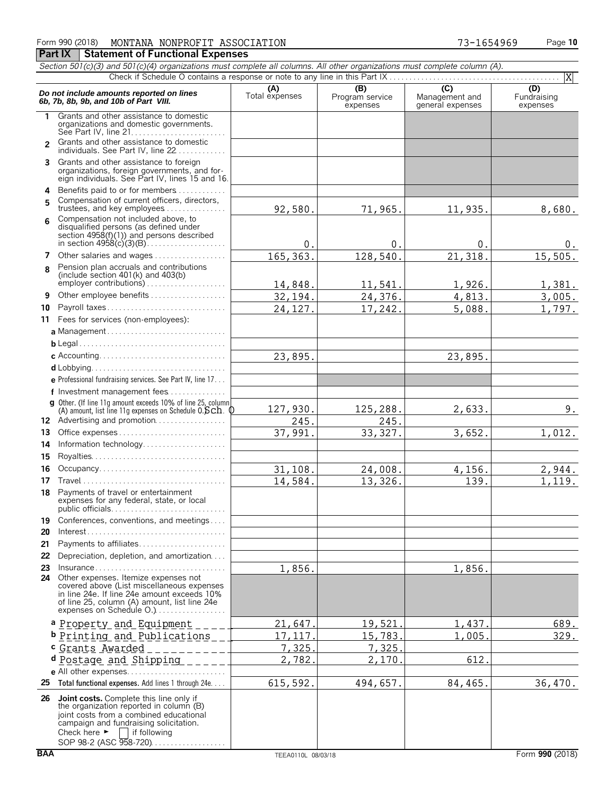| 990 (2018)<br>-<br>r orm | NONPROFIT<br>MONTANA | ASSOCIATION | 54969<br>$\overline{\phantom{a}}$<br>. U J | 10<br>Page |
|--------------------------|----------------------|-------------|--------------------------------------------|------------|
|                          |                      |             |                                            |            |

**Part IX Statement of Functional Expenses** 

|                | Section 501(c)(3) and 501(c)(4) organizations must complete all columns. All other organizations must complete column (A).                                                                                       |                       |                                    |                                                      | X                              |
|----------------|------------------------------------------------------------------------------------------------------------------------------------------------------------------------------------------------------------------|-----------------------|------------------------------------|------------------------------------------------------|--------------------------------|
|                | Do not include amounts reported on lines<br>6b. 7b. 8b. 9b. and 10b of Part VIII.                                                                                                                                | (A)<br>Total expenses | (B)<br>Program service<br>expenses | $\overline{C}$<br>Management and<br>general expenses | (D)<br>Fundraising<br>expenses |
| 1.             | Grants and other assistance to domestic<br>organizations and domestic governments.                                                                                                                               |                       |                                    |                                                      |                                |
| $\overline{2}$ | Grants and other assistance to domestic<br>individuals. See Part IV, line 22                                                                                                                                     |                       |                                    |                                                      |                                |
| 3              | Grants and other assistance to foreign<br>organizations, foreign governments, and for-<br>eign individuals. See Part IV, lines 15 and 16.                                                                        |                       |                                    |                                                      |                                |
| 4<br>5         | Benefits paid to or for members<br>Compensation of current officers, directors,<br>trustees, and key employees                                                                                                   | 92,580.               | 71,965.                            | 11,935.                                              | 8,680.                         |
|                | Compensation not included above, to<br>disqualified persons (as defined under<br>section $4958(f)(1)$ and persons described                                                                                      | 0.                    | 0.                                 | $\mathbf 0$                                          | 0.                             |
| 7              | Other salaries and wages                                                                                                                                                                                         | 165, 363.             | 128,540.                           | 21,318.                                              | 15,505.                        |
| 8              | Pension plan accruals and contributions<br>(include section $401(k)$ and $403(b)$                                                                                                                                | 14,848.               | 11,541.                            | 1,926.                                               | 1,381.                         |
| 9              | Other employee benefits                                                                                                                                                                                          | 32,194.               | 24,376.                            | 4,813.                                               | $\overline{3}$ , 005.          |
| 10             | Payroll taxes                                                                                                                                                                                                    | 24, 127.              | 17,242.                            | 5,088.                                               | $\overline{1}$ , 797.          |
| 11             | Fees for services (non-employees):                                                                                                                                                                               |                       |                                    |                                                      |                                |
|                | a Management                                                                                                                                                                                                     |                       |                                    |                                                      |                                |
|                |                                                                                                                                                                                                                  |                       |                                    |                                                      |                                |
|                |                                                                                                                                                                                                                  | 23,895.               |                                    | 23,895.                                              |                                |
|                |                                                                                                                                                                                                                  |                       |                                    |                                                      |                                |
|                | e Professional fundraising services. See Part IV, line 17                                                                                                                                                        |                       |                                    |                                                      |                                |
|                | f Investment management fees                                                                                                                                                                                     |                       |                                    |                                                      |                                |
|                | g Other. (If line 11g amount exceeds 10% of line 25, column                                                                                                                                                      | 127,930.              | 125,288.                           | 2,633.                                               | 9.                             |
|                | (A) amount, list line 11g expenses on Schedule $0.5ch$ . $0$<br>12 Advertising and promotion                                                                                                                     | 245.                  | 245.                               |                                                      |                                |
| 13             | Office expenses                                                                                                                                                                                                  | 37,991.               | 33, 327.                           | 3,652.                                               | 1,012.                         |
| 14             | Information technology                                                                                                                                                                                           |                       |                                    |                                                      |                                |
| 15             |                                                                                                                                                                                                                  |                       |                                    |                                                      |                                |
| 16             | Occupancy                                                                                                                                                                                                        |                       |                                    |                                                      |                                |
| 17             |                                                                                                                                                                                                                  | 31,108.<br>14,584.    | 24,008.                            | 4,156.                                               | 2,944.                         |
| 18             | Payments of travel or entertainment                                                                                                                                                                              |                       | 13,326.                            | 139.                                                 | 1,119.                         |
|                | expenses for any federal, state, or local<br>public officials                                                                                                                                                    |                       |                                    |                                                      |                                |
| 19             | Conferences, conventions, and meetings                                                                                                                                                                           |                       |                                    |                                                      |                                |
| 20             | $Interest \dots \dots \dots \dots \dots \dots \dots \dots \dots \dots \dots \dots \dots \dots$                                                                                                                   |                       |                                    |                                                      |                                |
| 21             | Payments to affiliates                                                                                                                                                                                           |                       |                                    |                                                      |                                |
| 22             | Depreciation, depletion, and amortization                                                                                                                                                                        |                       |                                    |                                                      |                                |
| 23             | $Insurance \ldots \ldots \ldots \ldots \ldots \ldots \ldots \ldots \ldots$                                                                                                                                       | 1,856.                |                                    | 1,856.                                               |                                |
|                | 24 Other expenses. Itemize expenses not<br>covered above (List miscellaneous expenses<br>in line 24e. If line 24e amount exceeds 10%<br>of line 25, column (A) amount, list line 24e<br>expenses on Schedule O.) |                       |                                    |                                                      |                                |
|                | a Property and Equipment                                                                                                                                                                                         | 21,647                | 19,521                             | 1,437                                                | 689.                           |
|                | b Printing and Publications                                                                                                                                                                                      | 17,117                | 15,783.                            | 1,005                                                | 329.                           |
|                | c Grants Awarded                                                                                                                                                                                                 | 7,325                 | 7,325                              |                                                      |                                |
|                | d Postage and Shipping                                                                                                                                                                                           | 2,782                 | 2,170                              | 612                                                  |                                |
|                | e All other expenses                                                                                                                                                                                             |                       |                                    |                                                      |                                |
|                | 25 Total functional expenses. Add lines 1 through 24e                                                                                                                                                            | 615,592.              | 494,657.                           | 84,465.                                              | 36,470.                        |
|                | 26 Joint costs. Complete this line only if<br>the organization reported in column (B)                                                                                                                            |                       |                                    |                                                      |                                |
|                | joint costs from a combined educational<br>campaign and fundraising solicitation.<br>Check here $\blacktriangleright$<br>if following                                                                            |                       |                                    |                                                      |                                |

SOP 98-2 (ASC 958-720). . . . . . . . . . . . . . . . .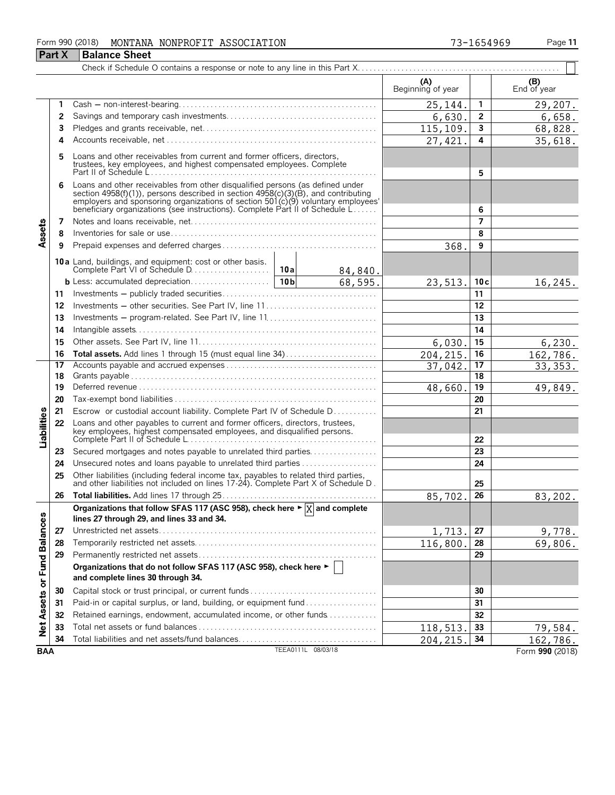### Form 990 (2018) Page **11** MONTANA NONPROFIT ASSOCIATION 73-1654969

|                             | <b>Part X</b> | Balance Sheet                                                                                                                                                                                                                                                                                                         |  |                    |                          |                 |                    |  |  |  |
|-----------------------------|---------------|-----------------------------------------------------------------------------------------------------------------------------------------------------------------------------------------------------------------------------------------------------------------------------------------------------------------------|--|--------------------|--------------------------|-----------------|--------------------|--|--|--|
|                             |               |                                                                                                                                                                                                                                                                                                                       |  |                    |                          |                 |                    |  |  |  |
|                             |               |                                                                                                                                                                                                                                                                                                                       |  |                    | (A)<br>Beginning of year |                 | (B)<br>End of year |  |  |  |
|                             | 1             |                                                                                                                                                                                                                                                                                                                       |  |                    | 25,144.                  | 1               | 29,207.            |  |  |  |
|                             | 2             |                                                                                                                                                                                                                                                                                                                       |  |                    | 6,630.                   | $\mathbf{2}$    | 6,658.             |  |  |  |
|                             | 3             |                                                                                                                                                                                                                                                                                                                       |  |                    | 115,109.                 | 3               | 68,828.            |  |  |  |
|                             | 4             |                                                                                                                                                                                                                                                                                                                       |  |                    | 27,421                   | 4               | 35,618.            |  |  |  |
|                             | 5             | Loans and other receivables from current and former officers, directors,<br>trustees, key employees, and highest compensated employees. Complete                                                                                                                                                                      |  |                    |                          | 5               |                    |  |  |  |
|                             | 6             | Loans and other receivables from other disqualified persons (as defined under<br>section 4958(f)(1)), persons described in section 4958(c)(3)(B), and contributing<br>employers and sponsoring organizations of section 501(c)(9) voluntary employees'<br>beneficiary organizations (see instructions). Complete Part |  |                    | 6                        |                 |                    |  |  |  |
|                             | 7             |                                                                                                                                                                                                                                                                                                                       |  |                    | $\overline{7}$           |                 |                    |  |  |  |
| Assets                      | 8             |                                                                                                                                                                                                                                                                                                                       |  |                    |                          | 8               |                    |  |  |  |
|                             | 9             |                                                                                                                                                                                                                                                                                                                       |  |                    | 368                      | 9               |                    |  |  |  |
|                             |               |                                                                                                                                                                                                                                                                                                                       |  | 84,840.            |                          |                 |                    |  |  |  |
|                             |               |                                                                                                                                                                                                                                                                                                                       |  | 68,595.            | 23,513.                  | 10c             | 16, 245.           |  |  |  |
|                             | 11            |                                                                                                                                                                                                                                                                                                                       |  |                    |                          | 11              |                    |  |  |  |
|                             | 12            | Investments - other securities. See Part IV, line 11                                                                                                                                                                                                                                                                  |  |                    |                          | 12              |                    |  |  |  |
|                             | 13            |                                                                                                                                                                                                                                                                                                                       |  |                    |                          |                 |                    |  |  |  |
|                             | 14            |                                                                                                                                                                                                                                                                                                                       |  | 14                 |                          |                 |                    |  |  |  |
|                             | 15            |                                                                                                                                                                                                                                                                                                                       |  |                    | 6,030                    | 15              | 6, 230.            |  |  |  |
|                             | 16            | Total assets. Add lines 1 through 15 (must equal line 34)                                                                                                                                                                                                                                                             |  |                    | 204,215                  | 16              | 162,786.           |  |  |  |
|                             | 17            |                                                                                                                                                                                                                                                                                                                       |  |                    | 37,042.                  | $\overline{17}$ | 33, 353.           |  |  |  |
|                             | 18            |                                                                                                                                                                                                                                                                                                                       |  |                    |                          | 18              |                    |  |  |  |
|                             | 19            |                                                                                                                                                                                                                                                                                                                       |  |                    | 48,660                   | 19              | 49,849.            |  |  |  |
|                             | 20            |                                                                                                                                                                                                                                                                                                                       |  |                    |                          | 20              |                    |  |  |  |
|                             | 21            | Escrow or custodial account liability. Complete Part IV of Schedule D                                                                                                                                                                                                                                                 |  |                    |                          | 21              |                    |  |  |  |
| Liabilities                 | 22            | Loans and other payables to current and former officers, directors, trustees,<br>key employees, highest compensated employees, and disqualified persons.                                                                                                                                                              |  |                    |                          | 22              |                    |  |  |  |
|                             | 23            | Secured mortgages and notes payable to unrelated third parties                                                                                                                                                                                                                                                        |  |                    |                          | 23              |                    |  |  |  |
|                             | 24            |                                                                                                                                                                                                                                                                                                                       |  |                    |                          | 24              |                    |  |  |  |
|                             | 25            | Other liabilities (including federal income tax, payables to related third parties, and other liabilities not included on lines 17-24). Complete Part X of Schedule D.                                                                                                                                                |  |                    |                          | 25              |                    |  |  |  |
|                             | 26            |                                                                                                                                                                                                                                                                                                                       |  |                    | 85,702.                  | 26              | 83,202.            |  |  |  |
|                             |               | Organizations that follow SFAS 117 (ASC 958), check here $\blacktriangleright \boxed{X}$ and complete<br>lines 27 through 29, and lines 33 and 34.                                                                                                                                                                    |  |                    |                          |                 |                    |  |  |  |
|                             | 27            |                                                                                                                                                                                                                                                                                                                       |  |                    | 1,713.                   | 27              | 9,778.             |  |  |  |
|                             | 28            |                                                                                                                                                                                                                                                                                                                       |  |                    | 116,800                  | 28              | 69,806.            |  |  |  |
|                             | 29            |                                                                                                                                                                                                                                                                                                                       |  |                    |                          | 29              |                    |  |  |  |
| Net Assets or Fund Balances |               | Organizations that do not follow SFAS 117 (ASC 958), check here ►  <br>and complete lines 30 through 34.                                                                                                                                                                                                              |  |                    |                          |                 |                    |  |  |  |
|                             | 30            | Capital stock or trust principal, or current funds                                                                                                                                                                                                                                                                    |  |                    | 30                       |                 |                    |  |  |  |
|                             | 31            | Paid-in or capital surplus, or land, building, or equipment fund                                                                                                                                                                                                                                                      |  |                    |                          | 31              |                    |  |  |  |
|                             | 32            | Retained earnings, endowment, accumulated income, or other funds                                                                                                                                                                                                                                                      |  |                    |                          | 32              |                    |  |  |  |
|                             | 33            |                                                                                                                                                                                                                                                                                                                       |  |                    | 118,513.                 | 33              | 79,584.            |  |  |  |
|                             | 34            | Total liabilities and net assets/fund balances                                                                                                                                                                                                                                                                        |  |                    | 204, 215.                | 34              | 162,786.           |  |  |  |
| <b>BAA</b>                  |               |                                                                                                                                                                                                                                                                                                                       |  | TEEA0111L 08/03/18 |                          |                 | Form 990 (2018)    |  |  |  |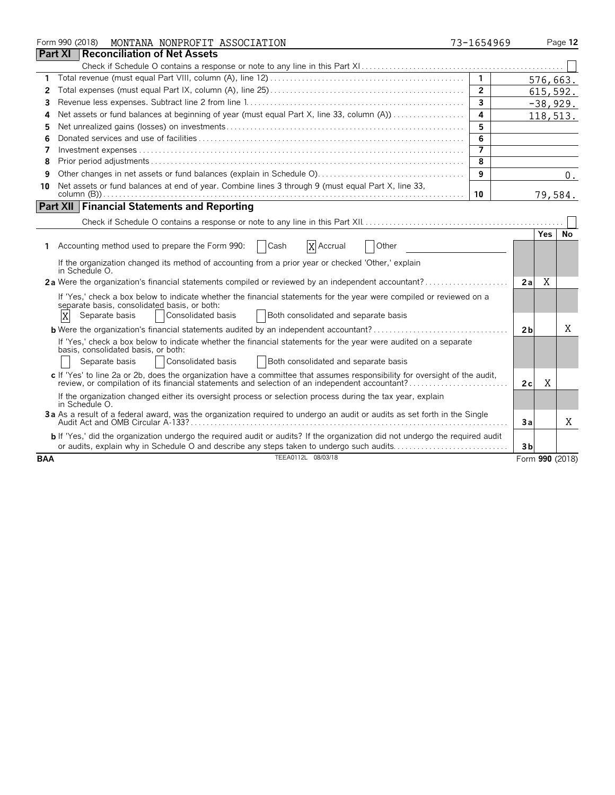|            |                | Form 990 (2018) |                                                       | MONTANA NONPROFIT ASSOCIATION                                                                                                                                                                                                 | 73-1654969        |                |            | Page 12         |
|------------|----------------|-----------------|-------------------------------------------------------|-------------------------------------------------------------------------------------------------------------------------------------------------------------------------------------------------------------------------------|-------------------|----------------|------------|-----------------|
|            | <b>Part XI</b> |                 |                                                       | <b>Reconciliation of Net Assets</b>                                                                                                                                                                                           |                   |                |            |                 |
|            |                |                 |                                                       |                                                                                                                                                                                                                               |                   |                |            |                 |
| 1          |                |                 |                                                       |                                                                                                                                                                                                                               | $\overline{1}$    |                |            | 576,663.        |
| 2          |                |                 |                                                       |                                                                                                                                                                                                                               | $\overline{2}$    |                |            | 615,592.        |
| 3          |                |                 |                                                       |                                                                                                                                                                                                                               | $\overline{3}$    |                |            | $-38,929.$      |
| Δ          |                |                 |                                                       | Net assets or fund balances at beginning of year (must equal Part X, line 33, column (A))                                                                                                                                     | 4                 |                |            | 118,513.        |
| 5          |                |                 |                                                       |                                                                                                                                                                                                                               | 5                 |                |            |                 |
| 6          |                |                 |                                                       |                                                                                                                                                                                                                               | 6                 |                |            |                 |
| 7          |                |                 |                                                       |                                                                                                                                                                                                                               | $\overline{\tau}$ |                |            |                 |
| 8          |                |                 |                                                       |                                                                                                                                                                                                                               | 8                 |                |            |                 |
| 9          |                |                 |                                                       |                                                                                                                                                                                                                               | 9                 |                |            | 0.              |
| 10         |                |                 |                                                       | Net assets or fund balances at end of year. Combine lines 3 through 9 (must equal Part X, line 33,                                                                                                                            |                   |                |            |                 |
|            |                |                 |                                                       |                                                                                                                                                                                                                               | 10                |                |            | 79,584.         |
|            |                |                 |                                                       | <b>Part XII Financial Statements and Reporting</b>                                                                                                                                                                            |                   |                |            |                 |
|            |                |                 |                                                       |                                                                                                                                                                                                                               |                   |                |            |                 |
|            |                |                 |                                                       |                                                                                                                                                                                                                               |                   |                | <b>Yes</b> | No              |
| 1.         |                |                 |                                                       | Accounting method used to prepare the Form 990:<br>  Cash<br>X Accrual<br>Other                                                                                                                                               |                   |                |            |                 |
|            |                | in Schedule O.  |                                                       | If the organization changed its method of accounting from a prior year or checked 'Other,' explain                                                                                                                            |                   |                |            |                 |
|            |                |                 |                                                       | 2a Were the organization's financial statements compiled or reviewed by an independent accountant?                                                                                                                            |                   | 2a             | X          |                 |
|            |                |                 |                                                       | If 'Yes,' check a box below to indicate whether the financial statements for the year were compiled or reviewed on a<br>separate basis, consolidated basis, or both:                                                          |                   |                |            |                 |
|            | X              |                 | Separate basis                                        | Consolidated basis<br>Both consolidated and separate basis                                                                                                                                                                    |                   |                |            |                 |
|            |                |                 |                                                       | <b>b</b> Were the organization's financial statements audited by an independent accountant?                                                                                                                                   |                   | 2 <sub>b</sub> |            | X               |
|            |                |                 | basis, consolidated basis, or both:<br>Separate basis | If 'Yes,' check a box below to indicate whether the financial statements for the year were audited on a separate<br>Consolidated basis<br>Both consolidated and separate basis                                                |                   |                |            |                 |
|            |                |                 |                                                       | c If 'Yes' to line 2a or 2b, does the organization have a committee that assumes responsibility for oversight of the audit,<br>review, or compilation of its financial statements and selection of an independent accountant? |                   | 2c             | X          |                 |
|            |                | in Schedule O.  |                                                       | If the organization changed either its oversight process or selection process during the tax year, explain                                                                                                                    |                   |                |            |                 |
|            |                |                 |                                                       | 3a As a result of a federal award, was the organization required to undergo an audit or audits as set forth in the Single                                                                                                     |                   | Зa             |            | X               |
|            |                |                 |                                                       | b If 'Yes,' did the organization undergo the required audit or audits? If the organization did not undergo the required audit                                                                                                 |                   |                |            |                 |
|            |                |                 |                                                       | or audits, explain why in Schedule O and describe any steps taken to undergo such audits                                                                                                                                      |                   | 3 <sub>b</sub> |            |                 |
| <b>BAA</b> |                |                 |                                                       | TEEA0112L 08/03/18                                                                                                                                                                                                            |                   |                |            | Form 990 (2018) |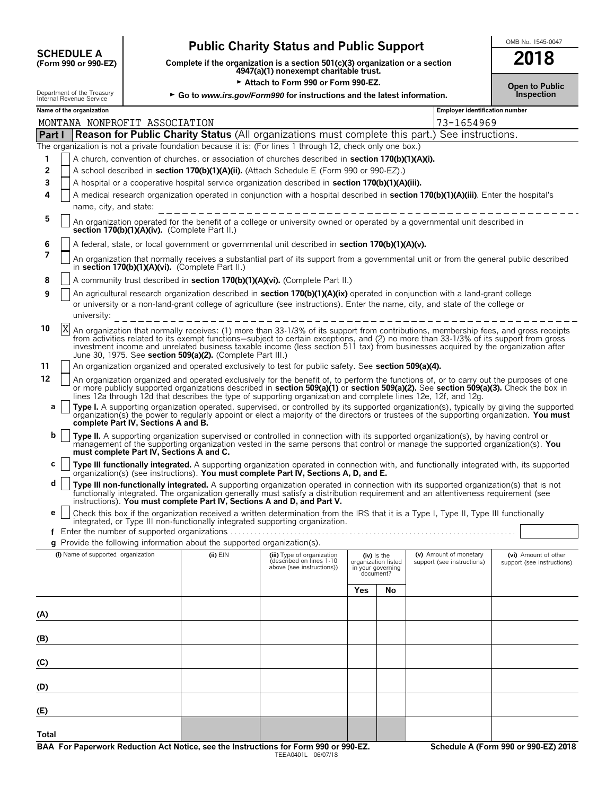| <b>SCHEDULE A</b>                     |
|---------------------------------------|
| $(F_{\alpha r}$ 990 $\alpha r$ 990-FZ |

## **Public Charity Status and Public Support**<br>Dete if the organization is a section 501(c)(3) organization or a section **2018**

**COMPOUTE A**<br>
(Form 990 or 990-EZ) Complete if the organization is a section 501(c)(3) organization or a section<br>
4947(a)(1) nonexempt charitable trust.

| Attach to Form 990 or Form 990-EZ.<br><b>Open to Public</b> |                                                                                                                                                                                                                                                                                                                                                                                                                                                                                                                                                       |  |                                          |                                                                          |                                                                                                                                                                                                                                                                                                                                                                                                                                                                                                                                                           |     |                                                                      |                                                      |  |  |                                                    |
|-------------------------------------------------------------|-------------------------------------------------------------------------------------------------------------------------------------------------------------------------------------------------------------------------------------------------------------------------------------------------------------------------------------------------------------------------------------------------------------------------------------------------------------------------------------------------------------------------------------------------------|--|------------------------------------------|--------------------------------------------------------------------------|-----------------------------------------------------------------------------------------------------------------------------------------------------------------------------------------------------------------------------------------------------------------------------------------------------------------------------------------------------------------------------------------------------------------------------------------------------------------------------------------------------------------------------------------------------------|-----|----------------------------------------------------------------------|------------------------------------------------------|--|--|----------------------------------------------------|
|                                                             | Department of the Treasury<br>Internal Revenue Service                                                                                                                                                                                                                                                                                                                                                                                                                                                                                                |  |                                          |                                                                          | ► Go to www.irs.gov/Form990 for instructions and the latest information.                                                                                                                                                                                                                                                                                                                                                                                                                                                                                  |     |                                                                      |                                                      |  |  | <b>Inspection</b>                                  |
|                                                             | Name of the organization                                                                                                                                                                                                                                                                                                                                                                                                                                                                                                                              |  |                                          |                                                                          |                                                                                                                                                                                                                                                                                                                                                                                                                                                                                                                                                           |     |                                                                      | <b>Employer identification number</b>                |  |  |                                                    |
|                                                             |                                                                                                                                                                                                                                                                                                                                                                                                                                                                                                                                                       |  | MONTANA NONPROFIT ASSOCIATION            |                                                                          |                                                                                                                                                                                                                                                                                                                                                                                                                                                                                                                                                           |     |                                                                      | 73-1654969                                           |  |  |                                                    |
|                                                             |                                                                                                                                                                                                                                                                                                                                                                                                                                                                                                                                                       |  |                                          |                                                                          | <b>Part I Reason for Public Charity Status</b> (All organizations must complete this part.) See instructions.                                                                                                                                                                                                                                                                                                                                                                                                                                             |     |                                                                      |                                                      |  |  |                                                    |
| 1<br>2<br>3<br>4                                            |                                                                                                                                                                                                                                                                                                                                                                                                                                                                                                                                                       |  |                                          |                                                                          | The organization is not a private foundation because it is: (For lines 1 through 12, check only one box.)<br>A church, convention of churches, or association of churches described in section 170(b)(1)(A)(i).<br>A school described in section 170(b)(1)(A)(ii). (Attach Schedule E (Form 990 or 990-EZ).)<br>A hospital or a cooperative hospital service organization described in section 170(b)(1)(A)(iii).<br>A medical research organization operated in conjunction with a hospital described in section 170(b)(1)(A)(iii). Enter the hospital's |     |                                                                      |                                                      |  |  |                                                    |
|                                                             |                                                                                                                                                                                                                                                                                                                                                                                                                                                                                                                                                       |  | name, city, and state:                   |                                                                          |                                                                                                                                                                                                                                                                                                                                                                                                                                                                                                                                                           |     |                                                                      |                                                      |  |  |                                                    |
| 5                                                           | An organization operated for the benefit of a college or university owned or operated by a governmental unit described in<br>section 170(b)(1)(A)(iv). (Complete Part II.)                                                                                                                                                                                                                                                                                                                                                                            |  |                                          |                                                                          |                                                                                                                                                                                                                                                                                                                                                                                                                                                                                                                                                           |     |                                                                      |                                                      |  |  |                                                    |
| 6<br>7                                                      |                                                                                                                                                                                                                                                                                                                                                                                                                                                                                                                                                       |  |                                          |                                                                          | A federal, state, or local government or governmental unit described in section 170(b)(1)(A)(v).<br>An organization that normally receives a substantial part of its support from a governmental unit or from the general public described                                                                                                                                                                                                                                                                                                                |     |                                                                      |                                                      |  |  |                                                    |
| 8                                                           |                                                                                                                                                                                                                                                                                                                                                                                                                                                                                                                                                       |  |                                          | in section 170(b)(1)(A)(vi). (Complete Part II.)                         |                                                                                                                                                                                                                                                                                                                                                                                                                                                                                                                                                           |     |                                                                      |                                                      |  |  |                                                    |
| 9                                                           | A community trust described in section 170(b)(1)(A)(vi). (Complete Part II.)<br>An agricultural research organization described in section 170(b)(1)(A)(ix) operated in conjunction with a land-grant college<br>or university or a non-land-grant college of agriculture (see instructions). Enter the name, city, and state of the college or<br>university:<br>___________________________                                                                                                                                                         |  |                                          |                                                                          |                                                                                                                                                                                                                                                                                                                                                                                                                                                                                                                                                           |     |                                                                      |                                                      |  |  |                                                    |
| 10                                                          | X<br>An organization that normally receives: (1) more than 33-1/3% of its support from contributions, membership fees, and gross receipts<br>from activities related to its exempt functions—subject to certain exceptions, and (2) no more than 33-1/3% of its support from gross<br>investment income and unrelated business taxable income (less section 511 tax) from businesses acquired by the organization after<br>June 30, 1975. See section 509(a)(2). (Complete Part III.)                                                                 |  |                                          |                                                                          |                                                                                                                                                                                                                                                                                                                                                                                                                                                                                                                                                           |     |                                                                      |                                                      |  |  |                                                    |
| 11                                                          | An organization organized and operated exclusively to test for public safety. See section 509(a)(4).                                                                                                                                                                                                                                                                                                                                                                                                                                                  |  |                                          |                                                                          |                                                                                                                                                                                                                                                                                                                                                                                                                                                                                                                                                           |     |                                                                      |                                                      |  |  |                                                    |
| a                                                           | 12<br>An organization organized and operated exclusively for the benefit of, to perform the functions of, or to carry out the purposes of one<br>or more publicly supported organizations described in section 509(a)(1) or section 509(a)(2). See section 509(a)(3). Check the box in<br>lines 12a through 12d that describes the type of supporting organization and complete lines 12e, 12f, and 12g.<br>Type I. A supporting organization operated, supervised, or controlled by its supported organization(s), typically by giving the supported |  |                                          |                                                                          |                                                                                                                                                                                                                                                                                                                                                                                                                                                                                                                                                           |     |                                                                      |                                                      |  |  |                                                    |
|                                                             |                                                                                                                                                                                                                                                                                                                                                                                                                                                                                                                                                       |  | complete Part IV, Sections A and B.      |                                                                          | organization(s) the power to regularly appoint or elect a majority of the directors or trustees of the supporting organization. You must                                                                                                                                                                                                                                                                                                                                                                                                                  |     |                                                                      |                                                      |  |  |                                                    |
| b                                                           |                                                                                                                                                                                                                                                                                                                                                                                                                                                                                                                                                       |  | must complete Part IV, Sections A and C. |                                                                          | Type II. A supporting organization supervised or controlled in connection with its supported organization(s), by having control or<br>management of the supporting organization vested in the same persons that control or manage the supported organization(s). You                                                                                                                                                                                                                                                                                      |     |                                                                      |                                                      |  |  |                                                    |
| с                                                           |                                                                                                                                                                                                                                                                                                                                                                                                                                                                                                                                                       |  |                                          |                                                                          | Type III functionally integrated. A supporting organization operated in connection with, and functionally integrated with, its supported<br>organization(s) (see instructions). You must complete Part IV, Sections A, D, and E.                                                                                                                                                                                                                                                                                                                          |     |                                                                      |                                                      |  |  |                                                    |
| d                                                           |                                                                                                                                                                                                                                                                                                                                                                                                                                                                                                                                                       |  |                                          |                                                                          | Type III non-functionally integrated. A supporting organization operated in connection with its supported organization(s) that is not<br>functionally integrated. The organization generally must satisfy a distribution requirement and an attentiveness requirement (see<br>instructions). You must complete Part IV, Sections A and D, and Part V.                                                                                                                                                                                                     |     |                                                                      |                                                      |  |  |                                                    |
| е                                                           |                                                                                                                                                                                                                                                                                                                                                                                                                                                                                                                                                       |  |                                          | Enter the number of supported organizations                              | Check this box if the organization received a written determination from the IRS that it is a Type I, Type II, Type III functionally<br>integrated, or Type III non-functionally integrated supporting organization.                                                                                                                                                                                                                                                                                                                                      |     |                                                                      |                                                      |  |  |                                                    |
|                                                             |                                                                                                                                                                                                                                                                                                                                                                                                                                                                                                                                                       |  |                                          | g Provide the following information about the supported organization(s). |                                                                                                                                                                                                                                                                                                                                                                                                                                                                                                                                                           |     |                                                                      |                                                      |  |  |                                                    |
|                                                             | (i) Name of supported organization                                                                                                                                                                                                                                                                                                                                                                                                                                                                                                                    |  |                                          | $(ii)$ $EIN$                                                             | (iii) Type of organization<br>described on lines 1-10<br>above (see instructions))                                                                                                                                                                                                                                                                                                                                                                                                                                                                        |     | (iv) is the<br>organization listed<br>in your governing<br>document? | (v) Amount of monetary<br>support (see instructions) |  |  | (vi) Amount of other<br>support (see instructions) |
|                                                             |                                                                                                                                                                                                                                                                                                                                                                                                                                                                                                                                                       |  |                                          |                                                                          |                                                                                                                                                                                                                                                                                                                                                                                                                                                                                                                                                           | Yes | No                                                                   |                                                      |  |  |                                                    |
| (A)                                                         |                                                                                                                                                                                                                                                                                                                                                                                                                                                                                                                                                       |  |                                          |                                                                          |                                                                                                                                                                                                                                                                                                                                                                                                                                                                                                                                                           |     |                                                                      |                                                      |  |  |                                                    |
| (B)                                                         |                                                                                                                                                                                                                                                                                                                                                                                                                                                                                                                                                       |  |                                          |                                                                          |                                                                                                                                                                                                                                                                                                                                                                                                                                                                                                                                                           |     |                                                                      |                                                      |  |  |                                                    |
| (C)                                                         |                                                                                                                                                                                                                                                                                                                                                                                                                                                                                                                                                       |  |                                          |                                                                          |                                                                                                                                                                                                                                                                                                                                                                                                                                                                                                                                                           |     |                                                                      |                                                      |  |  |                                                    |
| (D)                                                         |                                                                                                                                                                                                                                                                                                                                                                                                                                                                                                                                                       |  |                                          |                                                                          |                                                                                                                                                                                                                                                                                                                                                                                                                                                                                                                                                           |     |                                                                      |                                                      |  |  |                                                    |
| (E)                                                         |                                                                                                                                                                                                                                                                                                                                                                                                                                                                                                                                                       |  |                                          |                                                                          |                                                                                                                                                                                                                                                                                                                                                                                                                                                                                                                                                           |     |                                                                      |                                                      |  |  |                                                    |
|                                                             |                                                                                                                                                                                                                                                                                                                                                                                                                                                                                                                                                       |  |                                          |                                                                          |                                                                                                                                                                                                                                                                                                                                                                                                                                                                                                                                                           |     |                                                                      |                                                      |  |  |                                                    |

**Total**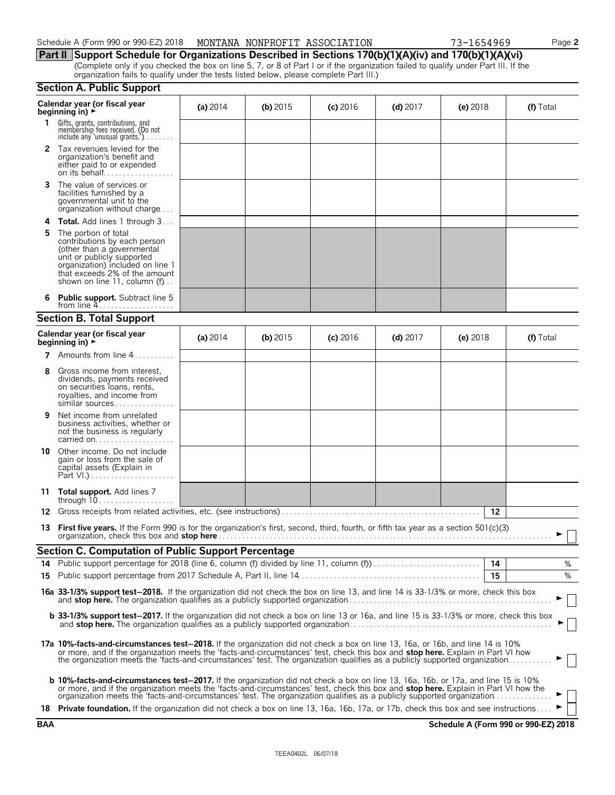| Schedule A (Form 990 or 990-EZ) 2018  MONTANA NONPROFIT ASSOCIATION |  |  | 73-1654969 |
|---------------------------------------------------------------------|--|--|------------|
|---------------------------------------------------------------------|--|--|------------|

73-1654969 Page 2

### **Part II Support Schedule for Organizations Described in Sections 170(b)(1)(A)(iv) and 170(b)(1)(A)(vi)**

(Complete only if you checked the box on line 5, 7, or 8 of Part I or if the organization failed to qualify under Part III. If the organization fails to qualify under the tests listed below, please complete Part III.)

| <b>Section A. Public Support</b> |  |  |  |  |
|----------------------------------|--|--|--|--|
|----------------------------------|--|--|--|--|

|              | occuon A. I upilo oupport                                                                                                                                                                                                                                                                                                                                                                                 |            |            |            |            |            |    |           |
|--------------|-----------------------------------------------------------------------------------------------------------------------------------------------------------------------------------------------------------------------------------------------------------------------------------------------------------------------------------------------------------------------------------------------------------|------------|------------|------------|------------|------------|----|-----------|
|              | Calendar year (or fiscal year<br>beginning in) $\rightarrow$                                                                                                                                                                                                                                                                                                                                              | (a) $2014$ | (b) $2015$ | $(c)$ 2016 | $(d)$ 2017 | (e) $2018$ |    | (f) Total |
| $\mathbf{1}$ | Gifts, grants, contributions, and<br>membership fees received. (Do not<br>include any 'unusual grants.') $\ldots \ldots$                                                                                                                                                                                                                                                                                  |            |            |            |            |            |    |           |
| 2            | Tax revenues levied for the<br>organization's benefit and<br>either paid to or expended<br>on its behalf                                                                                                                                                                                                                                                                                                  |            |            |            |            |            |    |           |
| 3            | The value of services or<br>facilities furnished by a<br>governmental unit to the<br>organization without charge                                                                                                                                                                                                                                                                                          |            |            |            |            |            |    |           |
| 4            | <b>Total.</b> Add lines 1 through 3                                                                                                                                                                                                                                                                                                                                                                       |            |            |            |            |            |    |           |
| 5            | The portion of total<br>contributions by each person<br>(other than a governmental<br>unit or publicly supported<br>organization) included on line 1<br>that exceeds 2% of the amount<br>shown on line 11, column $(f)$                                                                                                                                                                                   |            |            |            |            |            |    |           |
|              | <b>Public support.</b> Subtract line 5<br>from line $4$                                                                                                                                                                                                                                                                                                                                                   |            |            |            |            |            |    |           |
|              | <b>Section B. Total Support</b>                                                                                                                                                                                                                                                                                                                                                                           |            |            |            |            |            |    |           |
|              | Calendar year (or fiscal year<br>beginning in) $\blacktriangleright$                                                                                                                                                                                                                                                                                                                                      | (a) $2014$ | (b) $2015$ | $(c)$ 2016 | (d) $2017$ | (e) $2018$ |    | (f) Total |
| 7            | Amounts from line 4                                                                                                                                                                                                                                                                                                                                                                                       |            |            |            |            |            |    |           |
| 8            | Gross income from interest.<br>dividends, payments received<br>on securities loans, rents,<br>royalties, and income from<br>similar sources                                                                                                                                                                                                                                                               |            |            |            |            |            |    |           |
| 9            | Net income from unrelated<br>business activities, whether or<br>not the business is regularly<br>carried on                                                                                                                                                                                                                                                                                               |            |            |            |            |            |    |           |
| 10           | Other income. Do not include<br>gain or loss from the sale of<br>capital assets (Explain in                                                                                                                                                                                                                                                                                                               |            |            |            |            |            |    |           |
|              | 11 Total support. Add lines 7                                                                                                                                                                                                                                                                                                                                                                             |            |            |            |            |            |    |           |
| 12           |                                                                                                                                                                                                                                                                                                                                                                                                           |            |            |            |            |            | 12 |           |
| 13           | First five years. If the Form 990 is for the organization's first, second, third, fourth, or fifth tax year as a section $501(c)(3)$                                                                                                                                                                                                                                                                      |            |            |            |            |            |    |           |
|              | <b>Section C. Computation of Public Support Percentage</b>                                                                                                                                                                                                                                                                                                                                                |            |            |            |            |            |    |           |
|              |                                                                                                                                                                                                                                                                                                                                                                                                           |            |            |            |            |            | 14 | ℅         |
| 15           |                                                                                                                                                                                                                                                                                                                                                                                                           |            |            |            |            |            | 15 | %         |
|              | 16a 33-1/3% support test-2018. If the organization did not check the box on line 13, and line 14 is 33-1/3% or more, check this box                                                                                                                                                                                                                                                                       |            |            |            |            |            |    |           |
|              | b 33-1/3% support test-2017. If the organization did not check a box on line 13 or 16a, and line 15 is 33-1/3% or more, check this box                                                                                                                                                                                                                                                                    |            |            |            |            |            |    |           |
|              | 17a 10%-facts-and-circumstances test-2018. If the organization did not check a box on line 13, 16a, or 16b, and line 14 is 10%<br>or more, and if the organization meets the 'facts-and-circumstances' test, check this box and stop here. Explain in Part VI how<br>the organization meets the 'facts-and-circumstances' test. The organization qualifies as a publicly supported organization           |            |            |            |            |            |    |           |
|              | <b>b 10%-facts-and-circumstances test-2017.</b> If the organization did not check a box on line 13, 16a, 16b, or 17a, and line 15 is 10%<br>or more, and if the organization meets the 'facts-and-circumstances' test, check this box and stop here. Explain in Part VI how the<br>organization meets the 'facts-and-circumstances' test. The organization qualifies as a publicly supported organization |            |            |            |            |            |    |           |
|              | 18 Private foundation. If the organization did not check a box on line 13, 16a, 16b, 17a, or 17b, check this box and see instructions                                                                                                                                                                                                                                                                     |            |            |            |            |            |    |           |

**BAA Schedule A (Form 990 or 990-EZ) 2018**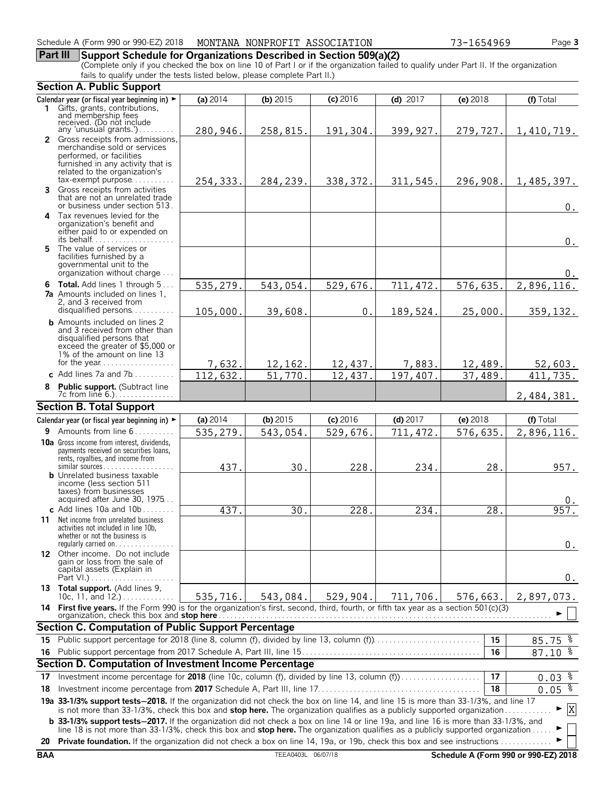**Part III Support Schedule for Organizations Described in Section 509(a)(2)** (Complete only if you checked the box on line 10 of Part I or if the organization failed to qualify under Part II. If the organization fails to qualify under the tests listed below, please complete Part II.)

|    | <b>Section A. Public Support</b>                                                                                                                                                                                                                               |            |            |            |            |            |                                             |
|----|----------------------------------------------------------------------------------------------------------------------------------------------------------------------------------------------------------------------------------------------------------------|------------|------------|------------|------------|------------|---------------------------------------------|
|    | Calendar year (or fiscal year beginning in) ►                                                                                                                                                                                                                  | (a) 2014   | (b) $2015$ | $(c)$ 2016 | (d) $2017$ | (e) 2018   | (f) Total                                   |
|    | 1 Gifts, grants, contributions,<br>and membership fees<br>received. (Do not include                                                                                                                                                                            |            |            |            |            |            |                                             |
|    |                                                                                                                                                                                                                                                                |            |            |            |            |            |                                             |
|    | any 'unusual grants.')<br>2 Gross receipts from admissions,                                                                                                                                                                                                    | 280,946.   | 258,815.   | 191,304.   | 399,927.   | 279,727.   | 1,410,719.                                  |
|    | merchandise sold or services                                                                                                                                                                                                                                   |            |            |            |            |            |                                             |
|    | performed, or facilities                                                                                                                                                                                                                                       |            |            |            |            |            |                                             |
|    | furnished in any activity that is<br>related to the organization's                                                                                                                                                                                             |            |            |            |            |            |                                             |
|    | $tax\text{-}exempt$ purpose                                                                                                                                                                                                                                    | 254,333.   | 284,239.   | 338, 372.  | 311,545.   | 296,908.   | 1,485,397.                                  |
|    | 3 Gross receipts from activities                                                                                                                                                                                                                               |            |            |            |            |            |                                             |
|    | that are not an unrelated trade<br>or business under section 513.                                                                                                                                                                                              |            |            |            |            |            | $0$ .                                       |
|    | 4 Tax revenues levied for the                                                                                                                                                                                                                                  |            |            |            |            |            |                                             |
|    | organization's benefit and<br>either paid to or expended on                                                                                                                                                                                                    |            |            |            |            |            |                                             |
|    | its behalf                                                                                                                                                                                                                                                     |            |            |            |            |            | $0$ .                                       |
|    | 5 The value of services or                                                                                                                                                                                                                                     |            |            |            |            |            |                                             |
|    | facilities furnished by a<br>governmental unit to the                                                                                                                                                                                                          |            |            |            |            |            |                                             |
|    | organization without charge                                                                                                                                                                                                                                    |            |            |            |            |            | $0$ .                                       |
|    | 6 Total. Add lines 1 through 5                                                                                                                                                                                                                                 | 535,279.   | 543,054.   | 529,676.   | 711, 472.  | 576,635.   | 2,896,116.                                  |
|    | <b>7a</b> Amounts included on lines 1,<br>2, and 3 received from                                                                                                                                                                                               |            |            |            |            |            |                                             |
|    | disqualified persons                                                                                                                                                                                                                                           | 105,000    | 39,608     | 0.         | 189,524.   | 25,000     | 359, 132.                                   |
|    | <b>b</b> Amounts included on lines 2                                                                                                                                                                                                                           |            |            |            |            |            |                                             |
|    | and 3 received from other than<br>disqualified persons that                                                                                                                                                                                                    |            |            |            |            |            |                                             |
|    | exceed the greater of \$5,000 or                                                                                                                                                                                                                               |            |            |            |            |            |                                             |
|    | 1% of the amount on line 13                                                                                                                                                                                                                                    |            |            |            |            |            |                                             |
|    | for the year<br>c. Add lines 7a and 7b                                                                                                                                                                                                                         | 7,632.     | 12, 162.   | 12,437.    | 7,883.     | 12,489.    | 52,603.                                     |
|    |                                                                                                                                                                                                                                                                | 112,632.   | 51,770     | 12,437.    | 197,407.   | 37,489.    | $\overline{411, 735}$ .                     |
|    | 8 Public support. (Subtract line                                                                                                                                                                                                                               |            |            |            |            |            | 2,484,381.                                  |
|    | <b>Section B. Total Support</b>                                                                                                                                                                                                                                |            |            |            |            |            |                                             |
|    | Calendar year (or fiscal year beginning in) ►                                                                                                                                                                                                                  | (a) $2014$ | (b) $2015$ | $(c)$ 2016 | $(d)$ 2017 | $(e)$ 2018 | (f) Total                                   |
|    | 9 Amounts from line 6                                                                                                                                                                                                                                          | 535,279.   | 543,054.   | 529,676.   | 711, 472.  | 576,635.   | 2,896,116.                                  |
|    | 10a Gross income from interest, dividends,                                                                                                                                                                                                                     |            |            |            |            |            |                                             |
|    | payments received on securities loans,<br>rents, royalties, and income from                                                                                                                                                                                    |            |            |            |            |            |                                             |
|    | similar sources                                                                                                                                                                                                                                                | 437.       | 30.        | 228.       | 234        | 28.        | 957.                                        |
|    | <b>b</b> Unrelated business taxable                                                                                                                                                                                                                            |            |            |            |            |            |                                             |
|    | income (less section 511<br>taxes) from businesses                                                                                                                                                                                                             |            |            |            |            |            |                                             |
|    | acquired after June 30, 1975                                                                                                                                                                                                                                   |            |            |            |            |            |                                             |
|    | c Add lines 10a and $10b$                                                                                                                                                                                                                                      | 437.       | 30.        | 228.       | 234.       | 28.        | 957.                                        |
| 11 | Net income from unrelated business<br>activities not included in line 10b,                                                                                                                                                                                     |            |            |            |            |            |                                             |
|    | whether or not the business is                                                                                                                                                                                                                                 |            |            |            |            |            |                                             |
|    | regularly carried on                                                                                                                                                                                                                                           |            |            |            |            |            | $0$ .                                       |
|    | 12 Other income. Do not include<br>gain or loss from the sale of                                                                                                                                                                                               |            |            |            |            |            |                                             |
|    | capital assets (Explain in                                                                                                                                                                                                                                     |            |            |            |            |            |                                             |
|    | 13 Total support. (Add lines 9,                                                                                                                                                                                                                                |            |            |            |            |            | $0_{.}$                                     |
|    | 10c, 11, and $12.$ )                                                                                                                                                                                                                                           | 535,716.   | 543,084.   | 529,904.   | 711,706.   | 576,663.   | 2,897,073.                                  |
|    | 14 First five years. If the Form 990 is for the organization's first, second, third, fourth, or fifth tax year as a section 501(c)(3)                                                                                                                          |            |            |            |            |            |                                             |
|    |                                                                                                                                                                                                                                                                |            |            |            |            |            |                                             |
| 15 | Section C. Computation of Public Support Percentage                                                                                                                                                                                                            |            |            |            |            | 15         |                                             |
| 16 |                                                                                                                                                                                                                                                                |            |            |            |            | 16         | $85.75$ $%$<br>$87.10 \text{ } \frac{1}{6}$ |
|    | Section D. Computation of Investment Income Percentage                                                                                                                                                                                                         |            |            |            |            |            |                                             |
|    | Investment income percentage for 2018 (line 10c, column (f), divided by line 13, column (f)                                                                                                                                                                    |            |            |            |            | 17         |                                             |
| 17 |                                                                                                                                                                                                                                                                |            |            |            |            |            | $0.03$ $\frac{8}{3}$                        |
| 18 |                                                                                                                                                                                                                                                                |            |            |            |            | 18         | 0.05 <sup>8</sup>                           |
|    | 19a 33-1/3% support tests-2018. If the organization did not check the box on line 14, and line 15 is more than 33-1/3%, and line 17<br>is not more than 33-1/3%, check this box and stop here. The organization qualifies as a publicly supported organization |            |            |            |            |            | $\mathbf{x}$<br>▶                           |
|    | <b>b</b> 33-1/3% support tests-2017. If the organization did not check a box on line 14 or line 19a, and line 16 is more than 33-1/3%, and                                                                                                                     |            |            |            |            |            |                                             |
|    | line 18 is not more than 33-1/3%, check this box and stop here. The organization qualifies as a publicly supported organization                                                                                                                                |            |            |            |            |            |                                             |
| 20 | <b>Private foundation.</b> If the organization did not check a box on line 14, 19a, or 19b, check this box and see instructions                                                                                                                                |            |            |            |            |            |                                             |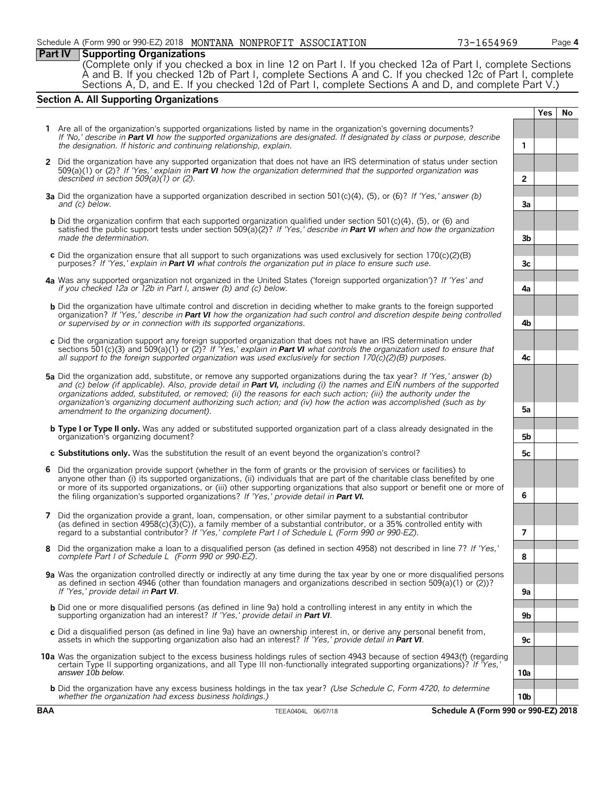### **Part IV Supporting Organizations**

(Complete only if you checked a box in line 12 on Part I. If you checked 12a of Part I, complete Sections A and B. If you checked 12b of Part I, complete Sections A and C. If you checked 12c of Part I, complete Sections A, D, and E. If you checked 12d of Part I, complete Sections A and D, and complete Part V.)

### **Section A. All Supporting Organizations**

|   |                                                                                                                                                                                                                                                                                                                                                                                                                                                                                                                                          |     | Yes | No |  |  |
|---|------------------------------------------------------------------------------------------------------------------------------------------------------------------------------------------------------------------------------------------------------------------------------------------------------------------------------------------------------------------------------------------------------------------------------------------------------------------------------------------------------------------------------------------|-----|-----|----|--|--|
|   | 1 Are all of the organization's supported organizations listed by name in the organization's governing documents?<br>If 'No,' describe in Part VI how the supported organizations are designated. If designated by class or purpose, describe<br>the designation. If historic and continuing relationship, explain.                                                                                                                                                                                                                      | 1   |     |    |  |  |
|   | 2 Did the organization have any supported organization that does not have an IRS determination of status under section                                                                                                                                                                                                                                                                                                                                                                                                                   |     |     |    |  |  |
|   | 509(a)(1) or (2)? If 'Yes,' explain in <b>Part VI</b> how the organization determined that the supported organization was<br>described in section $509(a)(1)$ or (2).                                                                                                                                                                                                                                                                                                                                                                    |     |     |    |  |  |
|   | <b>3a</b> Did the organization have a supported organization described in section 501(c)(4), (5), or (6)? If 'Yes,' answer (b)<br>and (c) below.                                                                                                                                                                                                                                                                                                                                                                                         | За  |     |    |  |  |
|   | <b>b</b> Did the organization confirm that each supported organization qualified under section 501(c)(4), (5), or (6) and<br>satisfied the public support tests under section 509(a)(2)? If 'Yes,' describe in <b>Part VI</b> when and how the organization<br>made the determination.                                                                                                                                                                                                                                                   | 3b  |     |    |  |  |
|   | c Did the organization ensure that all support to such organizations was used exclusively for section $170(c)(2)(B)$<br>purposes? If 'Yes,' explain in Part VI what controls the organization put in place to ensure such use.                                                                                                                                                                                                                                                                                                           | 3c  |     |    |  |  |
|   | 4a Was any supported organization not organized in the United States ('foreign supported organization')? If 'Yes' and<br>if you checked 12a or 12b in Part I, answer (b) and (c) below.                                                                                                                                                                                                                                                                                                                                                  | 4a  |     |    |  |  |
|   | <b>b</b> Did the organization have ultimate control and discretion in deciding whether to make grants to the foreign supported<br>organization? If 'Yes,' describe in Part VI how the organization had such control and discretion despite being controlled<br>or supervised by or in connection with its supported organizations.                                                                                                                                                                                                       | 4b  |     |    |  |  |
|   | c Did the organization support any foreign supported organization that does not have an IRS determination under<br>sections 501(c)(3) and 509(a)(1) or (2)? If 'Yes,' explain in <b>Part VI</b> what controls the organization used to ensure that<br>all support to the foreign supported organization was used exclusively for section $170(c)(2)(B)$ purposes.                                                                                                                                                                        | 4c  |     |    |  |  |
|   | 5a Did the organization add, substitute, or remove any supported organizations during the tax year? If 'Yes,' answer (b)<br>and (c) below (if applicable). Also, provide detail in Part VI, including (i) the names and EIN numbers of the supported<br>organizations added, substituted, or removed; (ii) the reasons for each such action; (iii) the authority under the<br>organization's organizing document authorizing such action; and (iv) how the action was accomplished (such as by<br>amendment to the organizing document). | 5а  |     |    |  |  |
|   | <b>b</b> Type I or Type II only. Was any added or substituted supported organization part of a class already designated in the<br>organization's organizing document?                                                                                                                                                                                                                                                                                                                                                                    | 5b  |     |    |  |  |
|   | c Substitutions only. Was the substitution the result of an event beyond the organization's control?                                                                                                                                                                                                                                                                                                                                                                                                                                     | 5с  |     |    |  |  |
| 6 | Did the organization provide support (whether in the form of grants or the provision of services or facilities) to<br>anyone other than (i) its supported organizations, (ii) individuals that are part of the charitable class benefited by one<br>or more of its supported organizations, or (iii) other supporting organizations that also support or benefit one or more of<br>the filing organization's supported organizations? If 'Yes,' provide detail in Part VI.                                                               | 6   |     |    |  |  |
|   | 7 Did the organization provide a grant, loan, compensation, or other similar payment to a substantial contributor<br>(as defined in section $4958(c)(3)(C)$ ), a family member of a substantial contributor, or a 35% controlled entity with<br>regard to a substantial contributor? If 'Yes,' complete Part I of Schedule L (Form 990 or 990-EZ).                                                                                                                                                                                       | 7   |     |    |  |  |
| 8 | Did the organization make a loan to a disqualified person (as defined in section 4958) not described in line 7? If 'Yes,'<br>complete Part I of Schedule L (Form 990 or 990-EZ).                                                                                                                                                                                                                                                                                                                                                         | 8   |     |    |  |  |
|   | 9a Was the organization controlled directly or indirectly at any time during the tax year by one or more disqualified persons<br>as defined in section 4946 (other than foundation managers and organizations described in section 509(a)(1) or (2))?                                                                                                                                                                                                                                                                                    |     |     |    |  |  |
|   | If 'Yes,' provide detail in Part VI.<br><b>b</b> Did one or more disqualified persons (as defined in line 9a) hold a controlling interest in any entity in which the                                                                                                                                                                                                                                                                                                                                                                     | 9a  |     |    |  |  |
|   | supporting organization had an interest? If 'Yes,' provide detail in Part VI.                                                                                                                                                                                                                                                                                                                                                                                                                                                            | 9b  |     |    |  |  |
|   | c Did a disqualified person (as defined in line 9a) have an ownership interest in, or derive any personal benefit from,<br>assets in which the supporting organization also had an interest? If 'Yes,' provide detail in Part VI.                                                                                                                                                                                                                                                                                                        | 9c  |     |    |  |  |
|   | 10a Was the organization subject to the excess business holdings rules of section 4943 because of section 4943(f) (regarding<br>certain Type II supporting organizations, and all Type III non-functionally integrated supporting organizations)? If 'Yes,'<br>answer 10b below.                                                                                                                                                                                                                                                         | 10a |     |    |  |  |
|   | <b>b</b> Did the organization have any excess business holdings in the tax year? (Use Schedule C, Form 4720, to determine<br>whether the organization had excess business holdings.)                                                                                                                                                                                                                                                                                                                                                     | 10b |     |    |  |  |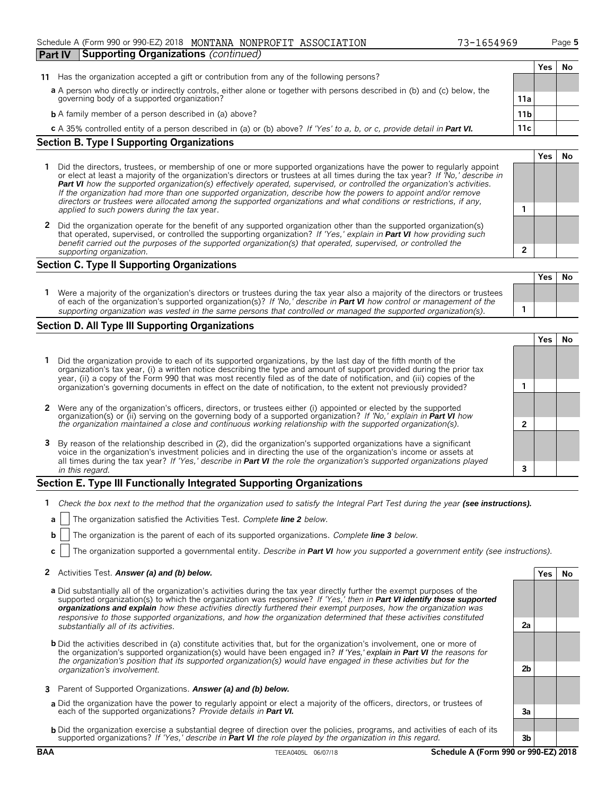### Schedule A (Form 990 or 990-EZ) 2018 MONTANA NONPROFIT ASSOCIATION 73-1654969 Page 5

| <b>Part IV</b> |                                                   | Supporting Organizations (continued)                                                                                      |                 |     |    |  |  |  |
|----------------|---------------------------------------------------|---------------------------------------------------------------------------------------------------------------------------|-----------------|-----|----|--|--|--|
|                |                                                   |                                                                                                                           |                 | Yes | N0 |  |  |  |
| 11             |                                                   | Has the organization accepted a gift or contribution from any of the following persons?                                   |                 |     |    |  |  |  |
|                |                                                   | a A person who directly or indirectly controls, either alone or together with persons described in (b) and (c) below, the |                 |     |    |  |  |  |
|                |                                                   | governing body of a supported organization?                                                                               | 11a             |     |    |  |  |  |
|                |                                                   | <b>b</b> A family member of a person described in (a) above?                                                              | 11 <sub>b</sub> |     |    |  |  |  |
|                |                                                   | c A 35% controlled entity of a person described in (a) or (b) above? If 'Yes' to a, b, or c, provide detail in Part VI.   | 11c             |     |    |  |  |  |
|                | <b>Section B. Type I Supporting Organizations</b> |                                                                                                                           |                 |     |    |  |  |  |

### **1** Did the directors, trustees, or membership of one or more supported organizations have the power to regularly appoint or elect at least a majority of the organization's directors or trustees at all times during the tax year? *If 'No,' describe in Part VI how the supported organization(s) effectively operated, supervised, or controlled the organization's activities. If the organization had more than one supported organization, describe how the powers to appoint and/or remove directors or trustees were allocated among the supported organizations and what conditions or restrictions, if any, applied to such powers during the tax* year. **1**

**2** Did the organization operate for the benefit of any supported organization other than the supported organization(s) that operated, supervised, or controlled the supporting organization? *If 'Yes,' explain in Part VI how providing such benefit carried out the purposes of the supported organization(s) that operated, supervised, or controlled the supporting organization.* **2**

### **Section C. Type II Supporting Organizations**

|                                                                                                                              |                                                                                                                               | <b>Yes</b> | No |
|------------------------------------------------------------------------------------------------------------------------------|-------------------------------------------------------------------------------------------------------------------------------|------------|----|
| Were a majority of the organization's directors or trustees during the tax year also a majority of the directors or trustees |                                                                                                                               |            |    |
| supporting organization was vested in the same persons that controlled or managed the supported organization(s).             | of each of the organization's supported organization(s)? If 'No,' describe in <b>Part VI</b> how control or management of the |            |    |

### **Section D. All Type III Supporting Organizations**

|                                                                                                                                                                                                                                                                                                                                                                             |  | Yes |  |  |
|-----------------------------------------------------------------------------------------------------------------------------------------------------------------------------------------------------------------------------------------------------------------------------------------------------------------------------------------------------------------------------|--|-----|--|--|
| 1 Did the organization provide to each of its supported organizations, by the last day of the fifth month of the<br>organization's tax year, (i) a written notice describing the type and amount of support provided during the prior tax<br>year, (ii) a copy of the Form 990 that was most recently filed as of the date of notification, and (iii) copies of the         |  |     |  |  |
| organization's governing documents in effect on the date of notification, to the extent not previously provided?                                                                                                                                                                                                                                                            |  |     |  |  |
| 2 Were any of the organization's officers, directors, or trustees either (i) appointed or elected by the supported<br>organization(s) or (ii) serving on the governing body of a supported organization? If 'No,' explain in <b>Part VI</b> how                                                                                                                             |  |     |  |  |
| the organization maintained a close and continuous working relationship with the supported organization(s).                                                                                                                                                                                                                                                                 |  |     |  |  |
| 3 By reason of the relationship described in (2), did the organization's supported organizations have a significant<br>voice in the organization's investment policies and in directing the use of the organization's income or assets at<br>all times during the tax year? If 'Yes,' describe in <b>Part VI</b> the role the organization's supported organizations played |  |     |  |  |
| in this regard.                                                                                                                                                                                                                                                                                                                                                             |  |     |  |  |

### **Section E. Type III Functionally Integrated Supporting Organizations**

- **1** *Check the box next to the method that the organization used to satisfy the Integral Part Test during the year (see instructions).*
- **a** The organization satisfied the Activities Test. *Complete line 2 below.*
- **b** The organization is the parent of each of its supported organizations. *Complete line* 3 *below*.
- **c** The organization supported a governmental entity. *Describe in Part VI how you supported a government entity (see instructions).*

### **2** Activities Test. **Answer (a) and (b) below. Yes No**

- **a** Did substantially all of the organization's activities during the tax year directly further the exempt purposes of the supported organization(s) to which the organization was responsive? *If 'Yes,' then in Part VI identify those supported organizations and explain how these activities directly furthered their exempt purposes, how the organization was responsive to those supported organizations, and how the organization determined that these activities constituted substantially all of its activities.* **2a**
- **b** Did the activities described in (a) constitute activities that, but for the organization's involvement, one or more of the organization's supported organization(s) would have been engaged in? *If 'Yes,' explain in Part VI the reasons for the organization's position that its supported organization(s) would have engaged in these activities but for the organization's involvement.* **2b**
- **3** Parent of Supported Organizations. *Answer (a) and (b) below.*
- **a** Did the organization have the power to regularly appoint or elect a majority of the officers, directors, or trustees of each of the supported organizations? *Provide details in Part VI.* **3a**
- **b** Did the organization exercise a substantial degree of direction over the policies, programs, and activities of each of its supported organizations? *If 'Yes,' describe in Part VI the role played by the organization in this regard.* **3b**

**BAA** TEEA0405L 06/07/18 **Schedule A (Form 990 or 990-EZ) 2018** 



|  | 165496 |  |  |
|--|--------|--|--|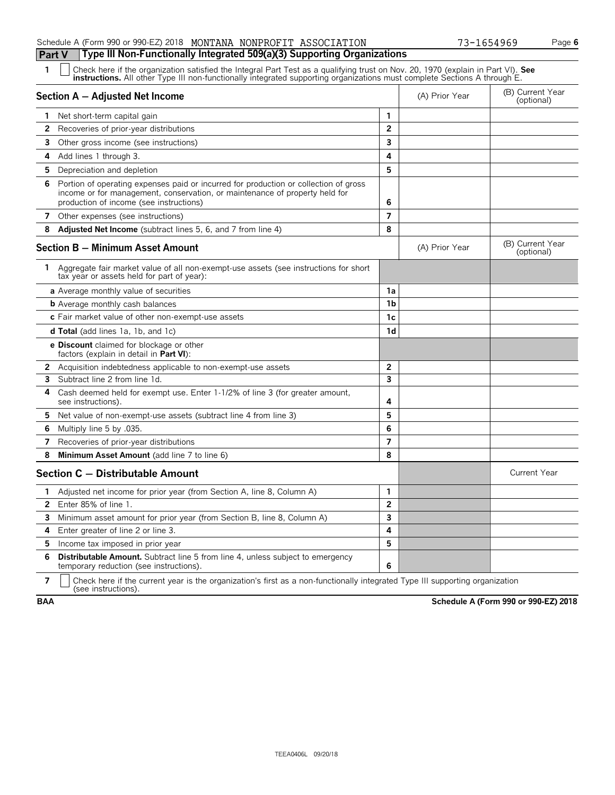### Schedule A (Form 990 or 990-EZ) 2018 MONTANA NONPROFIT ASSOCIATION **73-1654969** Page 6 **Part V Type III Non-Functionally Integrated 509(a)(3) Supporting Organizations**

| 73-1654969 |  |  |  |  |
|------------|--|--|--|--|
|            |  |  |  |  |

| 1              | Check here if the organization satisfied the Integral Part Test as a qualifying trust on Nov. 20, 1970 (explain in Part VI). See<br><b>instructions.</b> All other Type III non-functionally integrated supporting organizations must complete Sections A through E. |                         |                |                                |  |  |  |
|----------------|----------------------------------------------------------------------------------------------------------------------------------------------------------------------------------------------------------------------------------------------------------------------|-------------------------|----------------|--------------------------------|--|--|--|
|                | Section A - Adjusted Net Income                                                                                                                                                                                                                                      |                         | (A) Prior Year | (B) Current Year<br>(optional) |  |  |  |
|                | 1 Net short-term capital gain                                                                                                                                                                                                                                        | 1                       |                |                                |  |  |  |
| 2              | Recoveries of prior-year distributions                                                                                                                                                                                                                               | $\overline{2}$          |                |                                |  |  |  |
| 3.             | Other gross income (see instructions)                                                                                                                                                                                                                                | 3                       |                |                                |  |  |  |
| 4              | Add lines 1 through 3.                                                                                                                                                                                                                                               | 4                       |                |                                |  |  |  |
| 5.             | Depreciation and depletion                                                                                                                                                                                                                                           | 5                       |                |                                |  |  |  |
| 6              | Portion of operating expenses paid or incurred for production or collection of gross<br>income or for management, conservation, or maintenance of property held for<br>production of income (see instructions)                                                       | 6                       |                |                                |  |  |  |
|                | 7 Other expenses (see instructions)                                                                                                                                                                                                                                  | $\overline{7}$          |                |                                |  |  |  |
| 8              | <b>Adjusted Net Income</b> (subtract lines 5, 6, and 7 from line 4)                                                                                                                                                                                                  | 8                       |                |                                |  |  |  |
|                | Section B - Minimum Asset Amount                                                                                                                                                                                                                                     |                         | (A) Prior Year | (B) Current Year<br>(optional) |  |  |  |
|                | 1 Aggregate fair market value of all non-exempt-use assets (see instructions for short<br>tax year or assets held for part of year):                                                                                                                                 |                         |                |                                |  |  |  |
|                | <b>a</b> Average monthly value of securities                                                                                                                                                                                                                         | 1a                      |                |                                |  |  |  |
|                | <b>b</b> Average monthly cash balances                                                                                                                                                                                                                               | 1b                      |                |                                |  |  |  |
|                | c Fair market value of other non-exempt-use assets                                                                                                                                                                                                                   | 1c                      |                |                                |  |  |  |
|                | <b>d Total</b> (add lines 1a, 1b, and 1c)                                                                                                                                                                                                                            | 1 <sub>d</sub>          |                |                                |  |  |  |
|                | <b>e Discount</b> claimed for blockage or other<br>factors (explain in detail in <b>Part VI</b> ):                                                                                                                                                                   |                         |                |                                |  |  |  |
| 2.             | Acquisition indebtedness applicable to non-exempt-use assets                                                                                                                                                                                                         | $\overline{2}$          |                |                                |  |  |  |
| 3              | Subtract line 2 from line 1d.                                                                                                                                                                                                                                        | 3                       |                |                                |  |  |  |
| 4              | Cash deemed held for exempt use. Enter 1-1/2% of line 3 (for greater amount,<br>see instructions).                                                                                                                                                                   | 4                       |                |                                |  |  |  |
| 5.             | Net value of non-exempt-use assets (subtract line 4 from line 3)                                                                                                                                                                                                     | 5                       |                |                                |  |  |  |
| 6              | Multiply line 5 by .035.                                                                                                                                                                                                                                             | 6                       |                |                                |  |  |  |
| 7              | Recoveries of prior-year distributions                                                                                                                                                                                                                               | $\overline{7}$          |                |                                |  |  |  |
| 8              | Minimum Asset Amount (add line 7 to line 6)                                                                                                                                                                                                                          | 8                       |                |                                |  |  |  |
|                | Section C - Distributable Amount                                                                                                                                                                                                                                     |                         |                | <b>Current Year</b>            |  |  |  |
| 1.             | Adjusted net income for prior year (from Section A, line 8, Column A)                                                                                                                                                                                                | 1                       |                |                                |  |  |  |
| $\mathbf{2}^-$ | Enter 85% of line 1.                                                                                                                                                                                                                                                 | $\overline{\mathbf{c}}$ |                |                                |  |  |  |
| 3              | Minimum asset amount for prior year (from Section B, line 8, Column A)                                                                                                                                                                                               | 3                       |                |                                |  |  |  |
| 4              | Enter greater of line 2 or line 3.                                                                                                                                                                                                                                   | 4                       |                |                                |  |  |  |
| 5.             | Income tax imposed in prior year                                                                                                                                                                                                                                     | 5                       |                |                                |  |  |  |
| 6              | <b>Distributable Amount.</b> Subtract line 5 from line 4, unless subject to emergency<br>temporary reduction (see instructions).                                                                                                                                     | 6                       |                |                                |  |  |  |

**7**  $\parallel$  Check here if the current year is the organization's first as a non-functionally integrated Type III supporting organization (see instructions).

**BAA Schedule A (Form 990 or 990-EZ) 2018**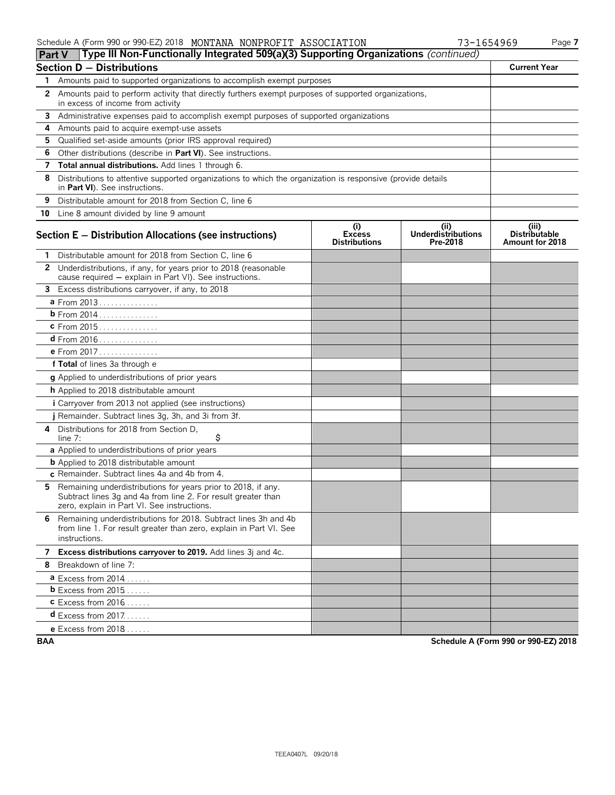| Part V       | Type III Non-Functionally Integrated 509(a)(3) Supporting Organizations (continued)                                                                                           |                                              |                                               |                                                  |
|--------------|-------------------------------------------------------------------------------------------------------------------------------------------------------------------------------|----------------------------------------------|-----------------------------------------------|--------------------------------------------------|
|              | <b>Section D - Distributions</b>                                                                                                                                              |                                              |                                               | <b>Current Year</b>                              |
|              | Amounts paid to supported organizations to accomplish exempt purposes                                                                                                         |                                              |                                               |                                                  |
|              | 2 Amounts paid to perform activity that directly furthers exempt purposes of supported organizations,<br>in excess of income from activity                                    |                                              |                                               |                                                  |
|              | 3 Administrative expenses paid to accomplish exempt purposes of supported organizations                                                                                       |                                              |                                               |                                                  |
| 4            | Amounts paid to acquire exempt-use assets                                                                                                                                     |                                              |                                               |                                                  |
| 5.           | Qualified set-aside amounts (prior IRS approval required)                                                                                                                     |                                              |                                               |                                                  |
| 6            | Other distributions (describe in Part VI). See instructions.                                                                                                                  |                                              |                                               |                                                  |
| 7            | Total annual distributions. Add lines 1 through 6.                                                                                                                            |                                              |                                               |                                                  |
| 8            | Distributions to attentive supported organizations to which the organization is responsive (provide details<br>in Part VI). See instructions.                                 |                                              |                                               |                                                  |
| 9            | Distributable amount for 2018 from Section C, line 6                                                                                                                          |                                              |                                               |                                                  |
|              | 10 Line 8 amount divided by line 9 amount                                                                                                                                     |                                              |                                               |                                                  |
|              | Section E - Distribution Allocations (see instructions)                                                                                                                       | (i)<br><b>Excess</b><br><b>Distributions</b> | (ii)<br><b>Underdistributions</b><br>Pre-2018 | (iii)<br><b>Distributable</b><br>Amount for 2018 |
| 1            | Distributable amount for 2018 from Section C, line 6                                                                                                                          |                                              |                                               |                                                  |
| $\mathbf{2}$ | Underdistributions, if any, for years prior to 2018 (reasonable<br>cause required - explain in Part VI). See instructions.                                                    |                                              |                                               |                                                  |
|              | 3 Excess distributions carryover, if any, to 2018                                                                                                                             |                                              |                                               |                                                  |
|              | a From 2013                                                                                                                                                                   |                                              |                                               |                                                  |
|              | <b>b</b> From 2014                                                                                                                                                            |                                              |                                               |                                                  |
|              | c From 2015                                                                                                                                                                   |                                              |                                               |                                                  |
|              |                                                                                                                                                                               |                                              |                                               |                                                  |
|              | e From 2017                                                                                                                                                                   |                                              |                                               |                                                  |
|              | f Total of lines 3a through e                                                                                                                                                 |                                              |                                               |                                                  |
|              | g Applied to underdistributions of prior years                                                                                                                                |                                              |                                               |                                                  |
|              | h Applied to 2018 distributable amount                                                                                                                                        |                                              |                                               |                                                  |
|              | <i>i</i> Carryover from 2013 not applied (see instructions)                                                                                                                   |                                              |                                               |                                                  |
|              | j Remainder. Subtract lines 3g, 3h, and 3i from 3f.                                                                                                                           |                                              |                                               |                                                  |
| 4            | Distributions for 2018 from Section D,<br>\$<br>line $7:$                                                                                                                     |                                              |                                               |                                                  |
|              | a Applied to underdistributions of prior years                                                                                                                                |                                              |                                               |                                                  |
|              | <b>b</b> Applied to 2018 distributable amount                                                                                                                                 |                                              |                                               |                                                  |
|              | c Remainder. Subtract lines 4a and 4b from 4.                                                                                                                                 |                                              |                                               |                                                  |
| 5.           | Remaining underdistributions for years prior to 2018, if any.<br>Subtract lines 3g and 4a from line 2. For result greater than<br>zero, explain in Part VI. See instructions. |                                              |                                               |                                                  |
|              | 6 Remaining underdistributions for 2018. Subtract lines 3h and 4b<br>from line 1. For result greater than zero, explain in Part VI. See<br>instructions.                      |                                              |                                               |                                                  |
|              | 7 Excess distributions carryover to 2019. Add lines 3j and 4c.                                                                                                                |                                              |                                               |                                                  |
|              | 8 Breakdown of line 7:                                                                                                                                                        |                                              |                                               |                                                  |
|              | $a$ Excess from 2014                                                                                                                                                          |                                              |                                               |                                                  |
|              | <b>b</b> Excess from $2015$ .                                                                                                                                                 |                                              |                                               |                                                  |
|              | $c$ Excess from 2016                                                                                                                                                          |                                              |                                               |                                                  |
|              | <b>d</b> Excess from $2017$                                                                                                                                                   |                                              |                                               |                                                  |
|              | <b>e</b> Excess from $2018$                                                                                                                                                   |                                              |                                               |                                                  |

**BAA Schedule A (Form 990 or 990-EZ) 2018**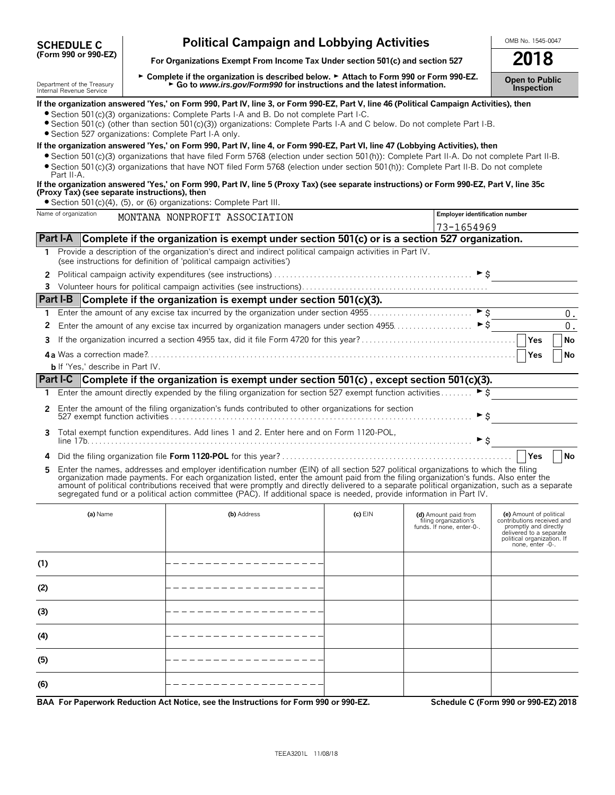| <b>SCHEDULE C</b>    |  |  |
|----------------------|--|--|
| (Form 990 or 990-EZ) |  |  |

# **Political Campaign and Lobbying Activities** <br>
anizations Exempt From Income Tax Under section 501(c) and section 527 **2018**

For Organizations Exempt From Income Tax Under section 501(c) and section 527

**(5)**

**(6)**

Department of the Treasury Letton Departe if the organization is described below. ► Attach to Form 990 or Form 990-EZ.<br>Internal Revenue Service Letton Letton Letton Controller Revenue Service Letton Letton Departement Con

|     |                                                      | If the organization answered 'Yes,' on Form 990, Part IV, line 3, or Form 990-EZ, Part V, line 46 (Political Campaign Activities), then<br>• Section 501(c)(3) organizations: Complete Parts I-A and B. Do not complete Part I-C.                                                                                                                                                                                                                                                                                                                    |           |                                                                            |                                                                                                                                                             |
|-----|------------------------------------------------------|------------------------------------------------------------------------------------------------------------------------------------------------------------------------------------------------------------------------------------------------------------------------------------------------------------------------------------------------------------------------------------------------------------------------------------------------------------------------------------------------------------------------------------------------------|-----------|----------------------------------------------------------------------------|-------------------------------------------------------------------------------------------------------------------------------------------------------------|
|     | · Section 527 organizations: Complete Part I-A only. | • Section 501(c) (other than section 501(c)(3)) organizations: Complete Parts I-A and C below. Do not complete Part I-B.                                                                                                                                                                                                                                                                                                                                                                                                                             |           |                                                                            |                                                                                                                                                             |
|     | Part II-A.                                           | If the organization answered 'Yes,' on Form 990, Part IV, line 4, or Form 990-EZ, Part VI, line 47 (Lobbying Activities), then<br>• Section 501(c)(3) organizations that have filed Form 5768 (election under section 501(h)): Complete Part II-A. Do not complete Part II-B.<br>• Section 501(c)(3) organizations that have NOT filed Form 5768 (election under section 501(h)): Complete Part II-B. Do not complete                                                                                                                                |           |                                                                            |                                                                                                                                                             |
|     | (Proxy Tax) (see separate instructions), then        | If the organization answered 'Yes,' on Form 990, Part IV, line 5 (Proxy Tax) (see separate instructions) or Form 990-EZ, Part V, line 35c                                                                                                                                                                                                                                                                                                                                                                                                            |           |                                                                            |                                                                                                                                                             |
|     | Name of organization                                 | • Section 501(c)(4), (5), or (6) organizations: Complete Part III.                                                                                                                                                                                                                                                                                                                                                                                                                                                                                   |           | Employer identification number                                             |                                                                                                                                                             |
|     |                                                      | MONTANA NONPROFIT ASSOCIATION                                                                                                                                                                                                                                                                                                                                                                                                                                                                                                                        |           | 73-1654969                                                                 |                                                                                                                                                             |
|     |                                                      | Part I-A Complete if the organization is exempt under section 501(c) or is a section 527 organization.                                                                                                                                                                                                                                                                                                                                                                                                                                               |           |                                                                            |                                                                                                                                                             |
|     |                                                      | 1 Provide a description of the organization's direct and indirect political campaign activities in Part IV.<br>(see instructions for definition of 'political campaign activities')                                                                                                                                                                                                                                                                                                                                                                  |           |                                                                            |                                                                                                                                                             |
|     |                                                      |                                                                                                                                                                                                                                                                                                                                                                                                                                                                                                                                                      |           |                                                                            |                                                                                                                                                             |
|     |                                                      |                                                                                                                                                                                                                                                                                                                                                                                                                                                                                                                                                      |           |                                                                            |                                                                                                                                                             |
|     |                                                      | Part I-B Complete if the organization is exempt under section 501(c)(3).                                                                                                                                                                                                                                                                                                                                                                                                                                                                             |           |                                                                            |                                                                                                                                                             |
| 1.  |                                                      |                                                                                                                                                                                                                                                                                                                                                                                                                                                                                                                                                      |           |                                                                            | 0.                                                                                                                                                          |
| 2   |                                                      | Enter the amount of any excise tax incurred by organization managers under section 4955                                                                                                                                                                                                                                                                                                                                                                                                                                                              |           | $\triangleright$ \$                                                        | $0$ .                                                                                                                                                       |
| 3   |                                                      |                                                                                                                                                                                                                                                                                                                                                                                                                                                                                                                                                      |           |                                                                            | Yes<br>No                                                                                                                                                   |
|     |                                                      |                                                                                                                                                                                                                                                                                                                                                                                                                                                                                                                                                      |           |                                                                            | Yes<br><b>No</b>                                                                                                                                            |
|     | <b>b</b> If 'Yes,' describe in Part IV.              |                                                                                                                                                                                                                                                                                                                                                                                                                                                                                                                                                      |           |                                                                            |                                                                                                                                                             |
|     |                                                      | Part I-C Complete if the organization is exempt under section 501(c), except section 501(c)(3).                                                                                                                                                                                                                                                                                                                                                                                                                                                      |           |                                                                            |                                                                                                                                                             |
|     |                                                      | 1 Enter the amount directly expended by the filing organization for section 527 exempt function activities                                                                                                                                                                                                                                                                                                                                                                                                                                           |           | $\overline{\phantom{1}}$ $\overline{\phantom{1}}$                          |                                                                                                                                                             |
|     |                                                      | 2 Enter the amount of the filing organization's funds contributed to other organizations for section                                                                                                                                                                                                                                                                                                                                                                                                                                                 |           | ► \$                                                                       |                                                                                                                                                             |
| 3.  |                                                      | Total exempt function expenditures. Add lines 1 and 2. Enter here and on Form 1120-POL,                                                                                                                                                                                                                                                                                                                                                                                                                                                              |           | $\blacktriangleright$ \$                                                   |                                                                                                                                                             |
|     |                                                      |                                                                                                                                                                                                                                                                                                                                                                                                                                                                                                                                                      |           |                                                                            | Yes<br><b>No</b>                                                                                                                                            |
| 5.  |                                                      | Enter the names, addresses and employer identification number (EIN) of all section 527 political organizations to which the filing<br>organization made payments. For each organization listed, enter the amount paid from the filing organization's funds. Also enter the<br>amount of political contributions received that were promptly and directly delivered to a separate political organization, such as a separate<br>segregated fund or a political action committee (PAC). If additional space is needed, provide information in Part IV. |           |                                                                            |                                                                                                                                                             |
|     | (a) Name                                             | (b) Address                                                                                                                                                                                                                                                                                                                                                                                                                                                                                                                                          | $(c)$ EIN | (d) Amount paid from<br>filing organization's<br>funds. If none, enter-0-. | (e) Amount of political<br>contributions received and<br>promptly and directly<br>delivered to a separate<br>political organization. If<br>none, enter -0-. |
| (1) |                                                      |                                                                                                                                                                                                                                                                                                                                                                                                                                                                                                                                                      |           |                                                                            |                                                                                                                                                             |
| (2) |                                                      |                                                                                                                                                                                                                                                                                                                                                                                                                                                                                                                                                      |           |                                                                            |                                                                                                                                                             |
| (3) |                                                      |                                                                                                                                                                                                                                                                                                                                                                                                                                                                                                                                                      |           |                                                                            |                                                                                                                                                             |
| (4) |                                                      |                                                                                                                                                                                                                                                                                                                                                                                                                                                                                                                                                      |           |                                                                            |                                                                                                                                                             |
|     |                                                      |                                                                                                                                                                                                                                                                                                                                                                                                                                                                                                                                                      |           |                                                                            |                                                                                                                                                             |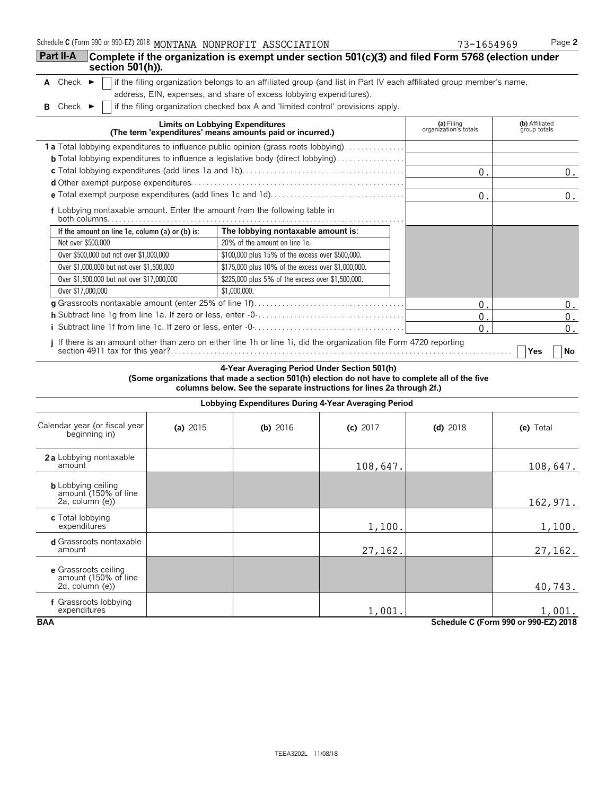| Schedule C (Form 990 or 990-EZ) 2018 MONTANA NONPROFIT ASSOCIATION |  |  |  |
|--------------------------------------------------------------------|--|--|--|
|--------------------------------------------------------------------|--|--|--|

| Schedule C (Form 990 or 990-EZ) 2018 MONTANA NONPROFIT ASSOCIATION                                                                                            |                                                                                                                                                                                            | 73-1654969                          | Page 2                         |
|---------------------------------------------------------------------------------------------------------------------------------------------------------------|--------------------------------------------------------------------------------------------------------------------------------------------------------------------------------------------|-------------------------------------|--------------------------------|
| Part II-A<br>section 501(h)).                                                                                                                                 | Complete if the organization is exempt under section 501(c)(3) and filed Form 5768 (election under                                                                                         |                                     |                                |
| A Check<br>►                                                                                                                                                  | if the filing organization belongs to an affiliated group (and list in Part IV each affiliated group member's name,<br>address, EIN, expenses, and share of excess lobbying expenditures). |                                     |                                |
| Check $\blacktriangleright$<br>в                                                                                                                              | if the filing organization checked box A and 'limited control' provisions apply.                                                                                                           |                                     |                                |
|                                                                                                                                                               | <b>Limits on Lobbying Expenditures</b><br>(The term 'expenditures' means amounts paid or incurred.)                                                                                        | (a) Filing<br>organization's totals | (b) Affiliated<br>group totals |
|                                                                                                                                                               | 1a Total lobbying expenditures to influence public opinion (grass roots lobbying)                                                                                                          |                                     |                                |
|                                                                                                                                                               | <b>b</b> Total lobbying expenditures to influence a legislative body (direct lobbying)                                                                                                     |                                     |                                |
|                                                                                                                                                               |                                                                                                                                                                                            | $0$ .                               | 0.                             |
|                                                                                                                                                               |                                                                                                                                                                                            |                                     |                                |
|                                                                                                                                                               |                                                                                                                                                                                            | $0$ .                               | 0.                             |
| f Lobbying nontaxable amount. Enter the amount from the following table in<br>both columns. $\ldots$ . $\ldots$ . $\ldots$ . $\ldots$ . $\ldots$ . $\ldots$ . |                                                                                                                                                                                            |                                     |                                |
| If the amount on line 1e, column (a) or (b) is:                                                                                                               | The lobbying nontaxable amount is:                                                                                                                                                         |                                     |                                |
| Not over \$500,000                                                                                                                                            | 20% of the amount on line 1e.                                                                                                                                                              |                                     |                                |
| Over \$500,000 but not over \$1,000,000                                                                                                                       | \$100,000 plus 15% of the excess over \$500,000.                                                                                                                                           |                                     |                                |
| Over \$1,000,000 but not over \$1,500,000                                                                                                                     | \$175,000 plus 10% of the excess over \$1,000,000.                                                                                                                                         |                                     |                                |
| Over \$1,500,000 but not over \$17,000,000                                                                                                                    | \$225,000 plus 5% of the excess over \$1,500,000.                                                                                                                                          |                                     |                                |
| Over \$17,000,000                                                                                                                                             | \$1,000,000.                                                                                                                                                                               |                                     |                                |
|                                                                                                                                                               |                                                                                                                                                                                            | $\mathbf{0}$ .                      | $0$ .                          |
|                                                                                                                                                               |                                                                                                                                                                                            | $0$ .                               | $0$ .                          |
|                                                                                                                                                               |                                                                                                                                                                                            | $0$ .                               | $0$ .                          |
|                                                                                                                                                               | If there is an amount other than zero on either line 1h or line 1i, did the organization file Form 4720 reporting                                                                          |                                     | l No<br><b>Yes</b>             |

**4-Year Averaging Period Under Section 501(h) (Some organizations that made a section 501(h) election do not have to complete all of the five columns below. See the separate instructions for lines 2a through 2f.)**

|                                                                            | Lobbying Expenditures During 4-Year Averaging Period |            |            |            |           |  |  |  |
|----------------------------------------------------------------------------|------------------------------------------------------|------------|------------|------------|-----------|--|--|--|
| Calendar year (or fiscal year<br>beginning in)                             | (a) $2015$                                           | (b) $2016$ | (c) $2017$ | (d) $2018$ | (e) Total |  |  |  |
| 2a Lobbying nontaxable<br>amount                                           |                                                      |            | 108,647.   |            | 108,647.  |  |  |  |
| <b>b</b> Lobbying ceiling<br>amount (150% of line<br>$2a$ , column $(e)$ ) |                                                      |            |            |            | 162, 971. |  |  |  |
| c Total lobbying<br>expenditures                                           |                                                      |            | 1,100.     |            | 1,100.    |  |  |  |
| d Grassroots nontaxable<br>amount                                          |                                                      |            | 27,162.    |            | 27,162.   |  |  |  |
| e Grassroots ceiling<br>amount (150% of line<br>$2d$ , column $(e)$ )      |                                                      |            |            |            | 40,743.   |  |  |  |
| f Grassroots lobbying<br>expenditures                                      |                                                      |            | 1,001.     |            | 1,001.    |  |  |  |
| <b>BAA</b><br>Schedule C (Form 990 or 990-EZ) 2018                         |                                                      |            |            |            |           |  |  |  |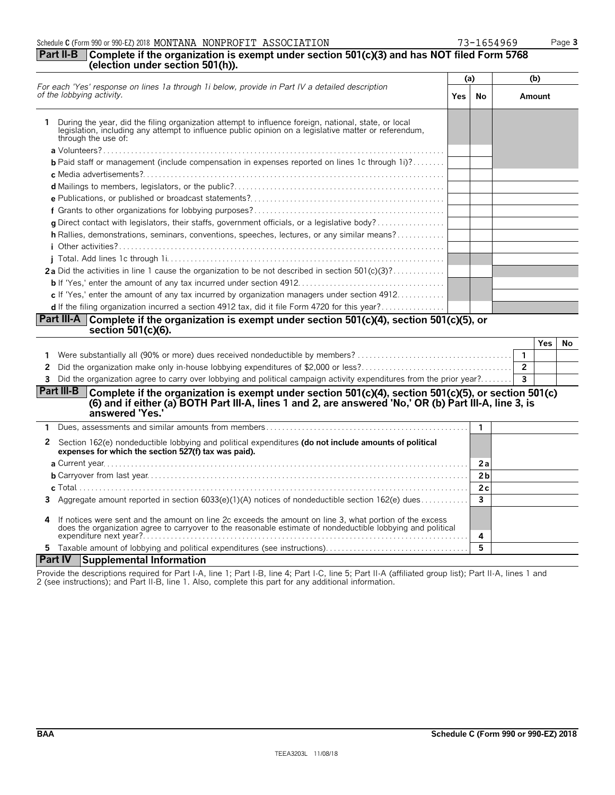**5** Taxable amount of lobbying and political expenditures (see instructions). . . . . . . . . . . . . . . . . . . . . . . . . . . . . . . . . . . . **5**

2 (see instructions); and Part II-B, line 1. Also, complete this part for any additional information.

Provide the descriptions required for Part I-A, line 1; Part I-B, line 4; Part I-C, line 5; Part II-A (affiliated group list); Part II-A, lines 1 and

### Schedule **C** (Form 990 or 990-EZ) 2018 MONTANA NONPROFIT ASSOCIATION 73-1654969 Page 3 **Part II-B Complete if the organization is exempt under section 501(c)(3) and has NOT filed Form 5768**

| (election under section 501(h)).                                                                                                                                                                                                                       |            |                         |                |            |    |
|--------------------------------------------------------------------------------------------------------------------------------------------------------------------------------------------------------------------------------------------------------|------------|-------------------------|----------------|------------|----|
|                                                                                                                                                                                                                                                        |            | (a)                     |                | (b)        |    |
| For each 'Yes' response on lines 1a through 1i below, provide in Part IV a detailed description<br>of the lobbying activity.                                                                                                                           | <b>Yes</b> | No                      |                | Amount     |    |
| During the year, did the filing organization attempt to influence foreign, national, state, or local<br>legislation, including any attempt to influence public opinion on a legislative matter or referendum,<br>through the use of:                   |            |                         |                |            |    |
|                                                                                                                                                                                                                                                        |            |                         |                |            |    |
| <b>b</b> Paid staff or management (include compensation in expenses reported on lines 1c through 1i)?                                                                                                                                                  |            |                         |                |            |    |
|                                                                                                                                                                                                                                                        |            |                         |                |            |    |
|                                                                                                                                                                                                                                                        |            |                         |                |            |    |
|                                                                                                                                                                                                                                                        |            |                         |                |            |    |
| g Direct contact with legislators, their staffs, government officials, or a legislative body?                                                                                                                                                          |            |                         |                |            |    |
| <b>h</b> Rallies, demonstrations, seminars, conventions, speeches, lectures, or any similar means?                                                                                                                                                     |            |                         |                |            |    |
|                                                                                                                                                                                                                                                        |            |                         |                |            |    |
| 2a Did the activities in line 1 cause the organization to be not described in section $501(c)(3)$ ?                                                                                                                                                    |            |                         |                |            |    |
|                                                                                                                                                                                                                                                        |            |                         |                |            |    |
| c If 'Yes,' enter the amount of any tax incurred by organization managers under section 4912                                                                                                                                                           |            |                         |                |            |    |
| d If the filing organization incurred a section 4912 tax, did it file Form 4720 for this year?                                                                                                                                                         |            |                         |                |            |    |
| Part III-A Complete if the organization is exempt under section 501(c)(4), section 501(c)(5), or                                                                                                                                                       |            |                         |                |            |    |
| section 501(c)(6).                                                                                                                                                                                                                                     |            |                         |                |            |    |
|                                                                                                                                                                                                                                                        |            |                         |                | <b>Yes</b> | No |
|                                                                                                                                                                                                                                                        |            |                         | $\mathbf{1}$   |            |    |
| 2                                                                                                                                                                                                                                                      |            |                         | $\overline{2}$ |            |    |
| 3 Did the organization agree to carry over lobbying and political campaign activity expenditures from the prior year?                                                                                                                                  |            |                         | 3              |            |    |
| <b>Part III-B</b><br>Complete if the organization is exempt under section 501(c)(4), section 501(c)(5), or section 501(c)<br>(6) and if either (a) BOTH Part III-A, lines 1 and 2, are answered 'No,' OR (b) Part III-A, line 3, is<br>answered 'Yes.' |            |                         |                |            |    |
| 1.                                                                                                                                                                                                                                                     |            | 1                       |                |            |    |
| Section 162(e) nondeductible lobbying and political expenditures (do not include amounts of political<br>2<br>expenses for which the section 527(f) tax was paid).                                                                                     |            |                         |                |            |    |
|                                                                                                                                                                                                                                                        |            | 2a                      |                |            |    |
|                                                                                                                                                                                                                                                        |            | 2 <sub>b</sub>          |                |            |    |
|                                                                                                                                                                                                                                                        |            | 2c                      |                |            |    |
| 3 Aggregate amount reported in section 6033(e)(1)(A) notices of nondeductible section 162(e) dues                                                                                                                                                      |            | $\overline{\mathbf{3}}$ |                |            |    |
| If notices were sent and the amount on line 2c exceeds the amount on line 3, what portion of the excess<br>4<br>does the organization agree to carryover to the reasonable estimate of nondeductible lobbying and political                            |            | 4                       |                |            |    |

**Part IV Supplemental Information**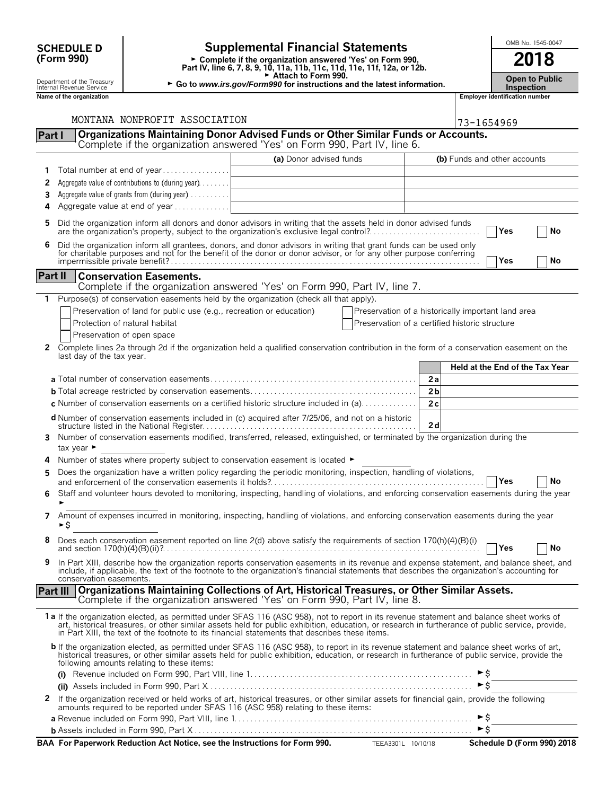| <b>Supplemental Financial Statements</b><br><b>SCHEDULE D</b> |                                                        |                                                                     |                                                                                                                                                                                                                                                                                                                                                                                                |                                                    |                | OMB No. 1545-0047                  |                                |                                        |
|---------------------------------------------------------------|--------------------------------------------------------|---------------------------------------------------------------------|------------------------------------------------------------------------------------------------------------------------------------------------------------------------------------------------------------------------------------------------------------------------------------------------------------------------------------------------------------------------------------------------|----------------------------------------------------|----------------|------------------------------------|--------------------------------|----------------------------------------|
|                                                               | (Form 990)                                             |                                                                     | ► Complete if the organization answered 'Yes' on Form 990,<br>Part IV, line 6, 7, 8, 9, 10, 11a, 11b, 11c, 11d, 11e, 11f, 12a, or 12b.<br>Attach to Form 990.                                                                                                                                                                                                                                  |                                                    |                |                                    |                                | 2018                                   |
|                                                               | Department of the Treasury<br>Internal Revenue Service |                                                                     | ► Go to www.irs.gov/Form990 for instructions and the latest information.                                                                                                                                                                                                                                                                                                                       |                                                    |                |                                    | <b>Inspection</b>              | <b>Open to Public</b>                  |
|                                                               | Name of the organization                               |                                                                     |                                                                                                                                                                                                                                                                                                                                                                                                |                                                    |                |                                    | Employer identification number |                                        |
|                                                               |                                                        |                                                                     |                                                                                                                                                                                                                                                                                                                                                                                                |                                                    |                |                                    |                                |                                        |
|                                                               |                                                        | MONTANA NONPROFIT ASSOCIATION                                       |                                                                                                                                                                                                                                                                                                                                                                                                |                                                    |                | 73-1654969                         |                                |                                        |
| Part I                                                        |                                                        |                                                                     | Organizations Maintaining Donor Advised Funds or Other Similar Funds or Accounts.<br>Complete if the organization answered 'Yes' on Form 990, Part IV, line 6.                                                                                                                                                                                                                                 |                                                    |                |                                    |                                |                                        |
|                                                               |                                                        |                                                                     | (a) Donor advised funds                                                                                                                                                                                                                                                                                                                                                                        |                                                    |                |                                    | (b) Funds and other accounts   |                                        |
|                                                               |                                                        | Total number at end of year                                         |                                                                                                                                                                                                                                                                                                                                                                                                |                                                    |                |                                    |                                |                                        |
| 2                                                             |                                                        | Aggregate value of contributions to (during year)                   |                                                                                                                                                                                                                                                                                                                                                                                                |                                                    |                |                                    |                                |                                        |
| 3                                                             |                                                        | Aggregate value of grants from (during year) $\dots \dots$          |                                                                                                                                                                                                                                                                                                                                                                                                |                                                    |                |                                    |                                |                                        |
| 4                                                             |                                                        | Aggregate value at end of year                                      |                                                                                                                                                                                                                                                                                                                                                                                                |                                                    |                |                                    |                                |                                        |
| 5.                                                            |                                                        |                                                                     | Did the organization inform all donors and donor advisors in writing that the assets held in donor advised funds<br>are the organization's property, subject to the organization's exclusive legal control?                                                                                                                                                                                    |                                                    |                |                                    | Yes                            | No                                     |
| 6                                                             |                                                        |                                                                     | Did the organization inform all grantees, donors, and donor advisors in writing that grant funds can be used only<br>for charitable purposes and not for the benefit of the donor or donor advisor, or for any other purpose conferring                                                                                                                                                        |                                                    |                |                                    | Yes                            | No                                     |
| Part II                                                       |                                                        | <b>Conservation Easements.</b>                                      |                                                                                                                                                                                                                                                                                                                                                                                                |                                                    |                |                                    |                                |                                        |
|                                                               |                                                        |                                                                     | Complete if the organization answered 'Yes' on Form 990, Part IV, line 7.                                                                                                                                                                                                                                                                                                                      |                                                    |                |                                    |                                |                                        |
| 1                                                             |                                                        |                                                                     | Purpose(s) of conservation easements held by the organization (check all that apply).                                                                                                                                                                                                                                                                                                          |                                                    |                |                                    |                                |                                        |
|                                                               |                                                        | Preservation of land for public use (e.g., recreation or education) |                                                                                                                                                                                                                                                                                                                                                                                                | Preservation of a historically important land area |                |                                    |                                |                                        |
|                                                               |                                                        | Protection of natural habitat                                       |                                                                                                                                                                                                                                                                                                                                                                                                | Preservation of a certified historic structure     |                |                                    |                                |                                        |
|                                                               | Preservation of open space                             |                                                                     |                                                                                                                                                                                                                                                                                                                                                                                                |                                                    |                |                                    |                                |                                        |
| 2                                                             | last day of the tax year.                              |                                                                     | Complete lines 2a through 2d if the organization held a qualified conservation contribution in the form of a conservation easement on the                                                                                                                                                                                                                                                      |                                                    |                |                                    |                                |                                        |
|                                                               |                                                        |                                                                     |                                                                                                                                                                                                                                                                                                                                                                                                |                                                    |                |                                    |                                | <b>Held at the End of the Tax Year</b> |
|                                                               |                                                        |                                                                     |                                                                                                                                                                                                                                                                                                                                                                                                |                                                    | 2a             |                                    |                                |                                        |
|                                                               |                                                        |                                                                     |                                                                                                                                                                                                                                                                                                                                                                                                |                                                    | 2 <sub>b</sub> |                                    |                                |                                        |
|                                                               |                                                        |                                                                     | <b>c</b> Number of conservation easements on a certified historic structure included in (a)                                                                                                                                                                                                                                                                                                    |                                                    | 2c             |                                    |                                |                                        |
|                                                               |                                                        |                                                                     | d Number of conservation easements included in (c) acquired after 7/25/06, and not on a historic                                                                                                                                                                                                                                                                                               |                                                    | 2d             |                                    |                                |                                        |
| 3.                                                            | tax year $\blacktriangleright$                         |                                                                     | Number of conservation easements modified, transferred, released, extinguished, or terminated by the organization during the                                                                                                                                                                                                                                                                   |                                                    |                |                                    |                                |                                        |
|                                                               |                                                        |                                                                     | Number of states where property subject to conservation easement is located $\blacktriangleright$                                                                                                                                                                                                                                                                                              |                                                    |                |                                    |                                |                                        |
| 5                                                             |                                                        |                                                                     | Does the organization have a written policy regarding the periodic monitoring, inspection, handling of violations,                                                                                                                                                                                                                                                                             |                                                    |                |                                    | Yes                            | No                                     |
|                                                               |                                                        |                                                                     | 6 Staff and volunteer hours devoted to monitoring, inspecting, handling of violations, and enforcing conservation easements during the year                                                                                                                                                                                                                                                    |                                                    |                |                                    |                                |                                        |
| 7                                                             | ►\$                                                    |                                                                     | Amount of expenses incurred in monitoring, inspecting, handling of violations, and enforcing conservation easements during the year                                                                                                                                                                                                                                                            |                                                    |                |                                    |                                |                                        |
| 8                                                             |                                                        |                                                                     | Does each conservation easement reported on line 2(d) above satisfy the requirements of section 170(h)(4)(B)(i)                                                                                                                                                                                                                                                                                |                                                    |                |                                    | Yes                            | No                                     |
| 9                                                             | conservation easements.                                |                                                                     | In Part XIII, describe how the organization reports conservation easements in its revenue and expense statement, and balance sheet, and<br>include, if applicable, the text of the footnote to the organization's financial statements that describes the organization's accounting for                                                                                                        |                                                    |                |                                    |                                |                                        |
|                                                               |                                                        |                                                                     | Part III   Organizations Maintaining Collections of Art, Historical Treasures, or Other Similar Assets.                                                                                                                                                                                                                                                                                        |                                                    |                |                                    |                                |                                        |
|                                                               |                                                        |                                                                     | Complete if the organization answered 'Yes' on Form 990, Part IV, line 8.                                                                                                                                                                                                                                                                                                                      |                                                    |                |                                    |                                |                                        |
|                                                               |                                                        |                                                                     | 1a If the organization elected, as permitted under SFAS 116 (ASC 958), not to report in its revenue statement and balance sheet works of<br>art, historical treasures, or other similar assets held for public exhibition, education, or research in furtherance of public service, provide,<br>in Part XIII, the text of the footnote to its financial statements that describes these items. |                                                    |                |                                    |                                |                                        |
|                                                               |                                                        | following amounts relating to these items:                          | b If the organization elected, as permitted under SFAS 116 (ASC 958), to report in its revenue statement and balance sheet works of art,<br>historical treasures, or other similar assets held for public exhibition, education, or research in furtherance of public service, provide the                                                                                                     |                                                    |                |                                    |                                |                                        |
|                                                               |                                                        |                                                                     |                                                                                                                                                                                                                                                                                                                                                                                                |                                                    |                | $\blacktriangleright$ $\mathsf{S}$ |                                |                                        |
|                                                               |                                                        |                                                                     |                                                                                                                                                                                                                                                                                                                                                                                                |                                                    |                | $\blacktriangleright$ \$           |                                |                                        |
| $\mathbf{z}$                                                  |                                                        |                                                                     | If the organization received or held works of art, historical treasures, or other similar assets for financial gain, provide the following<br>amounts required to be reported under SFAS 116 (ASC 958) relating to these items:                                                                                                                                                                |                                                    |                |                                    |                                |                                        |

| BAA For Paperwork Reduction Act Notice, see the Instructions for Form 990. | TEEA3301L 10/10/18 | Schedule D (Form 990) 2018 |
|----------------------------------------------------------------------------|--------------------|----------------------------|

**a** Revenue included on Form 990, Part VIII, line 1. . . . . . . . . . . . . . . . . . . . . . . . . . . . . . . . . . . . . . . . . . . . . . . . . . . . . . . . . . . . G\$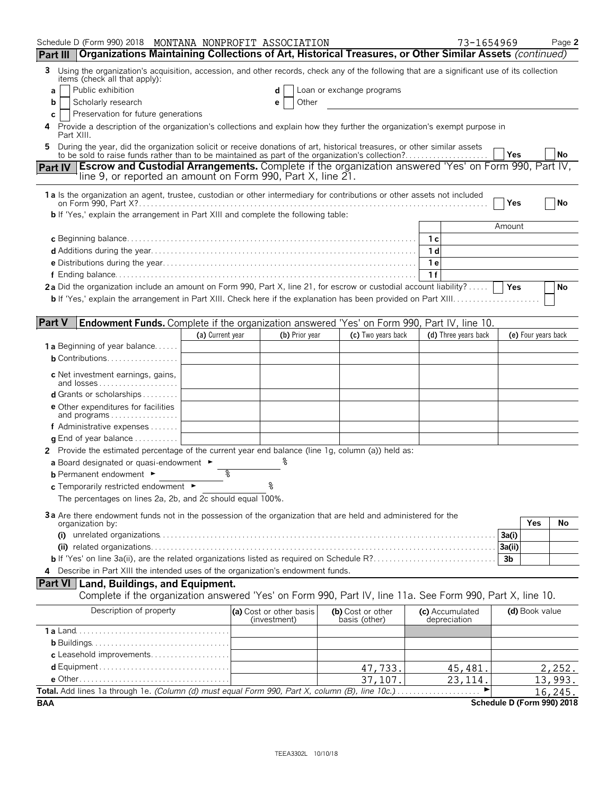| Schedule D (Form 990) 2018 MONTANA NONPROFIT ASSOCIATION                                                                                                                                                                     |                  |                         |                           | 73-1654969           |                            | Page 2  |
|------------------------------------------------------------------------------------------------------------------------------------------------------------------------------------------------------------------------------|------------------|-------------------------|---------------------------|----------------------|----------------------------|---------|
| Organizations Maintaining Collections of Art, Historical Treasures, or Other Similar Assets (continued)<br><b>Part III</b>                                                                                                   |                  |                         |                           |                      |                            |         |
| Using the organization's acquisition, accession, and other records, check any of the following that are a significant use of its collection<br>3<br>items (check all that apply):<br>Public exhibition<br>a                  |                  |                         | Loan or exchange programs |                      |                            |         |
| Scholarly research<br>b                                                                                                                                                                                                      |                  | Other<br>е              |                           |                      |                            |         |
| Preservation for future generations<br>С                                                                                                                                                                                     |                  |                         |                           |                      |                            |         |
| Provide a description of the organization's collections and explain how they further the organization's exempt purpose in<br>4<br>Part XIII.                                                                                 |                  |                         |                           |                      |                            |         |
| During the year, did the organization solicit or receive donations of art, historical treasures, or other similar assets<br>to be sold to raise funds rather than to be maintained as part of the organization's collection? |                  |                         |                           |                      | Yes                        | No      |
| <b>Escrow and Custodial Arrangements.</b> Complete if the organization answered 'Yes' on Form 990, Part IV,<br><b>Part IV</b><br>line 9, or reported an amount on Form 990, Part X, line 21.                                 |                  |                         |                           |                      |                            |         |
| 1 a Is the organization an agent, trustee, custodian or other intermediary for contributions or other assets not included                                                                                                    |                  |                         |                           |                      | Yes                        | No      |
| <b>b</b> If 'Yes,' explain the arrangement in Part XIII and complete the following table:                                                                                                                                    |                  |                         |                           |                      |                            |         |
|                                                                                                                                                                                                                              |                  |                         |                           |                      | Amount                     |         |
|                                                                                                                                                                                                                              |                  |                         |                           | 1 с                  |                            |         |
|                                                                                                                                                                                                                              |                  |                         |                           | 1 d                  |                            |         |
|                                                                                                                                                                                                                              |                  |                         |                           | 1 e                  |                            |         |
|                                                                                                                                                                                                                              |                  |                         |                           | 1f                   |                            |         |
| 2a Did the organization include an amount on Form 990, Part X, line 21, for escrow or custodial account liability?                                                                                                           |                  |                         |                           |                      | <b>Yes</b>                 | No      |
| <b>b</b> If 'Yes,' explain the arrangement in Part XIII. Check here if the explanation has been provided on Part XIII                                                                                                        |                  |                         |                           |                      |                            |         |
|                                                                                                                                                                                                                              |                  |                         |                           |                      |                            |         |
| <b>Part V</b><br>Endowment Funds. Complete if the organization answered 'Yes' on Form 990, Part IV, line 10.                                                                                                                 |                  |                         |                           |                      |                            |         |
|                                                                                                                                                                                                                              | (a) Current year | (b) Prior year          | (c) Two years back        | (d) Three years back | (e) Four years back        |         |
| <b>1a</b> Beginning of year balance<br><b>b</b> Contributions                                                                                                                                                                |                  |                         |                           |                      |                            |         |
|                                                                                                                                                                                                                              |                  |                         |                           |                      |                            |         |
| c Net investment earnings, gains,<br>and losses                                                                                                                                                                              |                  |                         |                           |                      |                            |         |
| <b>d</b> Grants or scholarships $\ldots$                                                                                                                                                                                     |                  |                         |                           |                      |                            |         |
| <b>e</b> Other expenditures for facilities                                                                                                                                                                                   |                  |                         |                           |                      |                            |         |
| and programs                                                                                                                                                                                                                 |                  |                         |                           |                      |                            |         |
| f Administrative expenses                                                                                                                                                                                                    |                  |                         |                           |                      |                            |         |
| <b>q</b> End of year balance $\dots\dots\dots\dots$                                                                                                                                                                          |                  |                         |                           |                      |                            |         |
| 2 Provide the estimated percentage of the current year end balance (line 1g, column (a)) held as:                                                                                                                            |                  |                         |                           |                      |                            |         |
| a Board designated or quasi-endowment $\blacktriangleright$<br><b>b</b> Permanent endowment $\blacktriangleright$                                                                                                            | %                |                         |                           |                      |                            |         |
| c Temporarily restricted endowment ►                                                                                                                                                                                         |                  |                         |                           |                      |                            |         |
| The percentages on lines 2a, 2b, and 2c should equal 100%.                                                                                                                                                                   |                  |                         |                           |                      |                            |         |
|                                                                                                                                                                                                                              |                  |                         |                           |                      |                            |         |
| 3a Are there endowment funds not in the possession of the organization that are held and administered for the<br>organization by:                                                                                            |                  |                         |                           |                      | Yes                        | No      |
|                                                                                                                                                                                                                              |                  |                         |                           |                      | 3a(i)                      |         |
|                                                                                                                                                                                                                              |                  |                         |                           |                      | 3a(ii)                     |         |
|                                                                                                                                                                                                                              |                  |                         |                           |                      | 3 <sub>b</sub>             |         |
| 4 Describe in Part XIII the intended uses of the organization's endowment funds.                                                                                                                                             |                  |                         |                           |                      |                            |         |
| Part VI   Land, Buildings, and Equipment.<br>Complete if the organization answered 'Yes' on Form 990, Part IV, line 11a. See Form 990, Part X, line 10.                                                                      |                  |                         |                           |                      |                            |         |
| Description of property                                                                                                                                                                                                      |                  | (a) Cost or other basis | (b) Cost or other         | (c) Accumulated      | (d) Book value             |         |
|                                                                                                                                                                                                                              |                  | (investment)            | basis (other)             | depreciation         |                            |         |
|                                                                                                                                                                                                                              |                  |                         |                           |                      |                            |         |
|                                                                                                                                                                                                                              |                  |                         |                           |                      |                            |         |
| c Leasehold improvements                                                                                                                                                                                                     |                  |                         |                           |                      |                            |         |
|                                                                                                                                                                                                                              |                  |                         | 47,733.                   | 45,481.              |                            | 2,252.  |
|                                                                                                                                                                                                                              |                  |                         | 37,107.                   | 23, 114.             |                            | 13,993. |
| Total. Add lines 1a through 1e. (Column (d) must equal Form 990, Part X, column (B), line 10c.)                                                                                                                              |                  |                         |                           |                      |                            | 16,245. |
| BAA                                                                                                                                                                                                                          |                  |                         |                           |                      | Schedule D (Form 990) 2018 |         |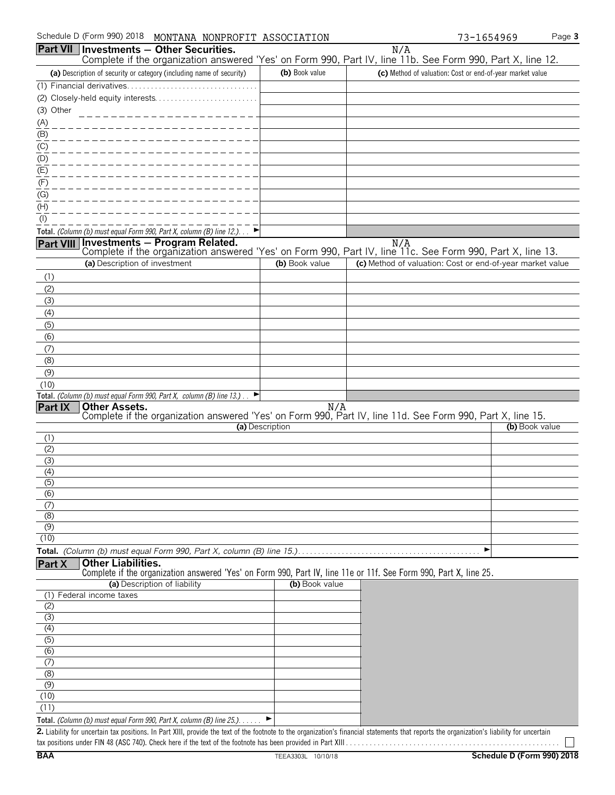|                   |                               | Part VII Investments - Other Securities.                                       |                 | N/A                                                                                                                                                                                         |                |
|-------------------|-------------------------------|--------------------------------------------------------------------------------|-----------------|---------------------------------------------------------------------------------------------------------------------------------------------------------------------------------------------|----------------|
|                   |                               |                                                                                |                 | Complete if the organization answered 'Yes' on Form 990, Part IV, line 11b. See Form 990, Part X, line 12.                                                                                  |                |
|                   |                               | (a) Description of security or category (including name of security)           | (b) Book value  | (c) Method of valuation: Cost or end-of-year market value                                                                                                                                   |                |
|                   |                               | (1) Financial derivatives.                                                     |                 |                                                                                                                                                                                             |                |
|                   |                               | (2) Closely-held equity interests                                              |                 |                                                                                                                                                                                             |                |
| (3) Other         |                               |                                                                                |                 |                                                                                                                                                                                             |                |
| (A)               |                               |                                                                                |                 |                                                                                                                                                                                             |                |
| (B)               |                               |                                                                                |                 |                                                                                                                                                                                             |                |
| $\underline{(C)}$ |                               |                                                                                |                 |                                                                                                                                                                                             |                |
| (D)<br>(E)        |                               |                                                                                |                 |                                                                                                                                                                                             |                |
| (F)               |                               |                                                                                |                 |                                                                                                                                                                                             |                |
| (G)               |                               |                                                                                |                 |                                                                                                                                                                                             |                |
| (H)               |                               |                                                                                |                 |                                                                                                                                                                                             |                |
| (1)               |                               |                                                                                |                 |                                                                                                                                                                                             |                |
|                   |                               | Total. (Column (b) must equal Form 990, Part X, column (B) line 12.). $\Box$   |                 |                                                                                                                                                                                             |                |
| Part VIII         |                               | Investments - Program Related.                                                 |                 | N/A                                                                                                                                                                                         |                |
|                   |                               |                                                                                |                 | Complete if the organization answered 'Yes' on Form 990, Part IV, line 11c. See Form 990, Part X, line 13.                                                                                  |                |
|                   | (a) Description of investment |                                                                                | (b) Book value  | (c) Method of valuation: Cost or end-of-year market value                                                                                                                                   |                |
| (1)               |                               |                                                                                |                 |                                                                                                                                                                                             |                |
| (2)               |                               |                                                                                |                 |                                                                                                                                                                                             |                |
| (3)               |                               |                                                                                |                 |                                                                                                                                                                                             |                |
| (4)               |                               |                                                                                |                 |                                                                                                                                                                                             |                |
| (5)<br>(6)        |                               |                                                                                |                 |                                                                                                                                                                                             |                |
| (7)               |                               |                                                                                |                 |                                                                                                                                                                                             |                |
| (8)               |                               |                                                                                |                 |                                                                                                                                                                                             |                |
| (9)               |                               |                                                                                |                 |                                                                                                                                                                                             |                |
| (10)              |                               |                                                                                |                 |                                                                                                                                                                                             |                |
|                   |                               | Total. (Column (b) must equal Form 990, Part X, column (B) line 13.).<br>E     |                 |                                                                                                                                                                                             |                |
| Part IX           | <b>Other Assets.</b>          |                                                                                |                 | <b>Other Assets.</b><br>Complete if the organization answered 'Yes' on Form 990, Part IV, line 11d. See Form 990, Part X, line 15.                                                          |                |
|                   |                               |                                                                                | (a) Description |                                                                                                                                                                                             | (b) Book value |
| (1)               |                               |                                                                                |                 |                                                                                                                                                                                             |                |
| (2)               |                               |                                                                                |                 |                                                                                                                                                                                             |                |
| (3)               |                               |                                                                                |                 |                                                                                                                                                                                             |                |
| (4)               |                               |                                                                                |                 |                                                                                                                                                                                             |                |
| (5)               |                               |                                                                                |                 |                                                                                                                                                                                             |                |
| (6)<br>(7)        |                               |                                                                                |                 |                                                                                                                                                                                             |                |
| (8)               |                               |                                                                                |                 |                                                                                                                                                                                             |                |
| (9)               |                               |                                                                                |                 |                                                                                                                                                                                             |                |
| (10)              |                               |                                                                                |                 |                                                                                                                                                                                             |                |
|                   |                               |                                                                                |                 |                                                                                                                                                                                             |                |
| <b>Part X</b>     | <b>Other Liabilities.</b>     |                                                                                |                 |                                                                                                                                                                                             |                |
|                   |                               |                                                                                |                 | Complete if the organization answered 'Yes' on Form 990, Part IV, line 11e or 11f. See Form 990, Part X, line 25.                                                                           |                |
| (1)               | Federal income taxes          | (a) Description of liability                                                   | (b) Book value  |                                                                                                                                                                                             |                |
| (2)               |                               |                                                                                |                 |                                                                                                                                                                                             |                |
| (3)               |                               |                                                                                |                 |                                                                                                                                                                                             |                |
| (4)               |                               |                                                                                |                 |                                                                                                                                                                                             |                |
| (5)               |                               |                                                                                |                 |                                                                                                                                                                                             |                |
| $\overline{(6)}$  |                               |                                                                                |                 |                                                                                                                                                                                             |                |
| (7)               |                               |                                                                                |                 |                                                                                                                                                                                             |                |
| (8)<br>(9)        |                               |                                                                                |                 |                                                                                                                                                                                             |                |
| (10)              |                               |                                                                                |                 |                                                                                                                                                                                             |                |
| (11)              |                               |                                                                                |                 |                                                                                                                                                                                             |                |
|                   |                               | Total. (Column (b) must equal Form 990, Part X, column (B) line 25.). $\ldots$ |                 |                                                                                                                                                                                             |                |
|                   |                               |                                                                                |                 | 2. Liability for uncertain tax positions. In Part XIII, provide the text of the footnote to the organization's financial statements that reports the organization's liability for uncertain |                |
|                   |                               |                                                                                |                 |                                                                                                                                                                                             |                |

tax positions under FIN 48 (ASC 740). Check here if the text of the footnote has been provided in Part XIII . . . . . . . . . . . . . . . . . . . . . . . . . . . . . . . . . . . . . . . . . . . . . . . . . . . . . .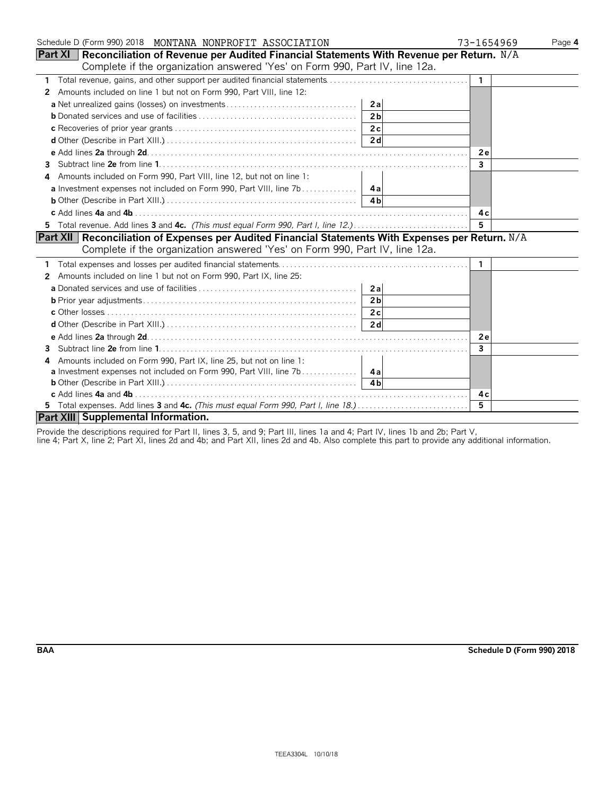| Schedule D (Form 990) 2018 MONTANA NONPROFIT ASSOCIATION                                                   | 73-1654969<br>Page 4 |
|------------------------------------------------------------------------------------------------------------|----------------------|
| <b>Part XI</b>   Reconciliation of Revenue per Audited Financial Statements With Revenue per Return. $N/A$ |                      |
| Complete if the organization answered 'Yes' on Form 990, Part IV, line 12a.                                |                      |
| 1                                                                                                          |                      |
| Amounts included on line 1 but not on Form 990, Part VIII, line 12:<br>2                                   |                      |
| 2a                                                                                                         |                      |
| 2 <sub>h</sub>                                                                                             |                      |
|                                                                                                            |                      |
|                                                                                                            |                      |
|                                                                                                            | 2e                   |
| 3                                                                                                          | 3                    |
| Amounts included on Form 990, Part VIII, line 12, but not on line 1:<br>4                                  |                      |
|                                                                                                            |                      |
|                                                                                                            |                      |
|                                                                                                            | 4c                   |
| 5 Total revenue. Add lines 3 and 4c. (This must equal Form 990, Part I, line 12.)                          | 5                    |
| Part XII Reconciliation of Expenses per Audited Financial Statements With Expenses per Return. N/A         |                      |
| Complete if the organization answered 'Yes' on Form 990, Part IV, line 12a.                                |                      |
|                                                                                                            | 1                    |
| Amounts included on line 1 but not on Form 990, Part IX, line 25:<br>$\mathbf{2}$                          |                      |
| 2a                                                                                                         |                      |
| 2 <sub>b</sub>                                                                                             |                      |
|                                                                                                            |                      |
|                                                                                                            |                      |
|                                                                                                            | <b>2e</b>            |
| 3                                                                                                          | 3                    |
| Amounts included on Form 990, Part IX, line 25, but not on line 1:<br>4                                    |                      |
|                                                                                                            |                      |
|                                                                                                            |                      |
|                                                                                                            | 4 c                  |
| 5 Total expenses. Add lines 3 and 4c. (This must equal Form 990, Part I, line 18.)                         | 5                    |
| Part XIII Supplemental Information.                                                                        |                      |

Provide the descriptions required for Part II, lines 3, 5, and 9; Part III, lines 1a and 4; Part IV, lines 1b and 2b; Part V,

line 4; Part X, line 2; Part XI, lines 2d and 4b; and Part XII, lines 2d and 4b. Also complete this part to provide any additional information.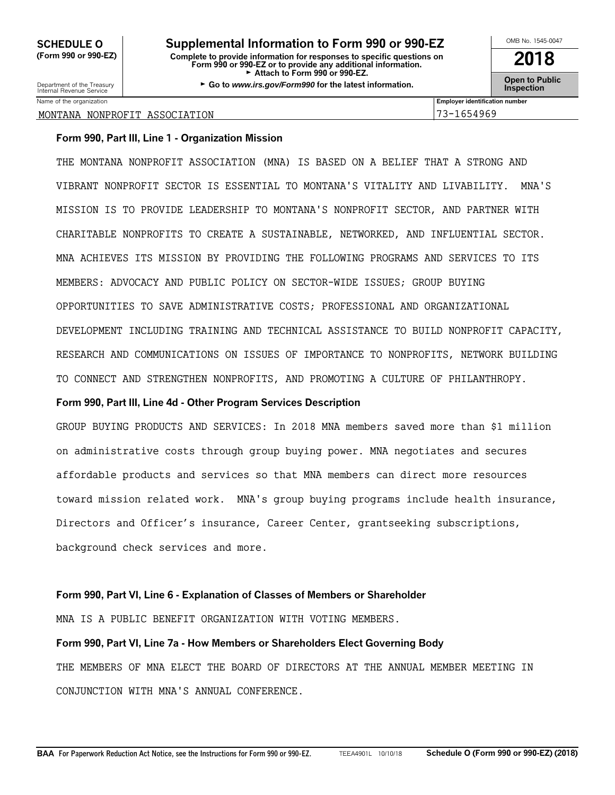### **SCHEDULE O Supplemental Information to Form 990 or 990-EZ** <u>LOMB No. 1545-0047</u> **(Form 990 or 990-EZ) Complete to provide information for responses to specific questions on Form 990 or 990-EZ or to provide any additional information. 2018** ► Attach to Form 990 or 990-EZ.

Department of the Treasury **GGO to Service 3 and Service Control Control Control Control Control Control Control Control Control Control Control Control Control Control Control Control Control Control Control Control Cont** 

Name of the organization **Employer identification number Employer identification number** 

### MONTANA NONPROFIT ASSOCIATION 73-1654969

### **Form 990, Part III, Line 1 - Organization Mission**

THE MONTANA NONPROFIT ASSOCIATION (MNA) IS BASED ON A BELIEF THAT A STRONG AND VIBRANT NONPROFIT SECTOR IS ESSENTIAL TO MONTANA'S VITALITY AND LIVABILITY. MNA'S MISSION IS TO PROVIDE LEADERSHIP TO MONTANA'S NONPROFIT SECTOR, AND PARTNER WITH CHARITABLE NONPROFITS TO CREATE A SUSTAINABLE, NETWORKED, AND INFLUENTIAL SECTOR. MNA ACHIEVES ITS MISSION BY PROVIDING THE FOLLOWING PROGRAMS AND SERVICES TO ITS MEMBERS: ADVOCACY AND PUBLIC POLICY ON SECTOR-WIDE ISSUES; GROUP BUYING OPPORTUNITIES TO SAVE ADMINISTRATIVE COSTS; PROFESSIONAL AND ORGANIZATIONAL DEVELOPMENT INCLUDING TRAINING AND TECHNICAL ASSISTANCE TO BUILD NONPROFIT CAPACITY, RESEARCH AND COMMUNICATIONS ON ISSUES OF IMPORTANCE TO NONPROFITS, NETWORK BUILDING TO CONNECT AND STRENGTHEN NONPROFITS, AND PROMOTING A CULTURE OF PHILANTHROPY.

### **Form 990, Part III, Line 4d - Other Program Services Description**

GROUP BUYING PRODUCTS AND SERVICES: In 2018 MNA members saved more than \$1 million on administrative costs through group buying power. MNA negotiates and secures affordable products and services so that MNA members can direct more resources toward mission related work. MNA's group buying programs include health insurance, Directors and Officer's insurance, Career Center, grantseeking subscriptions, background check services and more.

### **Form 990, Part VI, Line 6 - Explanation of Classes of Members or Shareholder**

MNA IS A PUBLIC BENEFIT ORGANIZATION WITH VOTING MEMBERS.

**Form 990, Part VI, Line 7a - How Members or Shareholders Elect Governing Body** THE MEMBERS OF MNA ELECT THE BOARD OF DIRECTORS AT THE ANNUAL MEMBER MEETING IN CONJUNCTION WITH MNA'S ANNUAL CONFERENCE.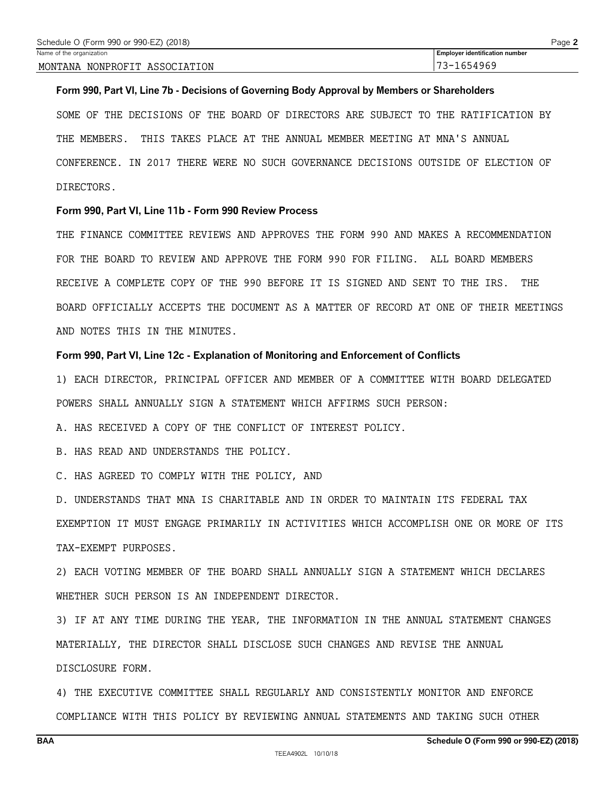### **Form 990, Part VI, Line 7b - Decisions of Governing Body Approval by Members or Shareholders**

SOME OF THE DECISIONS OF THE BOARD OF DIRECTORS ARE SUBJECT TO THE RATIFICATION BY THE MEMBERS. THIS TAKES PLACE AT THE ANNUAL MEMBER MEETING AT MNA'S ANNUAL CONFERENCE. IN 2017 THERE WERE NO SUCH GOVERNANCE DECISIONS OUTSIDE OF ELECTION OF DIRECTORS.

### **Form 990, Part VI, Line 11b - Form 990 Review Process**

THE FINANCE COMMITTEE REVIEWS AND APPROVES THE FORM 990 AND MAKES A RECOMMENDATION FOR THE BOARD TO REVIEW AND APPROVE THE FORM 990 FOR FILING. ALL BOARD MEMBERS RECEIVE A COMPLETE COPY OF THE 990 BEFORE IT IS SIGNED AND SENT TO THE IRS. THE BOARD OFFICIALLY ACCEPTS THE DOCUMENT AS A MATTER OF RECORD AT ONE OF THEIR MEETINGS AND NOTES THIS IN THE MINUTES.

### **Form 990, Part VI, Line 12c - Explanation of Monitoring and Enforcement of Conflicts**

1) EACH DIRECTOR, PRINCIPAL OFFICER AND MEMBER OF A COMMITTEE WITH BOARD DELEGATED POWERS SHALL ANNUALLY SIGN A STATEMENT WHICH AFFIRMS SUCH PERSON:

A. HAS RECEIVED A COPY OF THE CONFLICT OF INTEREST POLICY.

B. HAS READ AND UNDERSTANDS THE POLICY.

C. HAS AGREED TO COMPLY WITH THE POLICY, AND

D. UNDERSTANDS THAT MNA IS CHARITABLE AND IN ORDER TO MAINTAIN ITS FEDERAL TAX EXEMPTION IT MUST ENGAGE PRIMARILY IN ACTIVITIES WHICH ACCOMPLISH ONE OR MORE OF ITS TAX-EXEMPT PURPOSES.

2) EACH VOTING MEMBER OF THE BOARD SHALL ANNUALLY SIGN A STATEMENT WHICH DECLARES WHETHER SUCH PERSON IS AN INDEPENDENT DIRECTOR.

3) IF AT ANY TIME DURING THE YEAR, THE INFORMATION IN THE ANNUAL STATEMENT CHANGES MATERIALLY, THE DIRECTOR SHALL DISCLOSE SUCH CHANGES AND REVISE THE ANNUAL DISCLOSURE FORM.

4) THE EXECUTIVE COMMITTEE SHALL REGULARLY AND CONSISTENTLY MONITOR AND ENFORCE COMPLIANCE WITH THIS POLICY BY REVIEWING ANNUAL STATEMENTS AND TAKING SUCH OTHER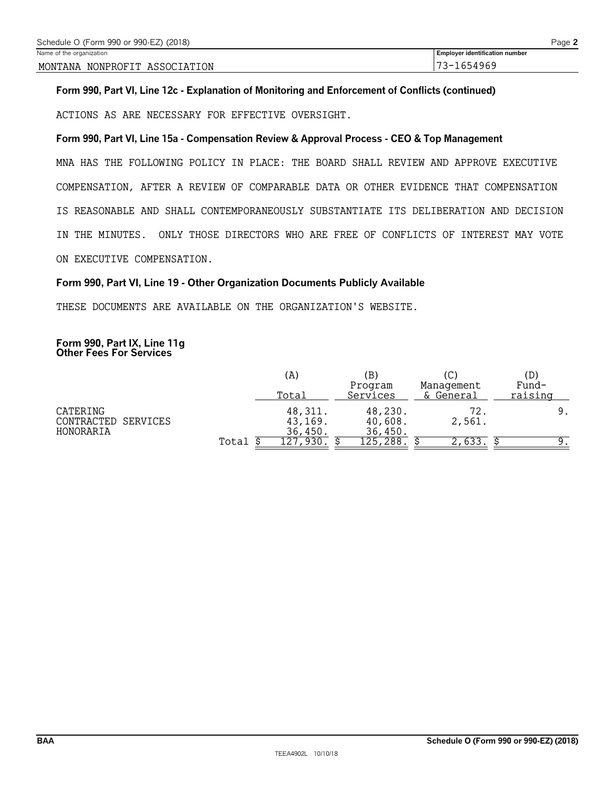**Form 990, Part VI, Line 12c - Explanation of Monitoring and Enforcement of Conflicts (continued)**

ACTIONS AS ARE NECESSARY FOR EFFECTIVE OVERSIGHT.

### **Form 990, Part VI, Line 15a - Compensation Review & Approval Process - CEO & Top Management**

MNA HAS THE FOLLOWING POLICY IN PLACE: THE BOARD SHALL REVIEW AND APPROVE EXECUTIVE COMPENSATION, AFTER A REVIEW OF COMPARABLE DATA OR OTHER EVIDENCE THAT COMPENSATION IS REASONABLE AND SHALL CONTEMPORANEOUSLY SUBSTANTIATE ITS DELIBERATION AND DECISION IN THE MINUTES. ONLY THOSE DIRECTORS WHO ARE FREE OF CONFLICTS OF INTEREST MAY VOTE ON EXECUTIVE COMPENSATION.

### **Form 990, Part VI, Line 19 - Other Organization Documents Publicly Available**

THESE DOCUMENTS ARE AVAILABLE ON THE ORGANIZATION'S WEBSITE.

### **Form 990, Part IX, Line 11g Other Fees For Services**

|                                                 |       | (A)                           | (B)<br>Program                | Management     | (D)<br>Fund- |
|-------------------------------------------------|-------|-------------------------------|-------------------------------|----------------|--------------|
|                                                 |       | Total                         | Services                      | & General      | raising      |
| CATERING<br>CONTRACTED<br>SERVICES<br>HONORARIA |       | 48,311.<br>43,169.<br>36,450. | 48,230.<br>40,608.<br>36,450. | 2,561.         |              |
|                                                 | Total | 127                           | 288<br>'25                    | $\sqrt{633}$ . |              |